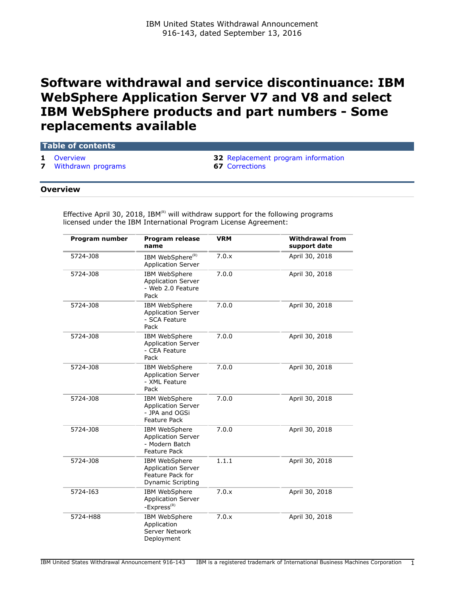# **Software withdrawal and service discontinuance: IBM WebSphere Application Server V7 and V8 and select IBM WebSphere products and part numbers - Some replacements available**

# **Table of contents**

**[Withdrawn programs](#page-6-0)** 

**1** [Overview](#page-0-0) **1** Overview **32** [Replacement program information](#page-31-0) **7** Withdrawn programs

#### <span id="page-0-0"></span>**Overview**

Effective April 30, 2018, IBM ${}^{{}^{\textrm{\tiny{\textregistered}}}}$  will withdraw support for the following programs licensed under the IBM International Program License Agreement:

| Program number | Program release<br>name                                                                    | <b>VRM</b> | <b>Withdrawal from</b><br>support date |
|----------------|--------------------------------------------------------------------------------------------|------------|----------------------------------------|
| 5724-J08       | IBM WebSphere <sup>(R)</sup><br><b>Application Server</b>                                  | 7.0.x      | April 30, 2018                         |
| 5724-J08       | IBM WebSphere<br><b>Application Server</b><br>- Web 2.0 Feature<br>Pack                    | 7.0.0      | April 30, 2018                         |
| 5724-J08       | IBM WebSphere<br><b>Application Server</b><br>- SCA Feature<br>Pack                        | 7.0.0      | April 30, 2018                         |
| 5724-J08       | IBM WebSphere<br><b>Application Server</b><br>- CEA Feature<br>Pack                        | 7.0.0      | April 30, 2018                         |
| 5724-J08       | <b>IBM WebSphere</b><br>Application Server<br>- XML Feature<br>Pack                        | 7.0.0      | April 30, 2018                         |
| 5724-J08       | IBM WebSphere<br><b>Application Server</b><br>- JPA and OGSi<br><b>Feature Pack</b>        | 7.0.0      | April 30, 2018                         |
| 5724-J08       | <b>IBM WebSphere</b><br><b>Application Server</b><br>- Modern Batch<br><b>Feature Pack</b> | 7.0.0      | April 30, 2018                         |
| 5724-J08       | IBM WebSphere<br><b>Application Server</b><br>Feature Pack for<br><b>Dynamic Scripting</b> | 1.1.1      | April 30, 2018                         |
| 5724-163       | <b>IBM WebSphere</b><br><b>Application Server</b><br>$-$ Express ${}^{(R)}$                | 7.0.x      | April 30, 2018                         |
| 5724-H88       | IBM WebSphere<br>Application<br><b>Server Network</b><br>Deployment                        | 7.0.x      | April 30, 2018                         |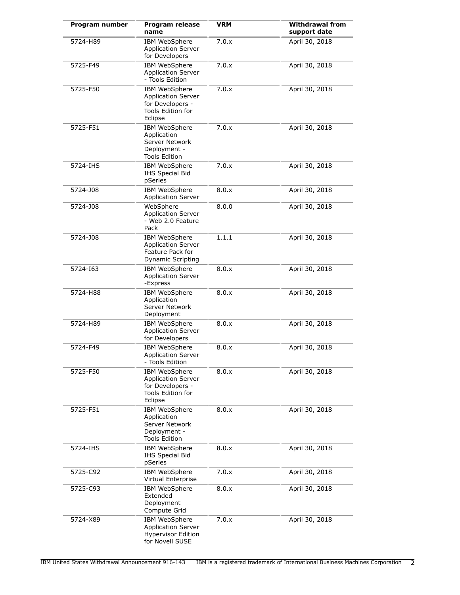| Program number | Program release<br>name                                                                               | <b>VRM</b> | <b>Withdrawal from</b><br>support date |
|----------------|-------------------------------------------------------------------------------------------------------|------------|----------------------------------------|
| 5724-H89       | IBM WebSphere<br><b>Application Server</b><br>for Developers                                          | 7.0.x      | April 30, 2018                         |
| 5725-F49       | <b>IBM WebSphere</b><br><b>Application Server</b><br>- Tools Edition                                  | 7.0.x      | April 30, 2018                         |
| 5725-F50       | IBM WebSphere<br><b>Application Server</b><br>for Developers -<br>Tools Edition for<br>Eclipse        | 7.0.x      | April 30, 2018                         |
| 5725-F51       | IBM WebSphere<br>Application<br>Server Network<br>Deployment -<br><b>Tools Edition</b>                | 7.0.x      | April 30, 2018                         |
| 5724-IHS       | IBM WebSphere<br><b>IHS Special Bid</b><br>pSeries                                                    | 7.0.x      | April 30, 2018                         |
| 5724-J08       | IBM WebSphere<br><b>Application Server</b>                                                            | 8.0.x      | April 30, 2018                         |
| 5724-J08       | WebSphere<br><b>Application Server</b><br>- Web 2.0 Feature<br>Pack                                   | 8.0.0      | April 30, 2018                         |
| 5724-J08       | IBM WebSphere<br><b>Application Server</b><br>Feature Pack for<br><b>Dynamic Scripting</b>            | 1.1.1      | April 30, 2018                         |
| 5724-163       | <b>IBM WebSphere</b><br><b>Application Server</b><br>-Express                                         | 8.0.x      | April 30, 2018                         |
| 5724-H88       | IBM WebSphere<br>Application<br>Server Network<br>Deployment                                          | 8.0.x      | April 30, 2018                         |
| 5724-H89       | IBM WebSphere<br><b>Application Server</b><br>for Developers                                          | 8.0.x      | April 30, 2018                         |
| 5724-F49       | <b>IBM WebSphere</b><br><b>Application Server</b><br>- Tools Edition                                  | 8.0.x      | April 30, 2018                         |
| 5725-F50       | <b>IBM WebSphere</b><br><b>Application Server</b><br>for Developers -<br>Tools Edition for<br>Eclipse | 8.0.x      | April 30, 2018                         |
| 5725-F51       | IBM WebSphere<br>Application<br>Server Network<br>Deployment -<br><b>Tools Edition</b>                | 8.0.x      | April 30, 2018                         |
| 5724-IHS       | <b>IBM WebSphere</b><br>IHS Special Bid<br>pSeries                                                    | 8.0.x      | April 30, 2018                         |
| 5725-C92       | IBM WebSphere<br>Virtual Enterprise                                                                   | 7.0.x      | April 30, 2018                         |
| 5725-C93       | IBM WebSphere<br>Extended<br>Deployment<br>Compute Grid                                               | 8.0.x      | April 30, 2018                         |
| 5724-X89       | <b>IBM WebSphere</b><br><b>Application Server</b><br><b>Hypervisor Edition</b><br>for Novell SUSE     | 7.0.x      | April 30, 2018                         |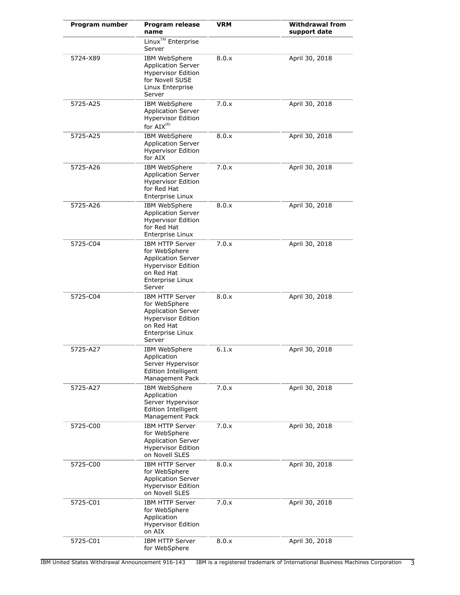| Program number | <b>Program release</b><br>name                                                                                                                | VRM   | <b>Withdrawal from</b><br>support date |
|----------------|-----------------------------------------------------------------------------------------------------------------------------------------------|-------|----------------------------------------|
|                | Linux <sup>™</sup> Enterprise<br>Server                                                                                                       |       |                                        |
| 5724-X89       | IBM WebSphere<br><b>Application Server</b><br><b>Hypervisor Edition</b><br>for Novell SUSE<br>Linux Enterprise<br>Server                      | 8.0.x | April 30, 2018                         |
| 5725-A25       | IBM WebSphere<br><b>Application Server</b><br><b>Hypervisor Edition</b><br>for $AIX^{(R)}$                                                    | 7.0.x | April 30, 2018                         |
| 5725-A25       | IBM WebSphere<br><b>Application Server</b><br><b>Hypervisor Edition</b><br>for AIX                                                            | 8.0.x | April 30, 2018                         |
| 5725-A26       | IBM WebSphere<br><b>Application Server</b><br><b>Hypervisor Edition</b><br>for Red Hat<br>Enterprise Linux                                    | 7.0.x | April 30, 2018                         |
| 5725-A26       | <b>IBM WebSphere</b><br><b>Application Server</b><br><b>Hypervisor Edition</b><br>for Red Hat<br>Enterprise Linux                             | 8.0.x | April 30, 2018                         |
| 5725-C04       | <b>IBM HTTP Server</b><br>for WebSphere<br><b>Application Server</b><br><b>Hypervisor Edition</b><br>on Red Hat<br>Enterprise Linux<br>Server | 7.0.x | April 30, 2018                         |
| 5725-C04       | <b>IBM HTTP Server</b><br>for WebSphere<br><b>Application Server</b><br><b>Hypervisor Edition</b><br>on Red Hat<br>Enterprise Linux<br>Server | 8.0.x | April 30, 2018                         |
| 5725-A27       | IBM WebSphere<br>Application<br>Server Hypervisor<br>Edition Intelligent<br>Management Pack                                                   | 6.1.x | April 30, 2018                         |
| 5725-A27       | IBM WebSphere<br>Application<br>Server Hypervisor<br>Edition Intelligent<br>Management Pack                                                   | 7.0.x | April 30, 2018                         |
| 5725-C00       | <b>IBM HTTP Server</b><br>for WebSphere<br><b>Application Server</b><br><b>Hypervisor Edition</b><br>on Novell SLES                           | 7.0.x | April 30, 2018                         |
| 5725-C00       | <b>IBM HTTP Server</b><br>for WebSphere<br><b>Application Server</b><br><b>Hypervisor Edition</b><br>on Novell SLES                           | 8.0.x | April 30, 2018                         |
| 5725-C01       | <b>IBM HTTP Server</b><br>for WebSphere<br>Application<br><b>Hypervisor Edition</b><br>on AIX                                                 | 7.0.x | April 30, 2018                         |
| 5725-C01       | <b>IBM HTTP Server</b><br>for WebSphere                                                                                                       | 8.0.x | April 30, 2018                         |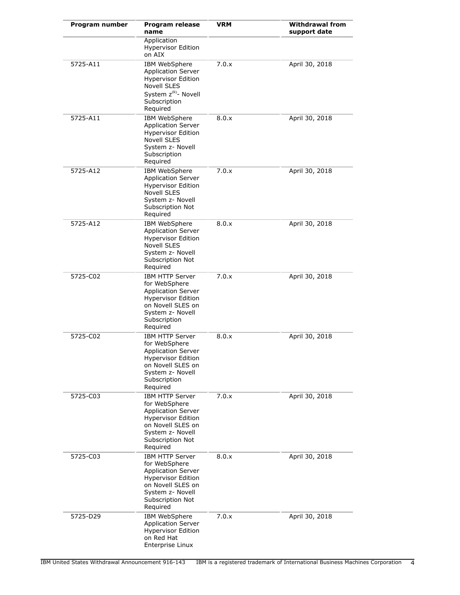| Program number | <b>Program release</b><br>name                                                                                                                                             | VRM   | <b>Withdrawal from</b><br>support date |
|----------------|----------------------------------------------------------------------------------------------------------------------------------------------------------------------------|-------|----------------------------------------|
|                | Application<br><b>Hypervisor Edition</b><br>on AIX                                                                                                                         |       |                                        |
| 5725-A11       | IBM WebSphere<br><b>Application Server</b><br><b>Hypervisor Edition</b><br>Novell SLES<br>System z <sup>(R)</sup> - Novell<br>Subscription<br>Required                     | 7.0.x | April 30, 2018                         |
| 5725-A11       | IBM WebSphere<br><b>Application Server</b><br><b>Hypervisor Edition</b><br>Novell SLES<br>System z- Novell<br>Subscription<br>Required                                     | 8.0.x | April 30, 2018                         |
| 5725-A12       | IBM WebSphere<br><b>Application Server</b><br><b>Hypervisor Edition</b><br><b>Novell SLES</b><br>System z- Novell<br>Subscription Not<br>Required                          | 7.0.x | April 30, 2018                         |
| 5725-A12       | IBM WebSphere<br><b>Application Server</b><br><b>Hypervisor Edition</b><br><b>Novell SLES</b><br>System z- Novell<br>Subscription Not<br>Required                          | 8.0.x | April 30, 2018                         |
| 5725-C02       | <b>IBM HTTP Server</b><br>for WebSphere<br><b>Application Server</b><br><b>Hypervisor Edition</b><br>on Novell SLES on<br>System z- Novell<br>Subscription<br>Required     | 7.0.x | April 30, 2018                         |
| 5725-C02       | <b>IBM HTTP Server</b><br>for WebSphere<br><b>Application Server</b><br><b>Hypervisor Edition</b><br>on Novell SLES on<br>System z- Novell<br>Subscription<br>Required     | 8.0.x | April 30, 2018                         |
| 5725-C03       | <b>IBM HTTP Server</b><br>for WebSphere<br><b>Application Server</b><br><b>Hypervisor Edition</b><br>on Novell SLES on<br>System z- Novell<br>Subscription Not<br>Required | 7.0.x | April 30, 2018                         |
| 5725-C03       | IBM HTTP Server<br>for WebSphere<br><b>Application Server</b><br><b>Hypervisor Edition</b><br>on Novell SLES on<br>System z- Novell<br>Subscription Not<br>Required        | 8.0.x | April 30, 2018                         |
| 5725-D29       | <b>IBM WebSphere</b><br><b>Application Server</b><br><b>Hypervisor Edition</b><br>on Red Hat<br>Enterprise Linux                                                           | 7.0.x | April 30, 2018                         |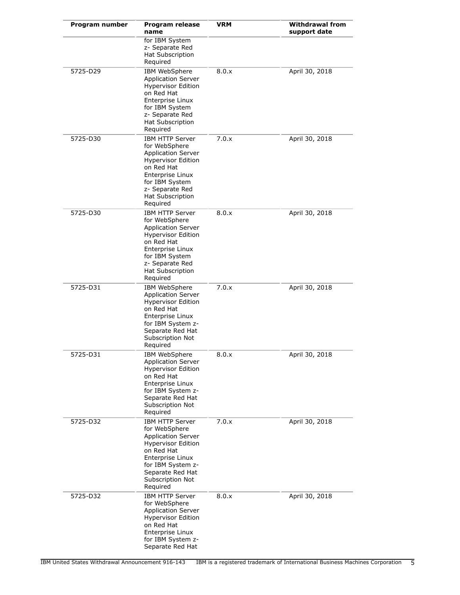| Program number | Program release<br>name                                                                                                                                                                                         | VRM   | <b>Withdrawal from</b><br>support date |
|----------------|-----------------------------------------------------------------------------------------------------------------------------------------------------------------------------------------------------------------|-------|----------------------------------------|
|                | for IBM System<br>z- Separate Red<br>Hat Subscription<br>Required                                                                                                                                               |       |                                        |
| 5725-D29       | IBM WebSphere<br><b>Application Server</b><br><b>Hypervisor Edition</b><br>on Red Hat<br>Enterprise Linux<br>for IBM System<br>z- Separate Red<br><b>Hat Subscription</b><br>Required                           | 8.0.x | April 30, 2018                         |
| 5725-D30       | <b>IBM HTTP Server</b><br>for WebSphere<br><b>Application Server</b><br><b>Hypervisor Edition</b><br>on Red Hat<br>Enterprise Linux<br>for IBM System<br>z- Separate Red<br><b>Hat Subscription</b><br>Required | 7.0.x | April 30, 2018                         |
| 5725-D30       | <b>IBM HTTP Server</b><br>for WebSphere<br><b>Application Server</b><br><b>Hypervisor Edition</b><br>on Red Hat<br>Enterprise Linux<br>for IBM System<br>z- Separate Red<br>Hat Subscription<br>Required        | 8.0.x | April 30, 2018                         |
| 5725-D31       | IBM WebSphere<br><b>Application Server</b><br><b>Hypervisor Edition</b><br>on Red Hat<br>Enterprise Linux<br>for IBM System z-<br>Separate Red Hat<br>Subscription Not<br>Required                              | 7.0.x | April 30, 2018                         |
| 5725-D31       | IBM WebSphere<br><b>Application Server</b><br><b>Hypervisor Edition</b><br>on Red Hat<br><b>Enterprise Linux</b><br>for IBM System z-<br>Separate Red Hat<br>Subscription Not<br>Required                       | 8.0.x | April 30, 2018                         |
| 5725-D32       | <b>IBM HTTP Server</b><br>for WebSphere<br><b>Application Server</b><br><b>Hypervisor Edition</b><br>on Red Hat<br>Enterprise Linux<br>for IBM System z-<br>Separate Red Hat<br>Subscription Not<br>Required    | 7.0.x | April 30, 2018                         |
| 5725-D32       | IBM HTTP Server<br>for WebSphere<br><b>Application Server</b><br><b>Hypervisor Edition</b><br>on Red Hat<br>Enterprise Linux<br>for IBM System z-<br>Separate Red Hat                                           | 8.0.x | April 30, 2018                         |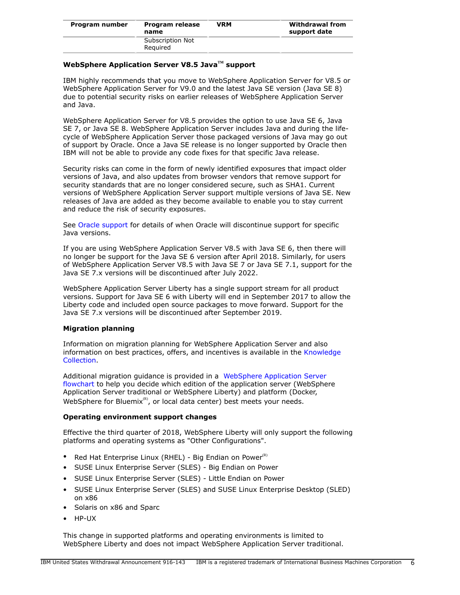| Program number | Program release<br>name      | VRM | <b>Withdrawal from</b><br>support date |
|----------------|------------------------------|-----|----------------------------------------|
|                | Subscription Not<br>Reguired |     |                                        |

# **WebSphere Application Server V8.5 JavaTM support**

IBM highly recommends that you move to WebSphere Application Server for V8.5 or WebSphere Application Server for V9.0 and the latest Java SE version (Java SE 8) due to potential security risks on earlier releases of WebSphere Application Server and Java.

WebSphere Application Server for V8.5 provides the option to use Java SE 6, Java SE 7, or Java SE 8. WebSphere Application Server includes Java and during the lifecycle of WebSphere Application Server those packaged versions of Java may go out of support by Oracle. Once a Java SE release is no longer supported by Oracle then IBM will not be able to provide any code fixes for that specific Java release.

Security risks can come in the form of newly identified exposures that impact older versions of Java, and also updates from browser vendors that remove support for security standards that are no longer considered secure, such as SHA1. Current versions of WebSphere Application Server support multiple versions of Java SE. New releases of Java are added as they become available to enable you to stay current and reduce the risk of security exposures.

See [Oracle support](http://www.oracle.com/technetwork/java/eol-135779.html) for details of when Oracle will discontinue support for specific Java versions.

If you are using WebSphere Application Server V8.5 with Java SE 6, then there will no longer be support for the Java SE 6 version after April 2018. Similarly, for users of WebSphere Application Server V8.5 with Java SE 7 or Java SE 7.1, support for the Java SE 7.x versions will be discontinued after July 2022.

WebSphere Application Server Liberty has a single support stream for all product versions. Support for Java SE 6 with Liberty will end in September 2017 to allow the Liberty code and included open source packages to move forward. Support for the Java SE 7.x versions will be discontinued after September 2019.

#### **Migration planning**

Information on migration planning for WebSphere Application Server and also information on best practices, offers, and incentives is available in the [Knowledge](http://www-01.ibm.com/support/docview.wss?uid=swg27008724) [Collection.](http://www-01.ibm.com/support/docview.wss?uid=swg27008724)

Additional migration guidance is provided in a [WebSphere Application Server](http://whichwas.mybluemix.net/) [flowchart](http://whichwas.mybluemix.net/) to help you decide which edition of the application server (WebSphere Application Server traditional or WebSphere Liberty) and platform (Docker, WebSphere for Bluemix $<sup>R</sup>$ , or local data center) best meets your needs.</sup>

## **Operating environment support changes**

Effective the third quarter of 2018, WebSphere Liberty will only support the following platforms and operating systems as "Other Configurations".

- Red Hat Enterprise Linux (RHEL) Big Endian on Power $\binom{R}{k}$
- SUSE Linux Enterprise Server (SLES) Big Endian on Power
- SUSE Linux Enterprise Server (SLES) Little Endian on Power
- SUSE Linux Enterprise Server (SLES) and SUSE Linux Enterprise Desktop (SLED) on x86
- Solaris on x86 and Sparc
- HP-UX

This change in supported platforms and operating environments is limited to WebSphere Liberty and does not impact WebSphere Application Server traditional.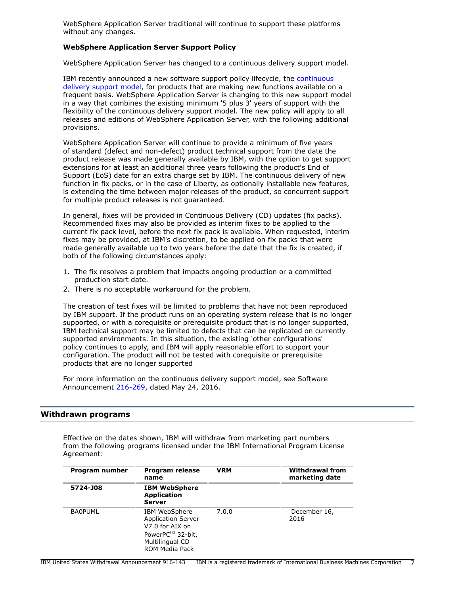WebSphere Application Server traditional will continue to support these platforms without any changes.

### **WebSphere Application Server Support Policy**

WebSphere Application Server has changed to a continuous delivery support model.

IBM recently announced a new software support policy lifecycle, the [continuous](http://www-01.ibm.com/software/support/lifecycle/cd-policy.html) [delivery support model](http://www-01.ibm.com/software/support/lifecycle/cd-policy.html), for products that are making new functions available on a frequent basis. WebSphere Application Server is changing to this new support model in a way that combines the existing minimum '5 plus 3' years of support with the flexibility of the continuous delivery support model. The new policy will apply to all releases and editions of WebSphere Application Server, with the following additional provisions.

WebSphere Application Server will continue to provide a minimum of five years of standard (defect and non-defect) product technical support from the date the product release was made generally available by IBM, with the option to get support extensions for at least an additional three years following the product's End of Support (EoS) date for an extra charge set by IBM. The continuous delivery of new function in fix packs, or in the case of Liberty, as optionally installable new features, is extending the time between major releases of the product, so concurrent support for multiple product releases is not guaranteed.

In general, fixes will be provided in Continuous Delivery (CD) updates (fix packs). Recommended fixes may also be provided as interim fixes to be applied to the current fix pack level, before the next fix pack is available. When requested, interim fixes may be provided, at IBM's discretion, to be applied on fix packs that were made generally available up to two years before the date that the fix is created, if both of the following circumstances apply:

- 1. The fix resolves a problem that impacts ongoing production or a committed production start date.
- 2. There is no acceptable workaround for the problem.

The creation of test fixes will be limited to problems that have not been reproduced by IBM support. If the product runs on an operating system release that is no longer supported, or with a corequisite or prerequisite product that is no longer supported, IBM technical support may be limited to defects that can be replicated on currently supported environments. In this situation, the existing 'other configurations' policy continues to apply, and IBM will apply reasonable effort to support your configuration. The product will not be tested with corequisite or prerequisite products that are no longer supported

For more information on the continuous delivery support model, see Software Announcement [216-269](http://www.ibm.com/common/ssi/cgi-bin/ssialias?infotype=an&subtype=ca&appname=gpateam&supplier=897&letternum=ENUS216-269), dated May 24, 2016.

#### <span id="page-6-0"></span>**Withdrawn programs**

Effective on the dates shown, IBM will withdraw from marketing part numbers from the following programs licensed under the IBM International Program License Agreement:

| Program number | Program release<br>name                                                                                                        | <b>VRM</b> | <b>Withdrawal from</b><br>marketing date |
|----------------|--------------------------------------------------------------------------------------------------------------------------------|------------|------------------------------------------|
| 5724-J08       | <b>IBM WebSphere</b><br><b>Application</b><br><b>Server</b>                                                                    |            |                                          |
| <b>BA0PUML</b> | IBM WebSphere<br><b>Application Server</b><br>V7.0 for AIX on<br>Power $PC^{(R)}$ 32-bit,<br>Multilingual CD<br>ROM Media Pack | 7.0.0      | December 16,<br>2016                     |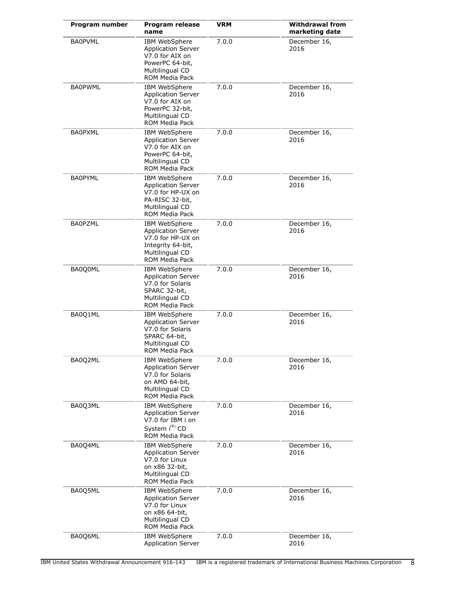| Program number | Program release<br>name                                                                                                               | <b>VRM</b> | <b>Withdrawal from</b><br>marketing date |
|----------------|---------------------------------------------------------------------------------------------------------------------------------------|------------|------------------------------------------|
| <b>BA0PVML</b> | <b>IBM WebSphere</b><br>Application Server<br>V7.0 for AIX on<br>PowerPC 64-bit,<br>Multilingual CD<br>ROM Media Pack                 | 7.0.0      | December 16,<br>2016                     |
| <b>BA0PWML</b> | IBM WebSphere<br><b>Application Server</b><br>V7.0 for AIX on<br>PowerPC 32-bit,<br>Multilingual CD<br>ROM Media Pack                 | 7.0.0      | December 16,<br>2016                     |
| <b>BA0PXML</b> | <b>IBM WebSphere</b><br><b>Application Server</b><br>V7.0 for AIX on<br>PowerPC 64-bit,<br>Multilingual CD<br><b>ROM Media Pack</b>   | 7.0.0      | December 16,<br>2016                     |
| <b>BA0PYML</b> | <b>IBM WebSphere</b><br><b>Application Server</b><br>V7.0 for HP-UX on<br>PA-RISC 32-bit,<br>Multilingual CD<br><b>ROM Media Pack</b> | 7.0.0      | December 16,<br>2016                     |
| <b>BA0PZML</b> | IBM WebSphere<br><b>Application Server</b><br>V7.0 for HP-UX on<br>Integrity 64-bit,<br>Multilingual CD<br>ROM Media Pack             | 7.0.0      | December 16,<br>2016                     |
| BA0Q0ML        | IBM WebSphere<br><b>Application Server</b><br>V7.0 for Solaris<br>SPARC 32-bit,<br>Multilingual CD<br>ROM Media Pack                  | 7.0.0      | December 16,<br>2016                     |
| BA0Q1ML        | IBM WebSphere<br><b>Application Server</b><br>V7.0 for Solaris<br>SPARC 64-bit,<br>Multilingual CD<br><b>ROM Media Pack</b>           | 7.0.0      | December 16,<br>2016                     |
| BA0Q2ML        | IBM WebSphere<br><b>Application Server</b><br>V7.0 for Solaris<br>on AMD 64-bit,<br>Multilingual CD<br>ROM Media Pack                 | 7.0.0      | December 16,<br>2016                     |
| BA0Q3ML        | <b>IBM WebSphere</b><br><b>Application Server</b><br>V7.0 for IBM i on<br>System i(R) CD<br><b>ROM Media Pack</b>                     | 7.0.0      | December 16,<br>2016                     |
| BA0Q4ML        | <b>IBM WebSphere</b><br><b>Application Server</b><br>V7.0 for Linux<br>on x86 32-bit,<br>Multilingual CD<br>ROM Media Pack            | 7.0.0      | December 16,<br>2016                     |
| BA0Q5ML        | <b>IBM WebSphere</b><br><b>Application Server</b><br>V7.0 for Linux<br>on x86 64-bit,<br>Multilingual CD<br>ROM Media Pack            | 7.0.0      | December 16,<br>2016                     |
| BA0Q6ML        | IBM WebSphere<br><b>Application Server</b>                                                                                            | 7.0.0      | December 16,<br>2016                     |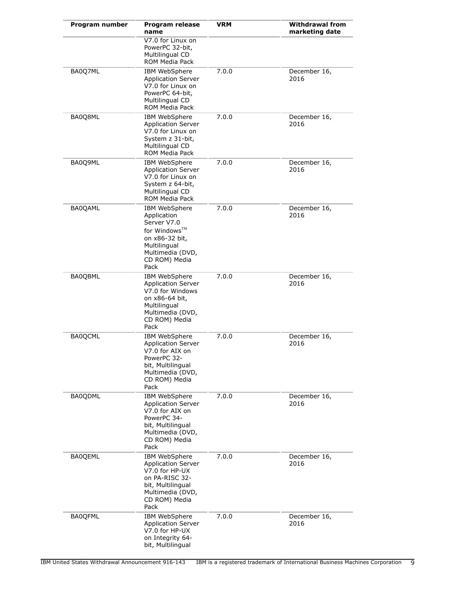| Program number | Program release<br>name                                                                                                                          | VRM   | <b>Withdrawal from</b><br>marketing date |
|----------------|--------------------------------------------------------------------------------------------------------------------------------------------------|-------|------------------------------------------|
|                | V7.0 for Linux on<br>PowerPC 32-bit,<br>Multilingual CD<br>ROM Media Pack                                                                        |       |                                          |
| BA0Q7ML        | IBM WebSphere<br><b>Application Server</b><br>V7.0 for Linux on<br>PowerPC 64-bit,<br>Multilingual CD<br>ROM Media Pack                          | 7.0.0 | December 16,<br>2016                     |
| BA0Q8ML        | IBM WebSphere<br><b>Application Server</b><br>V7.0 for Linux on<br>System z 31-bit,<br>Multilingual CD<br>ROM Media Pack                         | 7.0.0 | December 16,<br>2016                     |
| BA0Q9ML        | IBM WebSphere<br><b>Application Server</b><br>V7.0 for Linux on<br>System z 64-bit,<br>Multilingual CD<br>ROM Media Pack                         | 7.0.0 | December 16,<br>2016                     |
| BA0QAML        | IBM WebSphere<br>Application<br>Server V7.0<br>for Windows™<br>on x86-32 bit,<br>Multilingual<br>Multimedia (DVD,<br>CD ROM) Media<br>Pack       | 7.0.0 | December 16,<br>2016                     |
| BA0QBML        | IBM WebSphere<br><b>Application Server</b><br>V7.0 for Windows<br>on x86-64 bit,<br>Multilingual<br>Multimedia (DVD,<br>CD ROM) Media<br>Pack    | 7.0.0 | December 16,<br>2016                     |
| <b>BA0OCML</b> | IBM WebSphere<br><b>Application Server</b><br>V7.0 for AIX on<br>PowerPC 32-<br>bit, Multilingual<br>Multimedia (DVD,<br>CD ROM) Media<br>Pack   | 7.0.0 | December 16,<br>2016                     |
| <b>BA0QDML</b> | IBM WebSphere<br><b>Application Server</b><br>V7.0 for AIX on<br>PowerPC 34-<br>bit, Multilingual<br>Multimedia (DVD,<br>CD ROM) Media<br>Pack   | 7.0.0 | December 16,<br>2016                     |
| <b>BA0QEML</b> | IBM WebSphere<br><b>Application Server</b><br>V7.0 for HP-UX<br>on PA-RISC 32-<br>bit, Multilingual<br>Multimedia (DVD,<br>CD ROM) Media<br>Pack | 7.0.0 | December 16,<br>2016                     |
| <b>BA0QFML</b> | IBM WebSphere<br><b>Application Server</b><br>V7.0 for HP-UX<br>on Integrity 64-<br>bit, Multilingual                                            | 7.0.0 | December 16,<br>2016                     |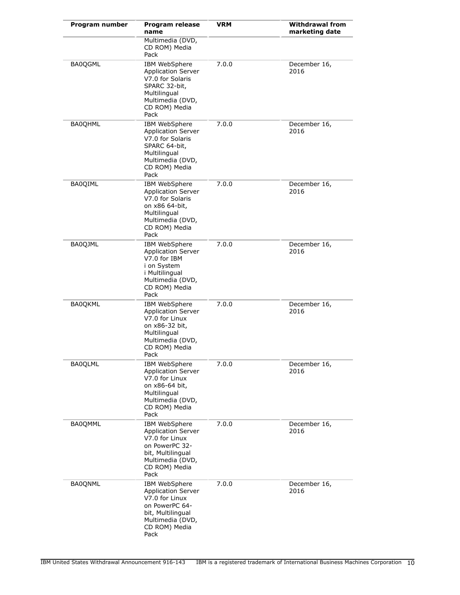| Program number | <b>Program release</b><br>name                                                                                                                          | <b>VRM</b> | <b>Withdrawal from</b><br>marketing date |
|----------------|---------------------------------------------------------------------------------------------------------------------------------------------------------|------------|------------------------------------------|
|                | Multimedia (DVD,<br>CD ROM) Media<br>Pack                                                                                                               |            |                                          |
| <b>BA0QGML</b> | <b>IBM WebSphere</b><br><b>Application Server</b><br>V7.0 for Solaris<br>SPARC 32-bit,<br>Multilingual<br>Multimedia (DVD,<br>CD ROM) Media<br>Pack     | 7.0.0      | December 16,<br>2016                     |
| <b>BA0QHML</b> | <b>IBM WebSphere</b><br><b>Application Server</b><br>V7.0 for Solaris<br>SPARC 64-bit,<br>Multilingual<br>Multimedia (DVD,<br>CD ROM) Media<br>Pack     | 7.0.0      | December 16,<br>2016                     |
| <b>BA0QIML</b> | IBM WebSphere<br><b>Application Server</b><br>V7.0 for Solaris<br>on x86 64-bit,<br>Multilingual<br>Multimedia (DVD,<br>CD ROM) Media<br>Pack           | 7.0.0      | December 16,<br>2016                     |
| BA0QJML        | IBM WebSphere<br><b>Application Server</b><br>V7.0 for IBM<br>i on System<br>i Multilingual<br>Multimedia (DVD,<br>CD ROM) Media<br>Pack                | 7.0.0      | December 16,<br>2016                     |
| <b>BA0QKML</b> | <b>IBM WebSphere</b><br><b>Application Server</b><br>V7.0 for Linux<br>on x86-32 bit,<br>Multilingual<br>Multimedia (DVD,<br>CD ROM) Media<br>Pack      | 7.0.0      | December 16,<br>2016                     |
| <b>BA0QLML</b> | IBM WebSphere<br><b>Application Server</b><br>V7.0 for Linux<br>on x86-64 bit,<br>Multilingual<br>Multimedia (DVD,<br>CD ROM) Media<br>Pack             | 7.0.0      | December 16,<br>2016                     |
| <b>BA0QMML</b> | <b>IBM WebSphere</b><br><b>Application Server</b><br>V7.0 for Linux<br>on PowerPC 32-<br>bit, Multilingual<br>Multimedia (DVD,<br>CD ROM) Media<br>Pack | 7.0.0      | December 16,<br>2016                     |
| <b>BA0QNML</b> | <b>IBM WebSphere</b><br><b>Application Server</b><br>V7.0 for Linux<br>on PowerPC 64-<br>bit, Multilingual<br>Multimedia (DVD,<br>CD ROM) Media<br>Pack | 7.0.0      | December 16,<br>2016                     |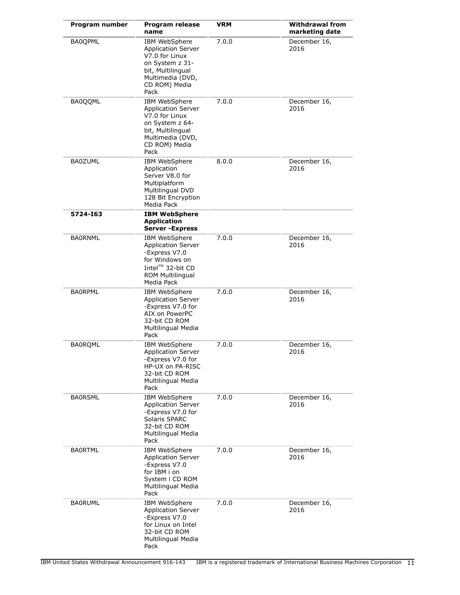| Program number | Program release<br>name                                                                                                                                  | VRM   | <b>Withdrawal from</b><br>marketing date |
|----------------|----------------------------------------------------------------------------------------------------------------------------------------------------------|-------|------------------------------------------|
| <b>BA0QPML</b> | <b>IBM WebSphere</b><br><b>Application Server</b><br>V7.0 for Linux<br>on System z 31-<br>bit, Multilingual<br>Multimedia (DVD,<br>CD ROM) Media<br>Pack | 7.0.0 | December 16,<br>2016                     |
| BA0QQML        | IBM WebSphere<br><b>Application Server</b><br>V7.0 for Linux<br>on System z 64-<br>bit, Multilingual<br>Multimedia (DVD,<br>CD ROM) Media<br>Pack        | 7.0.0 | December 16,<br>2016                     |
| <b>BA0ZUML</b> | IBM WebSphere<br>Application<br>Server V8.0 for<br>Multiplatform<br>Multilingual DVD<br>128 Bit Encryption<br>Media Pack                                 | 8.0.0 | December 16,<br>2016                     |
| 5724-163       | <b>IBM WebSphere</b><br><b>Application</b><br><b>Server - Express</b>                                                                                    |       |                                          |
| <b>BAORNML</b> | IBM WebSphere<br><b>Application Server</b><br>-Express V7.0<br>for Windows on<br>Intel™ 32-bit CD<br>ROM Multilingual<br>Media Pack                      | 7.0.0 | December 16,<br>2016                     |
| <b>BAORPML</b> | IBM WebSphere<br><b>Application Server</b><br>-Express V7.0 for<br>AIX on PowerPC<br>32-bit CD ROM<br>Multilingual Media<br>Pack                         | 7.0.0 | December 16,<br>2016                     |
| <b>BA0ROML</b> | <b>IBM WebSphere</b><br><b>Application Server</b><br>-Express V7.0 for<br>HP-UX on PA-RISC<br>32-bit CD ROM<br>Multilingual Media<br>Pack                | 7.0.0 | December 16,<br>2016                     |
| <b>BAORSML</b> | IBM WebSphere<br><b>Application Server</b><br>-Express V7.0 for<br>Solaris SPARC<br>32-bit CD ROM<br>Multilingual Media<br>Pack                          | 7.0.0 | December 16,<br>2016                     |
| <b>BA0RTML</b> | IBM WebSphere<br><b>Application Server</b><br>-Express V7.0<br>for IBM i on<br>System i CD ROM<br>Multilingual Media<br>Pack                             | 7.0.0 | December 16,<br>2016                     |
| <b>BA0RUML</b> | IBM WebSphere<br><b>Application Server</b><br>-Express V7.0<br>for Linux on Intel<br>32-bit CD ROM<br>Multilingual Media<br>Pack                         | 7.0.0 | December 16,<br>2016                     |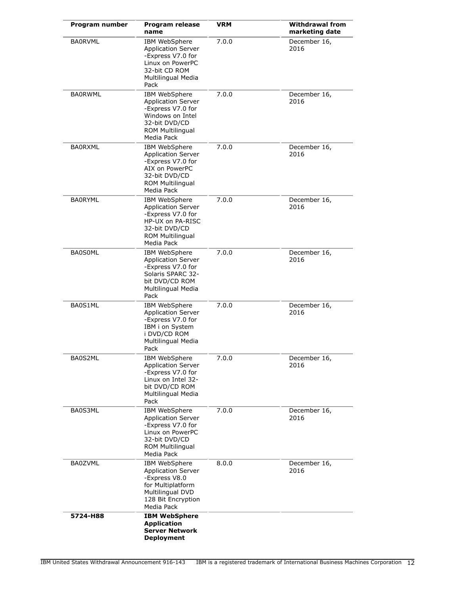| Program number | Program release<br>name                                                                                                                       | VRM   | <b>Withdrawal from</b><br>marketing date |
|----------------|-----------------------------------------------------------------------------------------------------------------------------------------------|-------|------------------------------------------|
| <b>BA0RVML</b> | IBM WebSphere<br><b>Application Server</b><br>-Express V7.0 for<br>Linux on PowerPC<br>32-bit CD ROM<br>Multilingual Media<br>Pack            | 7.0.0 | December 16,<br>2016                     |
| <b>BA0RWML</b> | IBM WebSphere<br><b>Application Server</b><br>-Express V7.0 for<br>Windows on Intel<br>32-bit DVD/CD<br><b>ROM Multilingual</b><br>Media Pack | 7.0.0 | December 16,<br>2016                     |
| <b>BAORXML</b> | <b>IBM WebSphere</b><br><b>Application Server</b><br>-Express V7.0 for<br>AIX on PowerPC<br>32-bit DVD/CD<br>ROM Multilingual<br>Media Pack   | 7.0.0 | December 16,<br>2016                     |
| <b>BA0RYML</b> | IBM WebSphere<br><b>Application Server</b><br>-Express V7.0 for<br>HP-UX on PA-RISC<br>32-bit DVD/CD<br><b>ROM Multilingual</b><br>Media Pack | 7.0.0 | December 16,<br>2016                     |
| <b>BA0S0ML</b> | IBM WebSphere<br><b>Application Server</b><br>-Express V7.0 for<br>Solaris SPARC 32-<br>bit DVD/CD ROM<br>Multilingual Media<br>Pack          | 7.0.0 | December 16,<br>2016                     |
| BA0S1ML        | IBM WebSphere<br><b>Application Server</b><br>-Express V7.0 for<br>IBM i on System<br>i DVD/CD ROM<br>Multilingual Media<br>Pack              | 7.0.0 | December 16,<br>2016                     |
| BA0S2ML        | <b>IBM WebSphere</b><br><b>Application Server</b><br>-Express V7.0 for<br>Linux on Intel 32-<br>bit DVD/CD ROM<br>Multilingual Media<br>Pack  | 7.0.0 | December 16,<br>2016                     |
| BA0S3ML        | IBM WebSphere<br><b>Application Server</b><br>-Express V7.0 for<br>Linux on PowerPC<br>32-bit DVD/CD<br>ROM Multilingual<br>Media Pack        | 7.0.0 | December 16,<br>2016                     |
| <b>BA0ZVML</b> | IBM WebSphere<br><b>Application Server</b><br>-Express V8.0<br>for Multiplatform<br>Multilingual DVD<br>128 Bit Encryption<br>Media Pack      | 8.0.0 | December 16,<br>2016                     |
| 5724-H88       | <b>IBM WebSphere</b><br><b>Application</b><br><b>Server Network</b><br><b>Deployment</b>                                                      |       |                                          |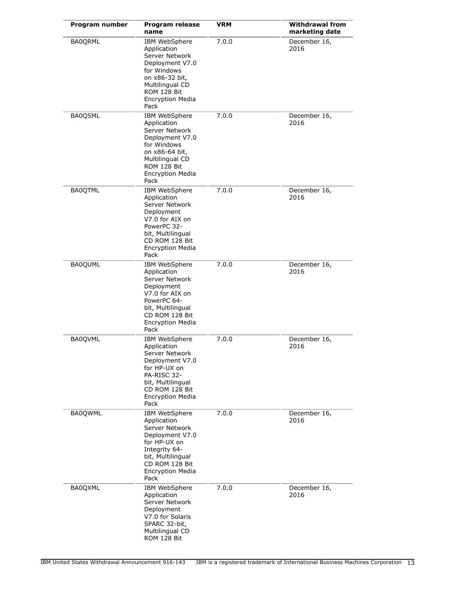| Program number | Program release<br>name                                                                                                                                                               | <b>VRM</b> | <b>Withdrawal from</b><br>marketing date |
|----------------|---------------------------------------------------------------------------------------------------------------------------------------------------------------------------------------|------------|------------------------------------------|
| <b>BA0QRML</b> | <b>IBM WebSphere</b><br>Application<br>Server Network<br>Deployment V7.0<br>for Windows<br>on x86-32 bit,<br>Multilingual CD<br><b>ROM 128 Bit</b><br><b>Encryption Media</b><br>Pack | 7.0.0      | December 16,<br>2016                     |
| <b>BA0QSML</b> | IBM WebSphere<br>Application<br>Server Network<br>Deployment V7.0<br>for Windows<br>on x86-64 bit,<br>Multilingual CD<br>ROM 128 Bit<br><b>Encryption Media</b><br>Pack               | 7.0.0      | December 16,<br>2016                     |
| <b>BA0QTML</b> | IBM WebSphere<br>Application<br>Server Network<br>Deployment<br>V7.0 for AIX on<br>PowerPC 32-<br>bit, Multilingual<br>CD ROM 128 Bit<br><b>Encryption Media</b><br>Pack              | 7.0.0      | December 16,<br>2016                     |
| <b>BA0QUML</b> | IBM WebSphere<br>Application<br>Server Network<br>Deployment<br>V7.0 for AIX on<br>PowerPC 64-<br>bit, Multilingual<br>CD ROM 128 Bit<br><b>Encryption Media</b><br>Pack              | 7.0.0      | December 16,<br>2016                     |
| <b>BA0QVML</b> | IBM WebSphere<br>Application<br>Server Network<br>Deployment V7.0<br>for HP-UX on<br>PA-RISC 32-<br>bit, Multilingual<br>CD ROM 128 Bit<br><b>Encryption Media</b><br>Pack            | 7.0.0      | December 16,<br>2016                     |
| <b>BA0QWML</b> | IBM WebSphere<br>Application<br>Server Network<br>Deployment V7.0<br>for HP-UX on<br>Integrity 64-<br>bit, Multilingual<br>CD ROM 128 Bit<br><b>Encryption Media</b><br>Pack          | 7.0.0      | December 16,<br>2016                     |
| BA0QXML        | IBM WebSphere<br>Application<br>Server Network<br>Deployment<br>V7.0 for Solaris<br>SPARC 32-bit,<br>Multilingual CD<br>ROM 128 Bit                                                   | 7.0.0      | December 16,<br>2016                     |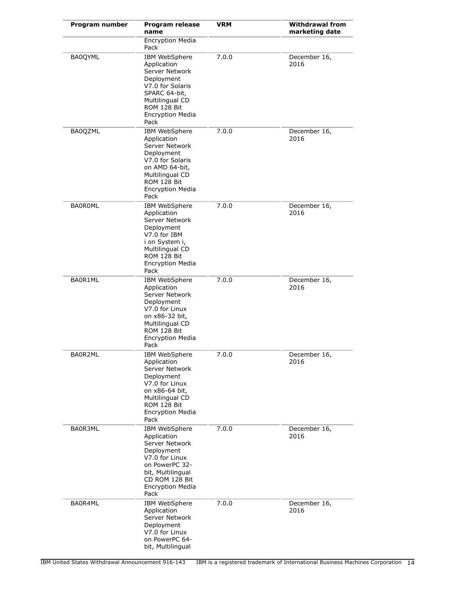| Program number | <b>Program release</b><br>name                                                                                                                                             | <b>VRM</b> | <b>Withdrawal from</b><br>marketing date |
|----------------|----------------------------------------------------------------------------------------------------------------------------------------------------------------------------|------------|------------------------------------------|
|                | <b>Encryption Media</b><br>Pack                                                                                                                                            |            |                                          |
| BA0QYML        | IBM WebSphere<br>Application<br>Server Network<br>Deployment<br>V7.0 for Solaris<br>SPARC 64-bit,<br>Multilingual CD<br>ROM 128 Bit<br><b>Encryption Media</b><br>Pack     | 7.0.0      | December 16,<br>2016                     |
| BA0QZML        | IBM WebSphere<br>Application<br>Server Network<br>Deployment<br>V7.0 for Solaris<br>on AMD 64-bit,<br>Multilingual CD<br>ROM 128 Bit<br><b>Encryption Media</b><br>Pack    | 7.0.0      | December 16,<br>2016                     |
| <b>BA0R0ML</b> | IBM WebSphere<br>Application<br>Server Network<br>Deployment<br>V7.0 for IBM<br>i on System i,<br>Multilingual CD<br>ROM 128 Bit<br><b>Encryption Media</b><br>Pack        | 7.0.0      | December 16,<br>2016                     |
| BA0R1ML        | IBM WebSphere<br>Application<br>Server Network<br>Deployment<br>V7.0 for Linux<br>on x86-32 bit,<br>Multilingual CD<br>ROM 128 Bit<br><b>Encryption Media</b><br>Pack      | 7.0.0      | December 16,<br>2016                     |
| BA0R2ML        | IBM WebSphere<br>Application<br>Server Network<br>Deployment<br>V7.0 for Linux<br>on x86-64 bit,<br>Multilingual CD<br>ROM 128 Bit<br><b>Encryption Media</b><br>Pack      | 7.0.0      | December 16,<br>2016                     |
| BA0R3ML        | IBM WebSphere<br>Application<br>Server Network<br>Deployment<br>V7.0 for Linux<br>on PowerPC 32-<br>bit, Multilingual<br>CD ROM 128 Bit<br><b>Encryption Media</b><br>Pack | 7.0.0      | December 16,<br>2016                     |
| BA0R4ML        | IBM WebSphere<br>Application<br>Server Network<br>Deployment<br>V7.0 for Linux<br>on PowerPC 64-<br>bit, Multilingual                                                      | 7.0.0      | December 16,<br>2016                     |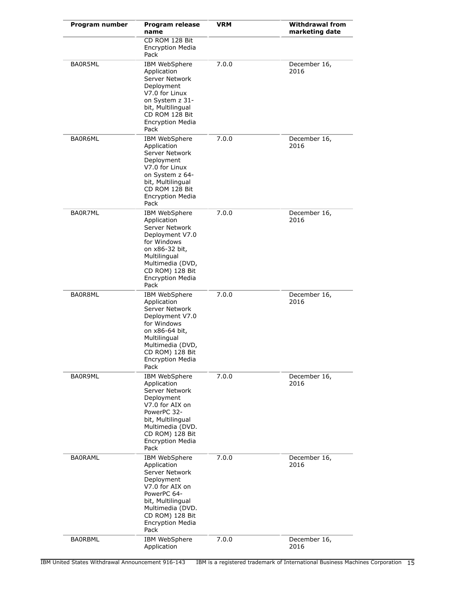| Program number | <b>Program release</b><br>name                                                                                                                                                                | <b>VRM</b> | <b>Withdrawal from</b><br>marketing date |
|----------------|-----------------------------------------------------------------------------------------------------------------------------------------------------------------------------------------------|------------|------------------------------------------|
|                | CD ROM 128 Bit<br><b>Encryption Media</b><br>Pack                                                                                                                                             |            |                                          |
| BA0R5ML        | IBM WebSphere<br>Application<br>Server Network<br>Deployment<br>V7.0 for Linux<br>on System z 31-<br>bit, Multilingual<br>CD ROM 128 Bit<br><b>Encryption Media</b><br>Pack                   | 7.0.0      | December 16,<br>2016                     |
| BA0R6ML        | IBM WebSphere<br>Application<br>Server Network<br>Deployment<br>V7.0 for Linux<br>on System z 64-<br>bit, Multilingual<br>CD ROM 128 Bit<br><b>Encryption Media</b><br>Pack                   | 7.0.0      | December 16,<br>2016                     |
| BA0R7ML        | IBM WebSphere<br>Application<br>Server Network<br>Deployment V7.0<br>for Windows<br>on x86-32 bit,<br>Multilingual<br>Multimedia (DVD,<br>CD ROM) 128 Bit<br><b>Encryption Media</b><br>Pack  | 7.0.0      | December 16,<br>2016                     |
| BA0R8ML        | IBM WebSphere<br>Application<br>Server Network<br>Deployment V7.0<br>for Windows<br>on x86-64 bit,<br>Multilingual<br>Multimedia (DVD,<br>CD ROM) 128 Bit<br><b>Encryption Media</b><br>Pack  | 7.0.0      | December 16,<br>2016                     |
| BA0R9ML        | IBM WebSphere<br>Application<br>Server Network<br>Deployment<br>V7.0 for AIX on<br>PowerPC 32-<br>bit, Multilingual<br>Multimedia (DVD.<br>CD ROM) 128 Bit<br><b>Encryption Media</b><br>Pack | 7.0.0      | December 16,<br>2016                     |
| <b>BAORAML</b> | IBM WebSphere<br>Application<br>Server Network<br>Deployment<br>V7.0 for AIX on<br>PowerPC 64-<br>bit, Multilingual<br>Multimedia (DVD.<br>CD ROM) 128 Bit<br><b>Encryption Media</b><br>Pack | 7.0.0      | December 16,<br>2016                     |
| <b>BAORBML</b> | IBM WebSphere<br>Application                                                                                                                                                                  | 7.0.0      | December 16,<br>2016                     |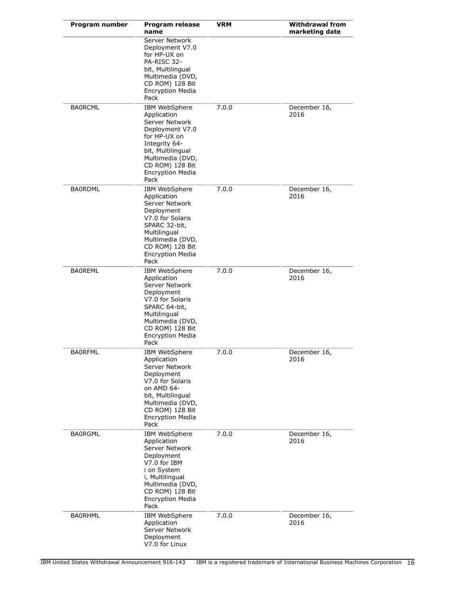| Program number | Program release<br>name                                                                                                                                                                           | <b>VRM</b> | <b>Withdrawal from</b><br>marketing date |
|----------------|---------------------------------------------------------------------------------------------------------------------------------------------------------------------------------------------------|------------|------------------------------------------|
|                | Server Network<br>Deployment V7.0<br>for HP-UX on<br>PA-RISC 32-<br>bit, Multilingual<br>Multimedia (DVD,<br>CD ROM) 128 Bit<br><b>Encryption Media</b><br>Pack                                   |            |                                          |
| <b>BAORCML</b> | IBM WebSphere<br>Application<br>Server Network<br>Deployment V7.0<br>for HP-UX on<br>Integrity 64-<br>bit, Multilingual<br>Multimedia (DVD,<br>CD ROM) 128 Bit<br><b>Encryption Media</b><br>Pack | 7.0.0      | December 16,<br>2016                     |
| <b>BA0RDML</b> | IBM WebSphere<br>Application<br>Server Network<br>Deployment<br>V7.0 for Solaris<br>SPARC 32-bit,<br>Multilingual<br>Multimedia (DVD,<br>CD ROM) 128 Bit<br><b>Encryption Media</b><br>Pack       | 7.0.0      | December 16,<br>2016                     |
| <b>BAOREML</b> | IBM WebSphere<br>Application<br>Server Network<br>Deployment<br>V7.0 for Solaris<br>SPARC 64-bit,<br>Multilingual<br>Multimedia (DVD,<br>CD ROM) 128 Bit<br><b>Encryption Media</b><br>Pack       | 7.0.0      | December 16,<br>2016                     |
| <b>BAORFML</b> | IBM WebSphere<br>Application<br>Server Network<br>Deployment<br>V7.0 for Solaris<br>on AMD 64-<br>bit, Multilingual<br>Multimedia (DVD,<br>CD ROM) 128 Bit<br><b>Encryption Media</b><br>Pack     | 7.0.0      | December 16,<br>2016                     |
| <b>BAORGML</b> | IBM WebSphere<br>Application<br>Server Network<br>Deployment<br>V7.0 for IBM<br>i on System<br>i, Multilingual<br>Multimedia (DVD,<br>CD ROM) 128 Bit<br><b>Encryption Media</b><br>Pack          | 7.0.0      | December 16,<br>2016                     |
| <b>BAORHML</b> | IBM WebSphere<br>Application<br>Server Network<br>Deployment<br>V7.0 for Linux                                                                                                                    | 7.0.0      | December 16,<br>2016                     |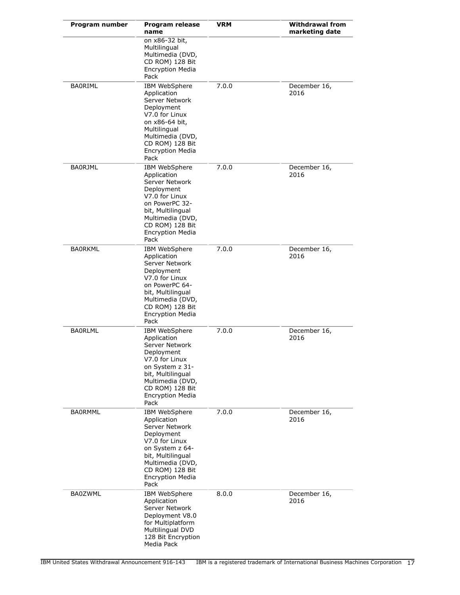| Program number | <b>Program release</b><br>name                                                                                                                                                                   | <b>VRM</b> | <b>Withdrawal from</b><br>marketing date |
|----------------|--------------------------------------------------------------------------------------------------------------------------------------------------------------------------------------------------|------------|------------------------------------------|
|                | on x86-32 bit,<br>Multilingual<br>Multimedia (DVD,<br>CD ROM) 128 Bit<br><b>Encryption Media</b><br>Pack                                                                                         |            |                                          |
| <b>BAORIML</b> | IBM WebSphere<br>Application<br>Server Network<br>Deployment<br>V7.0 for Linux<br>on x86-64 bit,<br>Multilingual<br>Multimedia (DVD,<br>CD ROM) 128 Bit<br><b>Encryption Media</b><br>Pack       | 7.0.0      | December 16,<br>2016                     |
| <b>BA0RJML</b> | IBM WebSphere<br>Application<br>Server Network<br>Deployment<br>V7.0 for Linux<br>on PowerPC 32-<br>bit, Multilingual<br>Multimedia (DVD,<br>CD ROM) 128 Bit<br><b>Encryption Media</b><br>Pack  | 7.0.0      | December 16,<br>2016                     |
| <b>BAORKML</b> | IBM WebSphere<br>Application<br>Server Network<br>Deployment<br>V7.0 for Linux<br>on PowerPC 64-<br>bit, Multilingual<br>Multimedia (DVD,<br>CD ROM) 128 Bit<br><b>Encryption Media</b><br>Pack  | 7.0.0      | December 16,<br>2016                     |
| <b>BAORLML</b> | IBM WebSphere<br>Application<br>Server Network<br>Deployment<br>V7.0 for Linux<br>on System z 31-<br>bit, Multilingual<br>Multimedia (DVD,<br>CD ROM) 128 Bit<br><b>Encryption Media</b><br>Pack | 7.0.0      | December 16,<br>2016                     |
| <b>BA0RMML</b> | IBM WebSphere<br>Application<br>Server Network<br>Deployment<br>V7.0 for Linux<br>on System z 64-<br>bit, Multilingual<br>Multimedia (DVD,<br>CD ROM) 128 Bit<br><b>Encryption Media</b><br>Pack | 7.0.0      | December 16,<br>2016                     |
| <b>BA0ZWML</b> | IBM WebSphere<br>Application<br>Server Network<br>Deployment V8.0<br>for Multiplatform<br>Multilingual DVD<br>128 Bit Encryption<br>Media Pack                                                   | 8.0.0      | December 16,<br>2016                     |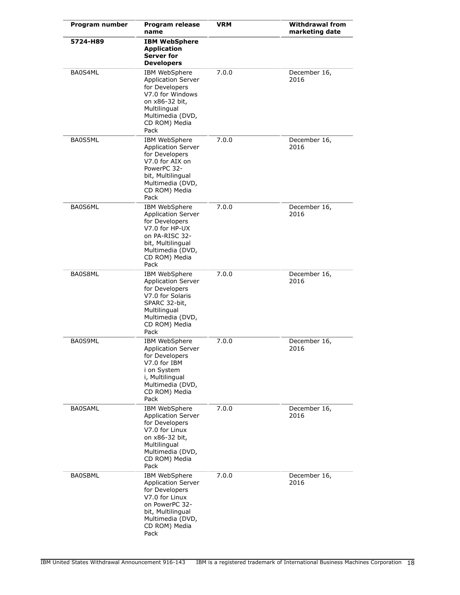| Program number | <b>Program release</b><br>name                                                                                                                                     | VRM   | <b>Withdrawal from</b><br>marketing date |
|----------------|--------------------------------------------------------------------------------------------------------------------------------------------------------------------|-------|------------------------------------------|
| 5724-H89       | <b>IBM WebSphere</b><br><b>Application</b><br>Server for<br><b>Developers</b>                                                                                      |       |                                          |
| BA0S4ML        | IBM WebSphere<br><b>Application Server</b><br>for Developers<br>V7.0 for Windows<br>on x86-32 bit,<br>Multilingual<br>Multimedia (DVD,<br>CD ROM) Media<br>Pack    | 7.0.0 | December 16,<br>2016                     |
| BA0S5ML        | IBM WebSphere<br><b>Application Server</b><br>for Developers<br>V7.0 for AIX on<br>PowerPC 32-<br>bit, Multilingual<br>Multimedia (DVD,<br>CD ROM) Media<br>Pack   | 7.0.0 | December 16,<br>2016                     |
| BA0S6ML        | IBM WebSphere<br><b>Application Server</b><br>for Developers<br>V7.0 for HP-UX<br>on PA-RISC 32-<br>bit, Multilingual<br>Multimedia (DVD,<br>CD ROM) Media<br>Pack | 7.0.0 | December 16,<br>2016                     |
| BA0S8ML        | IBM WebSphere<br><b>Application Server</b><br>for Developers<br>V7.0 for Solaris<br>SPARC 32-bit,<br>Multilingual<br>Multimedia (DVD,<br>CD ROM) Media<br>Pack     | 7.0.0 | December 16,<br>2016                     |
| BA0S9ML        | IBM WebSphere<br><b>Application Server</b><br>for Developers<br>V7.0 for IBM<br>i on System<br>i, Multilingual<br>Multimedia (DVD,<br>CD ROM) Media<br>Pack        | 7.0.0 | December 16,<br>2016                     |
| <b>BA0SAML</b> | IBM WebSphere<br><b>Application Server</b><br>for Developers<br>V7.0 for Linux<br>on x86-32 bit,<br>Multilingual<br>Multimedia (DVD,<br>CD ROM) Media<br>Pack      | 7.0.0 | December 16,<br>2016                     |
| <b>BA0SBML</b> | IBM WebSphere<br><b>Application Server</b><br>for Developers<br>V7.0 for Linux<br>on PowerPC 32-<br>bit, Multilingual<br>Multimedia (DVD,<br>CD ROM) Media<br>Pack | 7.0.0 | December 16,<br>2016                     |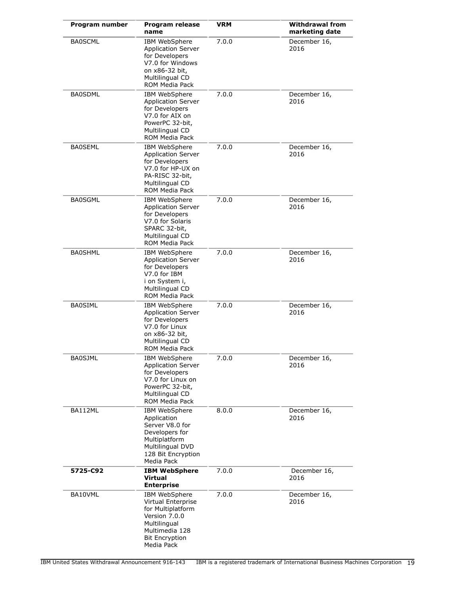| Program number | <b>Program release</b><br>name                                                                                                                        | <b>VRM</b> | <b>Withdrawal from</b><br>marketing date |
|----------------|-------------------------------------------------------------------------------------------------------------------------------------------------------|------------|------------------------------------------|
| <b>BA0SCML</b> | IBM WebSphere<br><b>Application Server</b><br>for Developers<br>V7.0 for Windows<br>on x86-32 bit,<br>Multilingual CD<br><b>ROM Media Pack</b>        | 7.0.0      | December 16,<br>2016                     |
| <b>BA0SDML</b> | <b>IBM WebSphere</b><br><b>Application Server</b><br>for Developers<br>V7.0 for AIX on<br>PowerPC 32-bit,<br>Multilingual CD<br><b>ROM Media Pack</b> | 7.0.0      | December 16,<br>2016                     |
| <b>BA0SEML</b> | IBM WebSphere<br><b>Application Server</b><br>for Developers<br>V7.0 for HP-UX on<br>PA-RISC 32-bit.<br>Multilingual CD<br><b>ROM Media Pack</b>      | 7.0.0      | December 16,<br>2016                     |
| <b>BA0SGML</b> | IBM WebSphere<br><b>Application Server</b><br>for Developers<br>V7.0 for Solaris<br>SPARC 32-bit,<br>Multilingual CD<br><b>ROM Media Pack</b>         | 7.0.0      | December 16,<br>2016                     |
| <b>BA0SHML</b> | IBM WebSphere<br><b>Application Server</b><br>for Developers<br>V7.0 for IBM<br>i on System i,<br>Multilingual CD<br><b>ROM Media Pack</b>            | 7.0.0      | December 16,<br>2016                     |
| <b>BA0SIML</b> | IBM WebSphere<br><b>Application Server</b><br>for Developers<br>V7.0 for Linux<br>on x86-32 bit,<br>Multilingual CD<br><b>ROM Media Pack</b>          | 7.0.0      | December 16,<br>2016                     |
| BAUSJML        | <b>IBM WebSphere</b><br><b>Application Server</b><br>for Developers<br>V7.0 for Linux on<br>PowerPC 32-bit,<br>Multilingual CD<br>ROM Media Pack      | 7.0.0      | December 16,<br>2016                     |
| BA112ML        | IBM WebSphere<br>Application<br>Server V8.0 for<br>Developers for<br>Multiplatform<br>Multilingual DVD<br>128 Bit Encryption<br>Media Pack            | 8.0.0      | December 16,<br>2016                     |
| 5725-C92       | <b>IBM WebSphere</b><br>Virtual<br><b>Enterprise</b>                                                                                                  | 7.0.0      | December 16,<br>2016                     |
| BA10VML        | IBM WebSphere<br>Virtual Enterprise<br>for Multiplatform<br>Version 7.0.0<br>Multilingual<br>Multimedia 128<br><b>Bit Encryption</b><br>Media Pack    | 7.0.0      | December 16,<br>2016                     |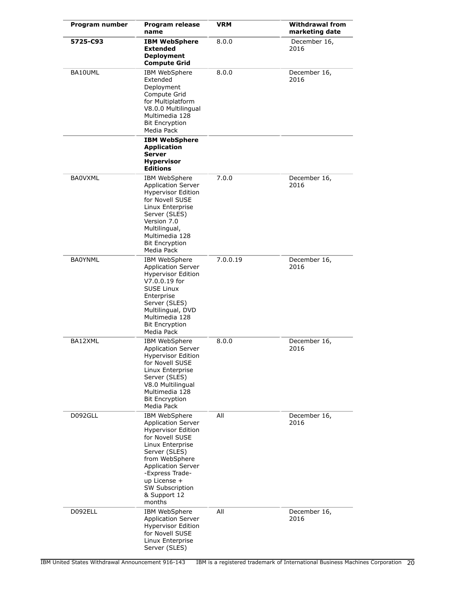| Program number | Program release<br>name                                                                                                                                                                                                                                        | <b>VRM</b> | <b>Withdrawal from</b><br>marketing date |
|----------------|----------------------------------------------------------------------------------------------------------------------------------------------------------------------------------------------------------------------------------------------------------------|------------|------------------------------------------|
| 5725-C93       | <b>IBM WebSphere</b><br><b>Extended</b><br><b>Deployment</b><br><b>Compute Grid</b>                                                                                                                                                                            | 8.0.0      | December 16,<br>2016                     |
| BA10UML        | IBM WebSphere<br>Extended<br>Deployment<br>Compute Grid<br>for Multiplatform<br>V8.0.0 Multilingual<br>Multimedia 128<br><b>Bit Encryption</b><br>Media Pack                                                                                                   | 8.0.0      | December 16,<br>2016                     |
|                | <b>IBM WebSphere</b><br><b>Application</b><br><b>Server</b><br><b>Hypervisor</b><br><b>Editions</b>                                                                                                                                                            |            |                                          |
| <b>BA0VXML</b> | IBM WebSphere<br><b>Application Server</b><br><b>Hypervisor Edition</b><br>for Novell SUSE<br>Linux Enterprise<br>Server (SLES)<br>Version 7.0<br>Multilingual,<br>Multimedia 128<br><b>Bit Encryption</b><br>Media Pack                                       | 7.0.0      | December 16,<br>2016                     |
| <b>BA0YNML</b> | IBM WebSphere<br><b>Application Server</b><br><b>Hypervisor Edition</b><br>V7.0.0.19 for<br><b>SUSE Linux</b><br>Enterprise<br>Server (SLES)<br>Multilingual, DVD<br>Multimedia 128<br><b>Bit Encryption</b><br>Media Pack                                     | 7.0.0.19   | December 16,<br>2016                     |
| BA12XML        | IBM WebSphere<br><b>Application Server</b><br><b>Hypervisor Edition</b><br>for Novell SUSE<br>Linux Enterprise<br>Server (SLES)<br>V8.0 Multilingual<br>Multimedia 128<br><b>Bit Encryption</b><br>Media Pack                                                  | 8.0.0      | December 16,<br>2016                     |
| D092GLL        | IBM WebSphere<br><b>Application Server</b><br><b>Hypervisor Edition</b><br>for Novell SUSE<br>Linux Enterprise<br>Server (SLES)<br>from WebSphere<br><b>Application Server</b><br>-Express Trade-<br>up License +<br>SW Subscription<br>& Support 12<br>months | All        | December 16,<br>2016                     |
| D092ELL        | IBM WebSphere<br><b>Application Server</b><br><b>Hypervisor Edition</b><br>for Novell SUSE<br>Linux Enterprise<br>Server (SLES)                                                                                                                                | All        | December 16,<br>2016                     |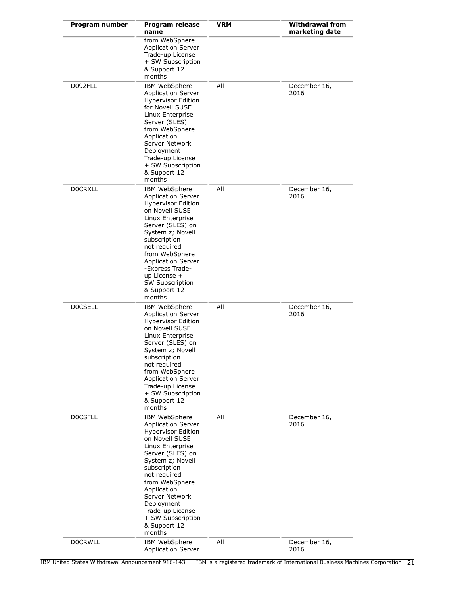| Program number | Program release<br>name                                                                                                                                                                                                                                                                                                   | <b>VRM</b> | <b>Withdrawal from</b><br>marketing date |
|----------------|---------------------------------------------------------------------------------------------------------------------------------------------------------------------------------------------------------------------------------------------------------------------------------------------------------------------------|------------|------------------------------------------|
|                | from WebSphere<br><b>Application Server</b><br>Trade-up License<br>+ SW Subscription<br>& Support 12<br>months                                                                                                                                                                                                            |            |                                          |
| D092FLL        | IBM WebSphere<br><b>Application Server</b><br><b>Hypervisor Edition</b><br>for Novell SUSE<br>Linux Enterprise<br>Server (SLES)<br>from WebSphere<br>Application<br>Server Network<br>Deployment<br>Trade-up License<br>+ SW Subscription<br>& Support 12<br>months                                                       | All        | December 16,<br>2016                     |
| <b>DOCRXLL</b> | IBM WebSphere<br><b>Application Server</b><br><b>Hypervisor Edition</b><br>on Novell SUSE<br>Linux Enterprise<br>Server (SLES) on<br>System z; Novell<br>subscription<br>not required<br>from WebSphere<br><b>Application Server</b><br>-Express Trade-<br>up License +<br>SW Subscription<br>& Support 12<br>months      | All        | December 16,<br>2016                     |
| <b>DOCSELL</b> | IBM WebSphere<br><b>Application Server</b><br><b>Hypervisor Edition</b><br>on Novell SUSE<br>Linux Enterprise<br>Server (SLES) on<br>System z; Novell<br>subscription<br>not required<br>from WebSphere<br><b>Application Server</b><br>Trade-up License<br>+ SW Subscription<br>& Support 12<br>months                   | All        | December 16,<br>2016                     |
| <b>DOCSFLL</b> | IBM WebSphere<br><b>Application Server</b><br><b>Hypervisor Edition</b><br>on Novell SUSE<br>Linux Enterprise<br>Server (SLES) on<br>System z; Novell<br>subscription<br>not required<br>from WebSphere<br>Application<br>Server Network<br>Deployment<br>Trade-up License<br>+ SW Subscription<br>& Support 12<br>months | All        | December 16,<br>2016                     |
| <b>DOCRWLL</b> | IBM WebSphere<br><b>Application Server</b>                                                                                                                                                                                                                                                                                | All        | December 16,<br>2016                     |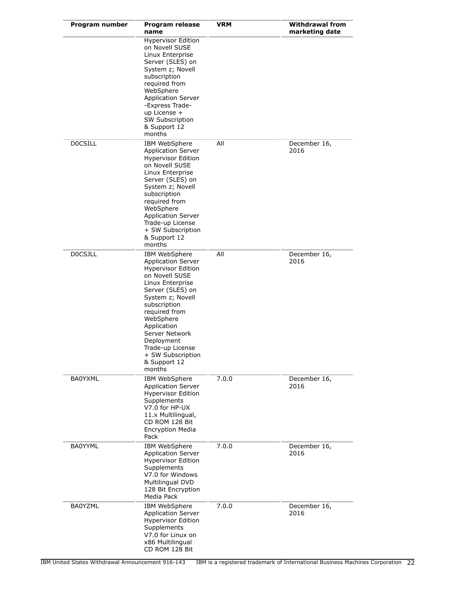| Program number | <b>Program release</b><br>name                                                                                                                                                                                                                                                                                        | VRM   | <b>Withdrawal from</b><br>marketing date |
|----------------|-----------------------------------------------------------------------------------------------------------------------------------------------------------------------------------------------------------------------------------------------------------------------------------------------------------------------|-------|------------------------------------------|
|                | <b>Hypervisor Edition</b><br>on Novell SUSE<br>Linux Enterprise<br>Server (SLES) on<br>System z; Novell<br>subscription<br>required from<br>WebSphere<br><b>Application Server</b><br>-Express Trade-<br>up License +<br><b>SW Subscription</b><br>& Support 12<br>months                                             |       |                                          |
| <b>DOCSILL</b> | IBM WebSphere<br><b>Application Server</b><br><b>Hypervisor Edition</b><br>on Novell SUSE<br>Linux Enterprise<br>Server (SLES) on<br>System z; Novell<br>subscription<br>required from<br>WebSphere<br><b>Application Server</b><br>Trade-up License<br>+ SW Subscription<br>& Support 12<br>months                   | All   | December 16,<br>2016                     |
| <b>DOCSJLL</b> | IBM WebSphere<br><b>Application Server</b><br><b>Hypervisor Edition</b><br>on Novell SUSE<br>Linux Enterprise<br>Server (SLES) on<br>System z; Novell<br>subscription<br>required from<br>WebSphere<br>Application<br>Server Network<br>Deployment<br>Trade-up License<br>+ SW Subscription<br>& Support 12<br>months | All   | December 16,<br>2016                     |
| <b>BA0YXML</b> | IBM WebSphere<br><b>Application Server</b><br><b>Hypervisor Edition</b><br>Supplements<br>V7.0 for HP-UX<br>11.x Multilingual,<br>CD ROM 128 Bit<br><b>Encryption Media</b><br>Pack                                                                                                                                   | 7.0.0 | December 16,<br>2016                     |
| <b>BA0YYML</b> | IBM WebSphere<br><b>Application Server</b><br><b>Hypervisor Edition</b><br>Supplements<br>V7.0 for Windows<br>Multilingual DVD<br>128 Bit Encryption<br>Media Pack                                                                                                                                                    | 7.0.0 | December 16,<br>2016                     |
| <b>BA0YZML</b> | IBM WebSphere<br><b>Application Server</b><br><b>Hypervisor Edition</b><br>Supplements<br>V7.0 for Linux on<br>x86 Multilingual<br>CD ROM 128 Bit                                                                                                                                                                     | 7.0.0 | December 16,<br>2016                     |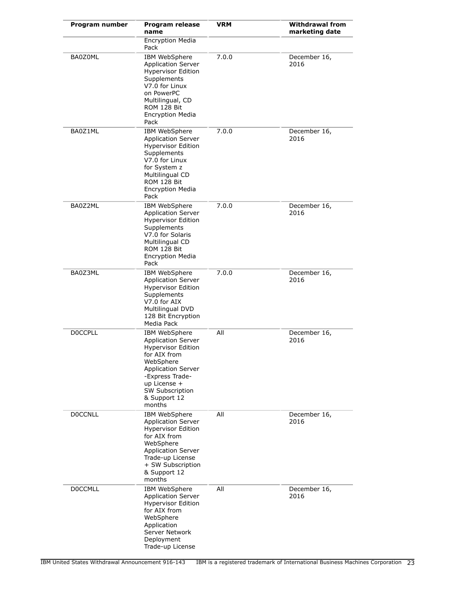| Program number | <b>Program release</b><br>name                                                                                                                                                                                    | <b>VRM</b> | <b>Withdrawal from</b><br>marketing date |
|----------------|-------------------------------------------------------------------------------------------------------------------------------------------------------------------------------------------------------------------|------------|------------------------------------------|
|                | <b>Encryption Media</b><br>Pack                                                                                                                                                                                   |            |                                          |
| BA0Z0ML        | IBM WebSphere<br><b>Application Server</b><br><b>Hypervisor Edition</b><br>Supplements<br>V7.0 for Linux<br>on PowerPC<br>Multilingual, CD<br>ROM 128 Bit<br><b>Encryption Media</b><br>Pack                      | 7.0.0      | December 16,<br>2016                     |
| BA0Z1ML        | IBM WebSphere<br><b>Application Server</b><br><b>Hypervisor Edition</b><br>Supplements<br>V7.0 for Linux<br>for System z<br>Multilingual CD<br>ROM 128 Bit<br><b>Encryption Media</b><br>Pack                     | 7.0.0      | December 16,<br>2016                     |
| BA0Z2ML        | IBM WebSphere<br><b>Application Server</b><br><b>Hypervisor Edition</b><br>Supplements<br>V7.0 for Solaris<br>Multilingual CD<br>ROM 128 Bit<br><b>Encryption Media</b><br>Pack                                   | 7.0.0      | December 16,<br>2016                     |
| BA0Z3ML        | <b>IBM WebSphere</b><br><b>Application Server</b><br><b>Hypervisor Edition</b><br>Supplements<br>V7.0 for AIX<br>Multilingual DVD<br>128 Bit Encryption<br>Media Pack                                             | 7.0.0      | December 16,<br>2016                     |
| <b>DOCCPLL</b> | IBM WebSphere<br><b>Application Server</b><br><b>Hypervisor Edition</b><br>for AIX from<br>WebSphere<br><b>Application Server</b><br>-Express Trade-<br>up License +<br>SW Subscription<br>& Support 12<br>months | All        | December 16,<br>2016                     |
| <b>DOCCNLL</b> | IBM WebSphere<br><b>Application Server</b><br><b>Hypervisor Edition</b><br>for AIX from<br>WebSphere<br><b>Application Server</b><br>Trade-up License<br>+ SW Subscription<br>& Support 12<br>months              | All        | December 16,<br>2016                     |
| <b>DOCCMLL</b> | IBM WebSphere<br><b>Application Server</b><br><b>Hypervisor Edition</b><br>for AIX from<br>WebSphere<br>Application<br>Server Network<br>Deployment<br>Trade-up License                                           | All        | December 16,<br>2016                     |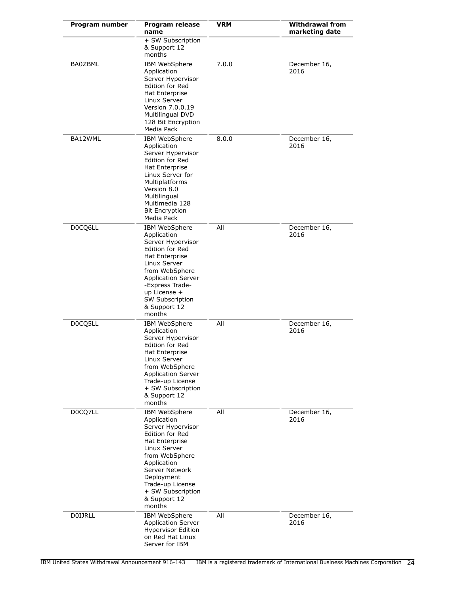| Program number | Program release<br>name                                                                                                                                                                                                                           | VRM   | <b>Withdrawal from</b><br>marketing date |
|----------------|---------------------------------------------------------------------------------------------------------------------------------------------------------------------------------------------------------------------------------------------------|-------|------------------------------------------|
|                | + SW Subscription<br>& Support 12<br>months                                                                                                                                                                                                       |       |                                          |
| <b>BA0ZBML</b> | IBM WebSphere<br>Application<br>Server Hypervisor<br>Edition for Red<br>Hat Enterprise<br>Linux Server<br>Version 7.0.0.19<br><b>Multilingual DVD</b><br>128 Bit Encryption<br>Media Pack                                                         | 7.0.0 | December 16,<br>2016                     |
| BA12WML        | IBM WebSphere<br>Application<br>Server Hypervisor<br>Edition for Red<br>Hat Enterprise<br>Linux Server for<br>Multiplatforms<br>Version 8.0<br>Multilingual<br>Multimedia 128<br><b>Bit Encryption</b><br>Media Pack                              | 8.0.0 | December 16,<br>2016                     |
| D0CQ6LL        | IBM WebSphere<br>Application<br>Server Hypervisor<br>Edition for Red<br>Hat Enterprise<br>Linux Server<br>from WebSphere<br><b>Application Server</b><br>-Express Trade-<br>up License +<br>SW Subscription<br>& Support 12<br>months             | All   | December 16,<br>2016                     |
| D0CQ5LL        | IBM WebSphere<br>Application<br>Server Hypervisor<br>Edition for Red<br>Hat Enterprise<br>Linux Server<br>from WebSphere<br><b>Application Server</b><br>Trade-up License<br>+ SW Subscription<br>& Support 12<br>months                          | All   | December 16,<br>2016                     |
| D0CQ7LL        | IBM WebSphere<br>Application<br>Server Hypervisor<br><b>Edition for Red</b><br>Hat Enterprise<br>Linux Server<br>from WebSphere<br>Application<br>Server Network<br>Deployment<br>Trade-up License<br>+ SW Subscription<br>& Support 12<br>months | All   | December 16,<br>2016                     |
| <b>DOIJRLL</b> | IBM WebSphere<br><b>Application Server</b><br><b>Hypervisor Edition</b><br>on Red Hat Linux<br>Server for IBM                                                                                                                                     | All   | December 16,<br>2016                     |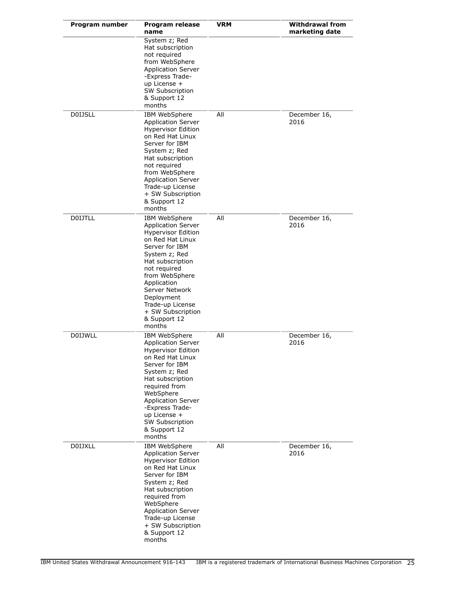| Program number | Program release<br>name                                                                                                                                                                                                                                                                                | VRM | Withdrawal from<br>marketing date |
|----------------|--------------------------------------------------------------------------------------------------------------------------------------------------------------------------------------------------------------------------------------------------------------------------------------------------------|-----|-----------------------------------|
|                | System z; Red<br>Hat subscription<br>not required<br>from WebSphere<br><b>Application Server</b><br>-Express Trade-<br>up License +<br><b>SW Subscription</b><br>& Support 12<br>months                                                                                                                |     |                                   |
| <b>DOIJSLL</b> | IBM WebSphere<br><b>Application Server</b><br><b>Hypervisor Edition</b><br>on Red Hat Linux<br>Server for IBM<br>System z; Red<br>Hat subscription<br>not required<br>from WebSphere<br><b>Application Server</b><br>Trade-up License<br>+ SW Subscription<br>& Support 12<br>months                   | All | December 16,<br>2016              |
| <b>DOIJTLL</b> | IBM WebSphere<br><b>Application Server</b><br><b>Hypervisor Edition</b><br>on Red Hat Linux<br>Server for IBM<br>System z; Red<br>Hat subscription<br>not required<br>from WebSphere<br>Application<br>Server Network<br>Deployment<br>Trade-up License<br>+ SW Subscription<br>& Support 12<br>months | All | December 16,<br>2016              |
| <b>DOIJWLL</b> | IBM WebSphere<br><b>Application Server</b><br><b>Hypervisor Edition</b><br>on Red Hat Linux<br>Server for IBM<br>System z; Red<br>Hat subscription<br>required from<br>WebSphere<br><b>Application Server</b><br>-Express Trade-<br>up License +<br>SW Subscription<br>& Support 12<br>months          | All | December 16,<br>2016              |
| <b>DOIJXLL</b> | IBM WebSphere<br><b>Application Server</b><br><b>Hypervisor Edition</b><br>on Red Hat Linux<br>Server for IBM<br>System z; Red<br>Hat subscription<br>required from<br>WebSphere<br><b>Application Server</b><br>Trade-up License<br>+ SW Subscription<br>& Support 12<br>months                       | All | December 16,<br>2016              |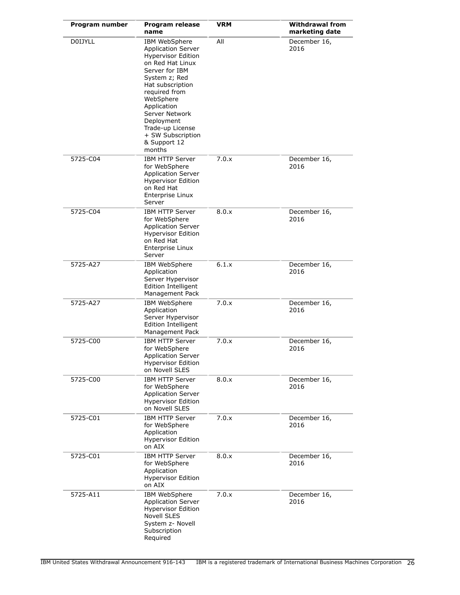| Program number | <b>Program release</b><br>name                                                                                                                                                                                                                                                                     | <b>VRM</b> | <b>Withdrawal from</b><br>marketing date |  |  |
|----------------|----------------------------------------------------------------------------------------------------------------------------------------------------------------------------------------------------------------------------------------------------------------------------------------------------|------------|------------------------------------------|--|--|
| <b>DOIJYLL</b> | IBM WebSphere<br><b>Application Server</b><br><b>Hypervisor Edition</b><br>on Red Hat Linux<br>Server for IBM<br>System z; Red<br>Hat subscription<br>required from<br>WebSphere<br>Application<br>Server Network<br>Deployment<br>Trade-up License<br>+ SW Subscription<br>& Support 12<br>months | All        | December 16,<br>2016                     |  |  |
| 5725-C04       | <b>IBM HTTP Server</b><br>for WebSphere<br><b>Application Server</b><br><b>Hypervisor Edition</b><br>on Red Hat<br>Enterprise Linux<br>Server                                                                                                                                                      | 7.0.x      | December 16,<br>2016                     |  |  |
| 5725-C04       | <b>IBM HTTP Server</b><br>for WebSphere<br><b>Application Server</b><br><b>Hypervisor Edition</b><br>on Red Hat<br>Enterprise Linux<br>Server                                                                                                                                                      | 8.0.x      | December 16,<br>2016                     |  |  |
| 5725-A27       | IBM WebSphere<br>Application<br>Server Hypervisor<br><b>Edition Intelligent</b><br>Management Pack                                                                                                                                                                                                 | 6.1.x      | December 16,<br>2016                     |  |  |
| 5725-A27       | IBM WebSphere<br>Application<br>Server Hypervisor<br><b>Edition Intelligent</b><br>Management Pack                                                                                                                                                                                                 | 7.0.x      | December 16,<br>2016                     |  |  |
| 5725-C00       | <b>IBM HTTP Server</b><br>for WebSphere<br><b>Application Server</b><br><b>Hypervisor Edition</b><br>on Novell SLES                                                                                                                                                                                | 7.0.x      | December 16,<br>2016                     |  |  |
| 5725-C00       | <b>IBM HTTP Server</b><br>for WebSphere<br><b>Application Server</b><br><b>Hypervisor Edition</b><br>on Novell SLES                                                                                                                                                                                | 8.0.x      | December 16,<br>2016                     |  |  |
| 5725-C01       | <b>IBM HTTP Server</b><br>for WebSphere<br>Application<br><b>Hypervisor Edition</b><br>on AIX                                                                                                                                                                                                      | 7.0.x      | December 16,<br>2016                     |  |  |
| 5725-C01       | IBM HTTP Server<br>for WebSphere<br>Application<br><b>Hypervisor Edition</b><br>on AIX                                                                                                                                                                                                             | 8.0.x      | December 16,<br>2016                     |  |  |
| 5725-A11       | IBM WebSphere<br><b>Application Server</b><br><b>Hypervisor Edition</b><br>Novell SLES<br>System z- Novell<br>Subscription<br>Required                                                                                                                                                             | 7.0.x      | December 16,<br>2016                     |  |  |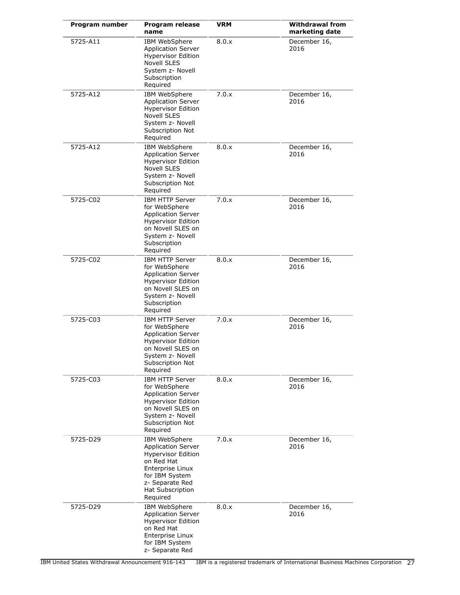| Program number | <b>Program release</b><br>name                                                                                                                                                        | <b>VRM</b> | <b>Withdrawal from</b><br>marketing date |  |
|----------------|---------------------------------------------------------------------------------------------------------------------------------------------------------------------------------------|------------|------------------------------------------|--|
| 5725-A11       | <b>IBM WebSphere</b><br><b>Application Server</b><br><b>Hypervisor Edition</b><br><b>Novell SLES</b><br>System z- Novell<br>Subscription<br>Required                                  | 8.0.x      | December 16,<br>2016                     |  |
| 5725-A12       | IBM WebSphere<br><b>Application Server</b><br><b>Hypervisor Edition</b><br><b>Novell SLES</b><br>System z- Novell<br>Subscription Not<br>Required                                     | 7.0.x      | December 16,<br>2016                     |  |
| 5725-A12       | IBM WebSphere<br><b>Application Server</b><br><b>Hypervisor Edition</b><br>Novell SLES<br>System z- Novell<br>Subscription Not<br>Required                                            | 8.0.x      | December 16,<br>2016                     |  |
| 5725-C02       | <b>IBM HTTP Server</b><br>for WebSphere<br><b>Application Server</b><br><b>Hypervisor Edition</b><br>on Novell SLES on<br>System z- Novell<br>Subscription<br>Required                | 7.0.x      | December 16,<br>2016                     |  |
| 5725-C02       | IBM HTTP Server<br>for WebSphere<br><b>Application Server</b><br><b>Hypervisor Edition</b><br>on Novell SLES on<br>System z- Novell<br>Subscription<br>Required                       | 8.0.x      | December 16,<br>2016                     |  |
| 5725-C03       | <b>IBM HTTP Server</b><br>for WebSphere<br><b>Application Server</b><br><b>Hypervisor Edition</b><br>on Novell SLES on<br>System z- Novell<br>Subscription Not<br>Required            | 7.0.x      | December 16,<br>2016                     |  |
| 5725-C03       | <b>IBM HTTP Server</b><br>for WebSphere<br><b>Application Server</b><br><b>Hypervisor Edition</b><br>on Novell SLES on<br>System z- Novell<br>Subscription Not<br>Required            | 8.0.x      | December 16,<br>2016                     |  |
| 5725-D29       | <b>IBM WebSphere</b><br><b>Application Server</b><br><b>Hypervisor Edition</b><br>on Red Hat<br>Enterprise Linux<br>for IBM System<br>z- Separate Red<br>Hat Subscription<br>Required | 7.0.x      | December 16,<br>2016                     |  |
| 5725-D29       | IBM WebSphere<br><b>Application Server</b><br><b>Hypervisor Edition</b><br>on Red Hat<br>Enterprise Linux<br>for IBM System<br>z- Separate Red                                        | 8.0.x      | December 16,<br>2016                     |  |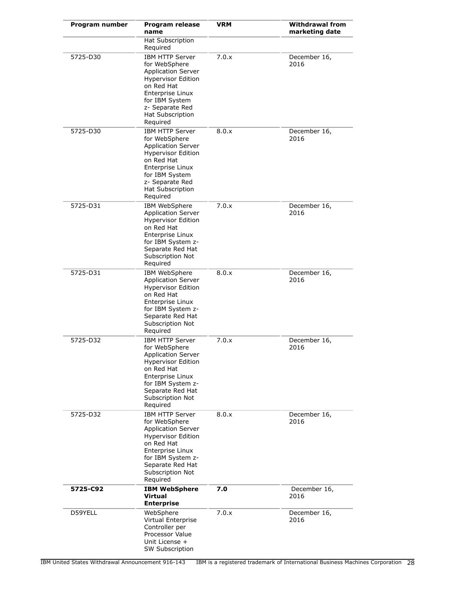| Program number | Program release<br>name                                                                                                                                                                                      | <b>VRM</b> | <b>Withdrawal from</b><br>marketing date |
|----------------|--------------------------------------------------------------------------------------------------------------------------------------------------------------------------------------------------------------|------------|------------------------------------------|
|                | Hat Subscription<br>Required                                                                                                                                                                                 |            |                                          |
| 5725-D30       | <b>IBM HTTP Server</b><br>for WebSphere<br><b>Application Server</b><br><b>Hypervisor Edition</b><br>on Red Hat<br>Enterprise Linux<br>for IBM System<br>z- Separate Red<br>Hat Subscription<br>Required     | 7.0.x      | December 16,<br>2016                     |
| 5725-D30       | <b>IBM HTTP Server</b><br>for WebSphere<br><b>Application Server</b><br><b>Hypervisor Edition</b><br>on Red Hat<br>Enterprise Linux<br>for IBM System<br>z- Separate Red<br>Hat Subscription<br>Required     | 8.0.x      | December 16,<br>2016                     |
| 5725-D31       | IBM WebSphere<br><b>Application Server</b><br><b>Hypervisor Edition</b><br>on Red Hat<br>Enterprise Linux<br>for IBM System z-<br>Separate Red Hat<br>Subscription Not<br>Required                           | 7.0.x      | December 16,<br>2016                     |
| 5725-D31       | IBM WebSphere<br><b>Application Server</b><br><b>Hypervisor Edition</b><br>on Red Hat<br>Enterprise Linux<br>for IBM System z-<br>Separate Red Hat<br>Subscription Not<br>Required                           | 8.0.x      | December 16,<br>2016                     |
| 5725-D32       | <b>IBM HTTP Server</b><br>for WebSphere<br><b>Application Server</b><br><b>Hypervisor Edition</b><br>on Red Hat<br>Enterprise Linux<br>for IBM System z-<br>Separate Red Hat<br>Subscription Not<br>Required | 7.0.x      | December 16,<br>2016                     |
| 5725-D32       | <b>IBM HTTP Server</b><br>for WebSphere<br><b>Application Server</b><br><b>Hypervisor Edition</b><br>on Red Hat<br>Enterprise Linux<br>for IBM System z-<br>Separate Red Hat<br>Subscription Not<br>Required | 8.0.x      | December 16,<br>2016                     |
| 5725-C92       | <b>IBM WebSphere</b><br>Virtual<br><b>Enterprise</b>                                                                                                                                                         | 7.0        | December 16,<br>2016                     |
| D59YELL        | WebSphere<br>Virtual Enterprise<br>Controller per<br>Processor Value<br>Unit License +<br><b>SW Subscription</b>                                                                                             | 7.0.x      | December 16,<br>2016                     |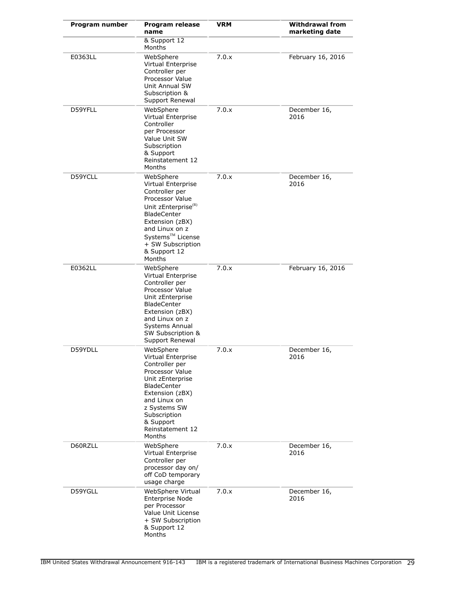| Program number | Program release<br>name                                                                                                                                                                                                        | <b>VRM</b> | <b>Withdrawal from</b><br>marketing date |
|----------------|--------------------------------------------------------------------------------------------------------------------------------------------------------------------------------------------------------------------------------|------------|------------------------------------------|
|                | & Support 12<br>Months                                                                                                                                                                                                         |            |                                          |
| E0363LL        | WebSphere<br>Virtual Enterprise<br>Controller per<br>Processor Value<br>Unit Annual SW<br>Subscription &<br>Support Renewal                                                                                                    | 7.0.x      | February 16, 2016                        |
| D59YFLL        | WebSphere<br>Virtual Enterprise<br>Controller<br>per Processor<br>Value Unit SW<br>Subscription<br>& Support<br>Reinstatement 12<br>Months                                                                                     | 7.0.x      | December 16,<br>2016                     |
| D59YCLL        | WebSphere<br>Virtual Enterprise<br>Controller per<br>Processor Value<br>Unit zEnterprise <sup>(R)</sup><br>BladeCenter<br>Extension (zBX)<br>and Linux on z<br>Systems™ License<br>+ SW Subscription<br>& Support 12<br>Months | 7.0.x      | December 16,<br>2016                     |
| E0362LL        | WebSphere<br>Virtual Enterprise<br>Controller per<br>Processor Value<br>Unit zEnterprise<br><b>BladeCenter</b><br>Extension (zBX)<br>and Linux on z<br>Systems Annual<br>SW Subscription &<br>Support Renewal                  | 7.0.x      | February 16, 2016                        |
| D59YDLL        | WebSphere<br>Virtual Enterprise<br>Controller per<br>Processor Value<br>Unit zEnterprise<br><b>BladeCenter</b><br>Extension (zBX)<br>and Linux on<br>z Systems SW<br>Subscription<br>& Support<br>Reinstatement 12<br>Months   | 7.0.x      | December 16,<br>2016                     |
| D60RZLL        | WebSphere<br>Virtual Enterprise<br>Controller per<br>processor day on/<br>off CoD temporary<br>usage charge                                                                                                                    | 7.0.x      | December 16,<br>2016                     |
| D59YGLL        | WebSphere Virtual<br>Enterprise Node<br>per Processor<br>Value Unit License<br>+ SW Subscription<br>& Support 12<br>Months                                                                                                     | 7.0.x      | December 16,<br>2016                     |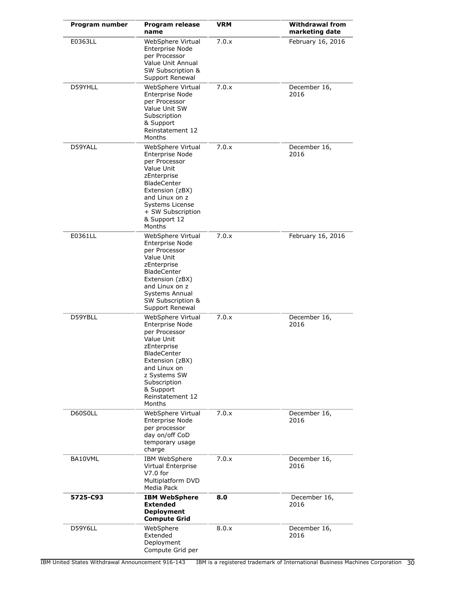| Program number | Program release<br>name                                                                                                                                                                                                | <b>VRM</b> | <b>Withdrawal from</b><br>marketing date |
|----------------|------------------------------------------------------------------------------------------------------------------------------------------------------------------------------------------------------------------------|------------|------------------------------------------|
| E0363LL        | WebSphere Virtual<br>Enterprise Node<br>per Processor<br>Value Unit Annual<br>SW Subscription &<br>Support Renewal                                                                                                     | 7.0.x      | February 16, 2016                        |
| D59YHLL        | WebSphere Virtual<br>Enterprise Node<br>per Processor<br>Value Unit SW<br>Subscription<br>& Support<br>Reinstatement 12<br>Months                                                                                      | 7.0.x      | December 16,<br>2016                     |
| D59YALL        | WebSphere Virtual<br>Enterprise Node<br>per Processor<br>Value Unit<br>zEnterprise<br><b>BladeCenter</b><br>Extension (zBX)<br>and Linux on z<br>Systems License<br>+ SW Subscription<br>& Support 12<br>Months        | 7.0.x      | December 16,<br>2016                     |
| E0361LL        | WebSphere Virtual<br>Enterprise Node<br>per Processor<br>Value Unit<br>zEnterprise<br><b>BladeCenter</b><br>Extension (zBX)<br>and Linux on z<br>Systems Annual<br>SW Subscription &<br>Support Renewal                | 7.0.x      | February 16, 2016                        |
| D59YBLL        | WebSphere Virtual<br>Enterprise Node<br>per Processor<br>Value Unit<br>zEnterprise<br><b>BladeCenter</b><br>Extension (zBX)<br>and Linux on<br>z Systems SW<br>Subscription<br>& Support<br>Reinstatement 12<br>Months | 7.0.x      | December 16,<br>2016                     |
| D60S0LL        | WebSphere Virtual<br><b>Enterprise Node</b><br>per processor<br>day on/off CoD<br>temporary usage<br>charge                                                                                                            | 7.0.x      | December 16,<br>2016                     |
| BA10VML        | IBM WebSphere<br>Virtual Enterprise<br>$V7.0$ for<br>Multiplatform DVD<br>Media Pack                                                                                                                                   | 7.0.x      | December 16,<br>2016                     |
| 5725-C93       | <b>IBM WebSphere</b><br><b>Extended</b><br><b>Deployment</b><br><b>Compute Grid</b>                                                                                                                                    | 8.0        | December 16,<br>2016                     |
| D59Y6LL        | WebSphere<br>Extended<br>Deployment<br>Compute Grid per                                                                                                                                                                | 8.0.x      | December 16,<br>2016                     |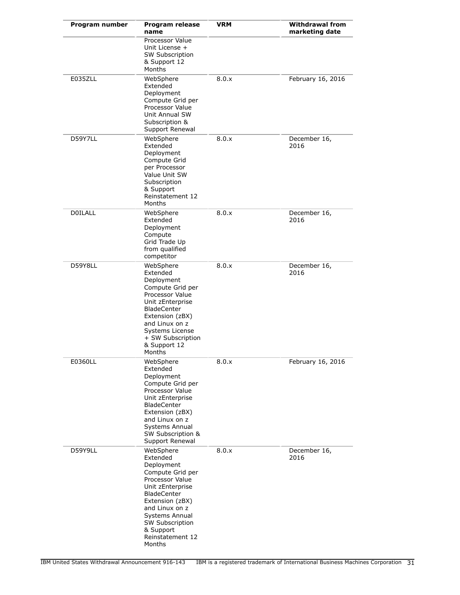| Program number | Program release<br>name                                                                                                                                                                                                                          | VRM   | <b>Withdrawal from</b><br>marketing date |
|----------------|--------------------------------------------------------------------------------------------------------------------------------------------------------------------------------------------------------------------------------------------------|-------|------------------------------------------|
|                | Processor Value<br>Unit License +<br><b>SW Subscription</b><br>& Support 12<br>Months                                                                                                                                                            |       |                                          |
| E035ZLL        | WebSphere<br>Extended<br>Deployment<br>Compute Grid per<br>Processor Value<br>Unit Annual SW<br>Subscription &<br>Support Renewal                                                                                                                | 8.0.x | February 16, 2016                        |
| D59Y7LL        | WebSphere<br>Extended<br>Deployment<br>Compute Grid<br>per Processor<br>Value Unit SW<br>Subscription<br>& Support<br>Reinstatement 12<br>Months                                                                                                 | 8.0.x | December 16,<br>2016                     |
| <b>DOILALL</b> | WebSphere<br>Extended<br>Deployment<br>Compute<br>Grid Trade Up<br>from qualified<br>competitor                                                                                                                                                  | 8.0.x | December 16,<br>2016                     |
| D59Y8LL        | WebSphere<br>Extended<br>Deployment<br>Compute Grid per<br>Processor Value<br>Unit zEnterprise<br><b>BladeCenter</b><br>Extension (zBX)<br>and Linux on z<br>Systems License<br>+ SW Subscription<br>& Support 12<br>Months                      | 8.0.x | December 16,<br>2016                     |
| E0360LL        | WebSphere<br>Extended<br>Deployment<br>Compute Grid per<br>Processor Value<br>Unit zEnterprise<br>BladeCenter<br>Extension (zBX)<br>and Linux on z<br>Systems Annual<br>SW Subscription &<br>Support Renewal                                     | 8.0.x | February 16, 2016                        |
| D59Y9LL        | WebSphere<br>Extended<br>Deployment<br>Compute Grid per<br>Processor Value<br>Unit zEnterprise<br><b>BladeCenter</b><br>Extension (zBX)<br>and Linux on z<br>Systems Annual<br><b>SW Subscription</b><br>& Support<br>Reinstatement 12<br>Months | 8.0.x | December 16,<br>2016                     |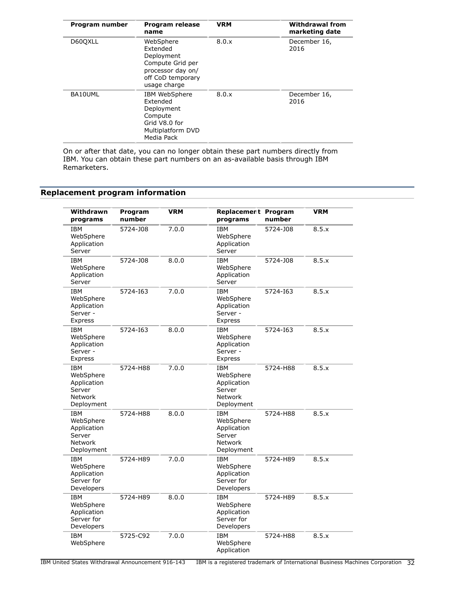| Program number | Program release<br>name                                                                                           | <b>VRM</b> | <b>Withdrawal from</b><br>marketing date |
|----------------|-------------------------------------------------------------------------------------------------------------------|------------|------------------------------------------|
| D60QXLL        | WebSphere<br>Extended<br>Deployment<br>Compute Grid per<br>processor day on/<br>off CoD temporary<br>usage charge | 8.0.x      | December 16,<br>2016                     |
| BA10UML        | IBM WebSphere<br>Extended<br>Deployment<br>Compute<br>Grid V8.0 for<br>Multiplatform DVD<br>Media Pack            | 8.0.x      | December 16,<br>2016                     |

On or after that date, you can no longer obtain these part numbers directly from IBM. You can obtain these part numbers on an as-available basis through IBM Remarketers.

# <span id="page-31-0"></span>**Replacement program information**

| Withdrawn<br>programs                                                            | Program<br>number | <b>VRM</b> | Replacement Program<br>programs                                           | number   | <b>VRM</b> |
|----------------------------------------------------------------------------------|-------------------|------------|---------------------------------------------------------------------------|----------|------------|
| <b>IBM</b><br>WebSphere<br>Application<br>Server                                 | 5724-J08          | 7.0.0      | <b>IBM</b><br>WebSphere<br>Application<br>Server                          | 5724-J08 | 8.5.x      |
| IBM<br>WebSphere<br>Application<br>Server                                        | 5724-J08          | 8.0.0      | <b>IBM</b><br>WebSphere<br>Application<br>Server                          | 5724-J08 | 8.5.x      |
| <b>IBM</b><br>WebSphere<br>Application<br>Server -<br>Express                    | 5724-163          | 7.0.0      | <b>IBM</b><br>WebSphere<br>Application<br>Server -<br>Express             | 5724-163 | 8.5.x      |
| <b>IBM</b><br>WebSphere<br>Application<br>Server -<br>Express                    | 5724-163          | 8.0.0      | <b>IBM</b><br>WebSphere<br>Application<br>Server -<br>Express             | 5724-163 | 8.5.x      |
| <b>IBM</b><br>WebSphere<br>Application<br>Server<br><b>Network</b><br>Deployment | 5724-H88          | 7.0.0      | <b>IBM</b><br>WebSphere<br>Application<br>Server<br>Network<br>Deployment | 5724-H88 | 8.5.x      |
| <b>IBM</b><br>WebSphere<br>Application<br>Server<br><b>Network</b><br>Deployment | 5724-H88          | 8.0.0      | <b>IBM</b><br>WebSphere<br>Application<br>Server<br>Network<br>Deployment | 5724-H88 | 8.5.x      |
| <b>IBM</b><br>WebSphere<br>Application<br>Server for<br>Developers               | 5724-H89          | 7.0.0      | <b>IBM</b><br>WebSphere<br>Application<br>Server for<br>Developers        | 5724-H89 | 8.5.x      |
| <b>IBM</b><br>WebSphere<br>Application<br>Server for<br>Developers               | 5724-H89          | 8.0.0      | <b>IBM</b><br>WebSphere<br>Application<br>Server for<br>Developers        | 5724-H89 | 8.5.x      |
| <b>IBM</b><br>WebSphere                                                          | 5725-C92          | 7.0.0      | <b>IBM</b><br>WebSphere<br>Application                                    | 5724-H88 | 8.5.x      |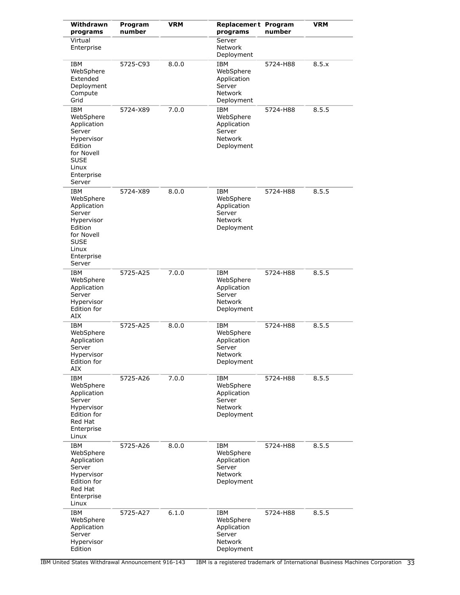| Withdrawn<br>programs                                                                                                                   | Program<br>number | <b>VRM</b> | Replacement Program<br>programs                                           | number   | <b>VRM</b> |
|-----------------------------------------------------------------------------------------------------------------------------------------|-------------------|------------|---------------------------------------------------------------------------|----------|------------|
| Virtual<br>Enterprise                                                                                                                   |                   |            | Server<br>Network<br>Deployment                                           |          |            |
| IBM<br>WebSphere<br>Extended<br>Deployment<br>Compute<br>Grid                                                                           | 5725-C93          | 8.0.0      | IBM<br>WebSphere<br>Application<br>Server<br>Network<br>Deployment        | 5724-H88 | 8.5.x      |
| <b>IBM</b><br>WebSphere<br>Application<br>Server<br>Hypervisor<br>Edition<br>for Novell<br><b>SUSE</b><br>Linux<br>Enterprise<br>Server | 5724-X89          | 7.0.0      | IBM<br>WebSphere<br>Application<br>Server<br><b>Network</b><br>Deployment | 5724-H88 | 8.5.5      |
| IBM<br>WebSphere<br>Application<br>Server<br>Hypervisor<br>Edition<br>for Novell<br>SUSE<br>Linux<br>Enterprise<br>Server               | 5724-X89          | 8.0.0      | IBM<br>WebSphere<br>Application<br>Server<br>Network<br>Deployment        | 5724-H88 | 8.5.5      |
| IBM<br>WebSphere<br>Application<br>Server<br>Hypervisor<br>Edition for<br>AIX                                                           | 5725-A25          | 7.0.0      | IBM<br>WebSphere<br>Application<br>Server<br>Network<br>Deployment        | 5724-H88 | 8.5.5      |
| IBM<br>WebSphere<br>Application<br>Server<br>Hypervisor<br>Edition for<br>AIX                                                           | 5725-A25          | 8.0.0      | IBM<br>WebSphere<br>Application<br>Server<br>Network<br>Deployment        | 5724-H88 | 8.5.5      |
| <b>IBM</b><br>WebSphere<br>Application<br>Server<br>Hypervisor<br>Edition for<br>Red Hat<br>Enterprise<br>Linux                         | 5725-A26          | 7.0.0      | IBM<br>WebSphere<br>Application<br>Server<br>Network<br>Deployment        | 5724-H88 | 8.5.5      |
| <b>IBM</b><br>WebSphere<br>Application<br>Server<br>Hypervisor<br>Edition for<br>Red Hat<br>Enterprise<br>Linux                         | 5725-A26          | 8.0.0      | IBM<br>WebSphere<br>Application<br>Server<br><b>Network</b><br>Deployment | 5724-H88 | 8.5.5      |
| IBM<br>WebSphere<br>Application<br>Server<br>Hypervisor<br>Edition                                                                      | 5725-A27          | 6.1.0      | IBM<br>WebSphere<br>Application<br>Server<br>Network<br>Deployment        | 5724-H88 | 8.5.5      |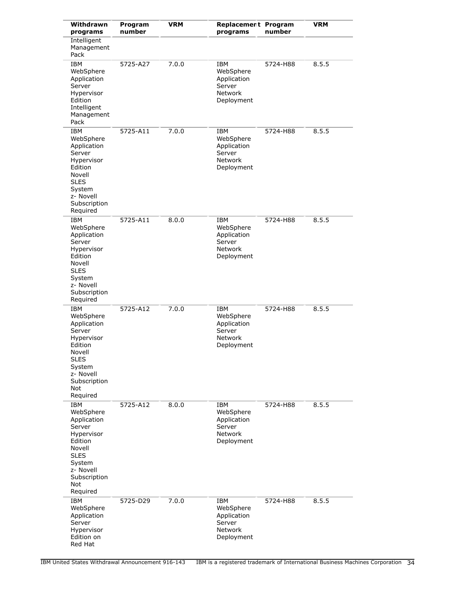| Withdrawn<br>programs                                                                                                                                        | Program<br>number | <b>VRM</b> | Replacement Program<br>programs                                                  | number   | <b>VRM</b> |
|--------------------------------------------------------------------------------------------------------------------------------------------------------------|-------------------|------------|----------------------------------------------------------------------------------|----------|------------|
| <b>Intelligent</b><br>Management<br>Pack                                                                                                                     |                   |            |                                                                                  |          |            |
| <b>IBM</b><br>WebSphere<br>Application<br>Server<br>Hypervisor<br>Edition<br>Intelligent<br>Management<br>Pack                                               | 5725-A27          | 7.0.0      | <b>IBM</b><br>WebSphere<br>Application<br>Server<br><b>Network</b><br>Deployment | 5724-H88 | 8.5.5      |
| <b>IBM</b><br>WebSphere<br>Application<br>Server<br>Hypervisor<br>Edition<br>Novell<br><b>SLES</b><br>System<br>z- Novell<br>Subscription<br>Required        | 5725-A11          | 7.0.0      | IBM<br>WebSphere<br>Application<br>Server<br>Network<br>Deployment               | 5724-H88 | 8.5.5      |
| <b>IBM</b><br>WebSphere<br>Application<br>Server<br>Hypervisor<br>Edition<br>Novell<br><b>SLES</b><br>System<br>z- Novell<br>Subscription<br>Required        | 5725-A11          | 8.0.0      | <b>IBM</b><br>WebSphere<br>Application<br>Server<br>Network<br>Deployment        | 5724-H88 | 8.5.5      |
| <b>IBM</b><br>WebSphere<br>Application<br>Server<br>Hypervisor<br>Edition<br>Novell<br><b>SLES</b><br>System<br>z- Novell<br>Subscription<br>Not<br>Required | 5725-A12          | 7.0.0      | IBM<br>WebSphere<br>Application<br>Server<br>Network<br>Deployment               | 5724-H88 | 8.5.5      |
| <b>IBM</b><br>WebSphere<br>Application<br>Server<br>Hypervisor<br>Edition<br>Novell<br><b>SLES</b><br>System<br>z- Novell<br>Subscription<br>Not<br>Required | 5725-A12          | 8.0.0      | IBM<br>WebSphere<br>Application<br>Server<br>Network<br>Deployment               | 5724-H88 | 8.5.5      |
| IBM<br>WebSphere<br>Application<br>Server<br>Hypervisor<br>Edition on<br>Red Hat                                                                             | 5725-D29          | 7.0.0      | IBM<br>WebSphere<br>Application<br>Server<br>Network<br>Deployment               | 5724-H88 | 8.5.5      |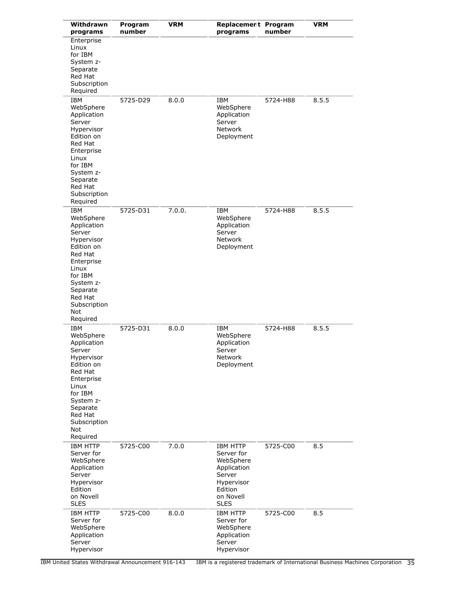| Withdrawn<br>programs                                                                                                                                                                            | Program<br>number | <b>VRM</b> | Replacement Program<br>programs                                                                                          | number   | <b>VRM</b> |
|--------------------------------------------------------------------------------------------------------------------------------------------------------------------------------------------------|-------------------|------------|--------------------------------------------------------------------------------------------------------------------------|----------|------------|
| Enterprise<br>Linux<br>for IBM<br>System z-<br>Separate<br>Red Hat<br>Subscription<br>Required                                                                                                   |                   |            |                                                                                                                          |          |            |
| <b>IBM</b><br>WebSphere<br>Application<br>Server<br>Hypervisor<br>Edition on<br>Red Hat<br>Enterprise<br>Linux<br>for IBM<br>System z-<br>Separate<br>Red Hat<br>Subscription<br>Required        | 5725-D29          | 8.0.0      | IBM<br>WebSphere<br>Application<br>Server<br><b>Network</b><br>Deployment                                                | 5724-H88 | 8.5.5      |
| <b>IBM</b><br>WebSphere<br>Application<br>Server<br>Hypervisor<br>Edition on<br>Red Hat<br>Enterprise<br>Linux<br>for IBM<br>System z-<br>Separate<br>Red Hat<br>Subscription<br>Not<br>Required | 5725-D31          | 7.0.0.     | IBM<br>WebSphere<br>Application<br>Server<br>Network<br>Deployment                                                       | 5724-H88 | 8.5.5      |
| IBM<br>WebSphere<br>Application<br>Server<br>Hypervisor<br>Edition on<br>Red Hat<br>Enterprise<br>Linux<br>for IBM<br>System z-<br>Separate<br>Red Hat<br>Subscription<br>Not<br>Required        | 5725-D31          | 8.0.0      | IBM<br>WebSphere<br>Application<br>Server<br>Network<br>Deployment                                                       | 5724-H88 | 8.5.5      |
| <b>IBM HTTP</b><br>Server for<br>WebSphere<br>Application<br>Server<br>Hypervisor<br>Edition<br>on Novell<br><b>SLES</b>                                                                         | 5725-C00          | 7.0.0      | <b>IBM HTTP</b><br>Server for<br>WebSphere<br>Application<br>Server<br>Hypervisor<br>Edition<br>on Novell<br><b>SLES</b> | 5725-C00 | 8.5        |
| <b>IBM HTTP</b><br>Server for<br>WebSphere<br>Application<br>Server<br>Hypervisor                                                                                                                | 5725-C00          | 8.0.0      | <b>IBM HTTP</b><br>Server for<br>WebSphere<br>Application<br>Server<br>Hypervisor                                        | 5725-C00 | 8.5        |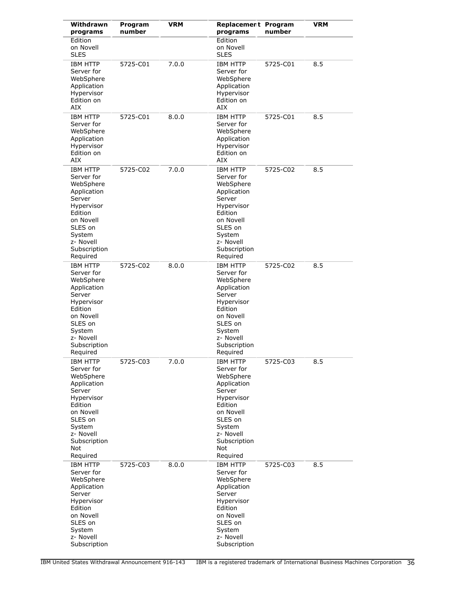| Withdrawn<br>programs                                                                                                                                                          | Program<br>number | <b>VRM</b> | Replacement Program<br>programs                                                                                                                                                | number   | <b>VRM</b> |
|--------------------------------------------------------------------------------------------------------------------------------------------------------------------------------|-------------------|------------|--------------------------------------------------------------------------------------------------------------------------------------------------------------------------------|----------|------------|
| Edition<br>on Novell<br><b>SLES</b>                                                                                                                                            |                   |            | Edition<br>on Novell<br><b>SLES</b>                                                                                                                                            |          |            |
| <b>IBM HTTP</b><br>Server for<br>WebSphere<br>Application<br>Hypervisor<br>Edition on<br>AIX                                                                                   | 5725-C01          | 7.0.0      | <b>IBM HTTP</b><br>Server for<br>WebSphere<br>Application<br>Hypervisor<br>Edition on<br>AIX                                                                                   | 5725-C01 | 8.5        |
| <b>IBM HTTP</b><br>Server for<br>WebSphere<br>Application<br>Hypervisor<br>Edition on<br>AIX                                                                                   | 5725-C01          | 8.0.0      | <b>IBM HTTP</b><br>Server for<br>WebSphere<br>Application<br>Hypervisor<br>Edition on<br>AIX                                                                                   | 5725-C01 | 8.5        |
| <b>IBM HTTP</b><br>Server for<br>WebSphere<br>Application<br>Server<br>Hypervisor<br>Edition<br>on Novell<br>SLES on<br>System<br>z- Novell<br>Subscription<br>Required        | 5725-C02          | 7.0.0      | <b>IBM HTTP</b><br>Server for<br>WebSphere<br>Application<br>Server<br>Hypervisor<br>Edition<br>on Novell<br>SLES on<br>System<br>z- Novell<br>Subscription<br>Required        | 5725-C02 | 8.5        |
| <b>IBM HTTP</b><br>Server for<br>WebSphere<br>Application<br>Server<br>Hypervisor<br>Edition<br>on Novell<br>SLES on<br>System<br>z- Novell<br>Subscription<br>Required        | 5725-C02          | 8.0.0      | <b>IBM HTTP</b><br>Server for<br>WebSphere<br>Application<br>Server<br>Hypervisor<br>Edition<br>on Novell<br>SLES on<br>System<br>z- Novell<br>Subscription<br>Required        | 5725-C02 | 8.5        |
| <b>IBM HTTP</b><br>Server for<br>WebSphere<br>Application<br>Server<br>Hypervisor<br>Edition<br>on Novell<br>SLES on<br>System<br>z- Novell<br>Subscription<br>Not<br>Required | 5725-C03          | 7.0.0      | <b>IBM HTTP</b><br>Server for<br>WebSphere<br>Application<br>Server<br>Hypervisor<br>Edition<br>on Novell<br>SLES on<br>System<br>z- Novell<br>Subscription<br>Not<br>Required | 5725-C03 | 8.5        |
| <b>IBM HTTP</b><br>Server for<br>WebSphere<br>Application<br>Server<br>Hypervisor<br>Edition<br>on Novell<br>SLES on<br>System<br>z- Novell<br>Subscription                    | 5725-C03          | 8.0.0      | <b>IBM HTTP</b><br>Server for<br>WebSphere<br>Application<br>Server<br>Hypervisor<br>Edition<br>on Novell<br>SLES on<br>System<br>z- Novell<br>Subscription                    | 5725-C03 | 8.5        |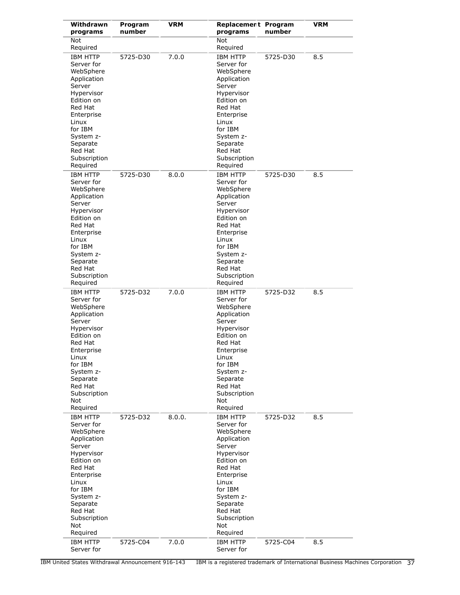| Withdrawn<br>programs                                                                                                                                                                                               | Program<br>number | VRM    | <b>Replacement Program</b><br>programs                                                                                                                                                                              | number   | <b>VRM</b> |
|---------------------------------------------------------------------------------------------------------------------------------------------------------------------------------------------------------------------|-------------------|--------|---------------------------------------------------------------------------------------------------------------------------------------------------------------------------------------------------------------------|----------|------------|
| Not<br>Required                                                                                                                                                                                                     |                   |        | <b>Not</b><br>Required                                                                                                                                                                                              |          |            |
| <b>IBM HTTP</b><br>Server for<br>WebSphere<br>Application<br>Server<br>Hypervisor<br>Edition on<br>Red Hat<br>Enterprise<br>Linux<br>for IBM<br>System z-<br>Separate<br>Red Hat<br>Subscription<br>Required        | 5725-D30          | 7.0.0  | <b>IBM HTTP</b><br>Server for<br>WebSphere<br>Application<br>Server<br>Hypervisor<br>Edition on<br>Red Hat<br>Enterprise<br>Linux<br>for IBM<br>System z-<br>Separate<br>Red Hat<br>Subscription<br>Required        | 5725-D30 | 8.5        |
| <b>IBM HTTP</b><br>Server for<br>WebSphere<br>Application<br>Server<br>Hypervisor<br>Edition on<br>Red Hat<br>Enterprise<br>Linux<br>for IBM<br>System z-<br>Separate<br>Red Hat<br>Subscription<br>Required        | 5725-D30          | 8.0.0  | <b>IBM HTTP</b><br>Server for<br>WebSphere<br>Application<br>Server<br>Hypervisor<br>Edition on<br>Red Hat<br>Enterprise<br>Linux<br>for IBM<br>System z-<br>Separate<br>Red Hat<br>Subscription<br>Required        | 5725-D30 | 8.5        |
| <b>IBM HTTP</b><br>Server for<br>WebSphere<br>Application<br>Server<br>Hypervisor<br>Edition on<br>Red Hat<br>Enterprise<br>Linux<br>for IBM<br>System z-<br>Separate<br>Red Hat<br>Subscription<br>Not<br>Required | 5725-D32          | 7.0.0  | <b>IBM HTTP</b><br>Server for<br>WebSphere<br>Application<br>Server<br>Hypervisor<br>Edition on<br>Red Hat<br>Enterprise<br>Linux<br>for IBM<br>System z-<br>Separate<br>Red Hat<br>Subscription<br>Not<br>Required | 5725-D32 | 8.5        |
| <b>IBM HTTP</b><br>Server for<br>WebSphere<br>Application<br>Server<br>Hypervisor<br>Edition on<br>Red Hat<br>Enterprise<br>Linux<br>for IBM<br>System z-<br>Separate<br>Red Hat<br>Subscription<br>Not<br>Required | 5725-D32          | 8.0.0. | <b>IBM HTTP</b><br>Server for<br>WebSphere<br>Application<br>Server<br>Hypervisor<br>Edition on<br>Red Hat<br>Enterprise<br>Linux<br>for IBM<br>System z-<br>Separate<br>Red Hat<br>Subscription<br>Not<br>Required | 5725-D32 | 8.5        |
| <b>IBM HTTP</b><br>Server for                                                                                                                                                                                       | 5725-C04          | 7.0.0  | <b>IBM HTTP</b><br>Server for                                                                                                                                                                                       | 5725-C04 | 8.5        |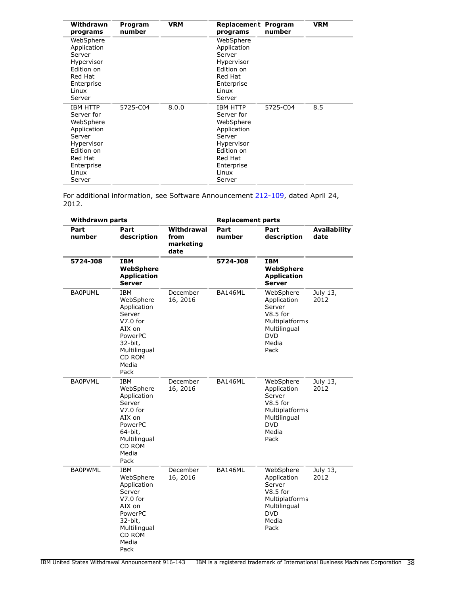| Withdrawn<br>programs                                                                                                                       | Program<br>number | <b>VRM</b> | Replacement Program<br>programs                                                                                                             | number   | <b>VRM</b> |
|---------------------------------------------------------------------------------------------------------------------------------------------|-------------------|------------|---------------------------------------------------------------------------------------------------------------------------------------------|----------|------------|
| WebSphere<br>Application<br>Server<br>Hypervisor<br>Edition on<br>Red Hat<br>Enterprise<br>Linux<br>Server                                  |                   |            | WebSphere<br>Application<br>Server<br>Hypervisor<br>Edition on<br>Red Hat<br>Enterprise<br>Linux<br>Server                                  |          |            |
| <b>IBM HTTP</b><br>Server for<br>WebSphere<br>Application<br>Server<br>Hypervisor<br>Edition on<br>Red Hat<br>Enterprise<br>Linux<br>Server | 5725-C04          | 8.0.0      | <b>IBM HTTP</b><br>Server for<br>WebSphere<br>Application<br>Server<br>Hypervisor<br>Edition on<br>Red Hat<br>Enterprise<br>Linux<br>Server | 5725-C04 | 8.5        |

For additional information, see Software Announcement [212-109](http://www.ibm.com/common/ssi/cgi-bin/ssialias?infotype=an&subtype=ca&appname=gpateam&supplier=897&letternum=ENUS212-109), dated April 24, 2012.

| <b>Withdrawn parts</b> |                                                                                                                                           |                                         | <b>Replacement parts</b> |                                                                                                                   |                             |
|------------------------|-------------------------------------------------------------------------------------------------------------------------------------------|-----------------------------------------|--------------------------|-------------------------------------------------------------------------------------------------------------------|-----------------------------|
| Part<br>number         | Part<br>description                                                                                                                       | Withdrawal<br>from<br>marketing<br>date | Part<br>number           | Part<br>description                                                                                               | <b>Availability</b><br>date |
| 5724-J08               | <b>IBM</b><br>WebSphere<br><b>Application</b><br><b>Server</b>                                                                            |                                         | 5724-J08                 | <b>IBM</b><br>WebSphere<br><b>Application</b><br><b>Server</b>                                                    |                             |
| <b>BA0PUML</b>         | <b>IBM</b><br>WebSphere<br>Application<br>Server<br>$V7.0$ for<br>AIX on<br>PowerPC<br>32-bit,<br>Multilingual<br>CD ROM<br>Media<br>Pack | December<br>16, 2016                    | BA146ML                  | WebSphere<br>Application<br>Server<br>$V8.5$ for<br>Multiplatforms<br>Multilingual<br><b>DVD</b><br>Media<br>Pack | July 13,<br>2012            |
| <b>BA0PVML</b>         | <b>IBM</b><br>WebSphere<br>Application<br>Server<br>$V7.0$ for<br>AIX on<br>PowerPC<br>64-bit,<br>Multilingual<br>CD ROM<br>Media<br>Pack | December<br>16, 2016                    | BA146ML                  | WebSphere<br>Application<br>Server<br>$V8.5$ for<br>Multiplatforms<br>Multilingual<br><b>DVD</b><br>Media<br>Pack | July 13,<br>2012            |
| <b>BA0PWML</b>         | <b>IBM</b><br>WebSphere<br>Application<br>Server<br>$V7.0$ for<br>AIX on<br>PowerPC<br>32-bit,<br>Multilingual<br>CD ROM<br>Media<br>Pack | December<br>16, 2016                    | BA146ML                  | WebSphere<br>Application<br>Server<br>$V8.5$ for<br>Multiplatforms<br>Multilingual<br><b>DVD</b><br>Media<br>Pack | July 13,<br>2012            |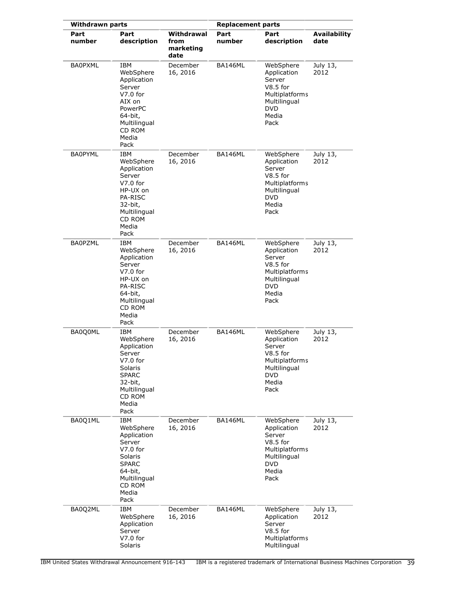| <b>Withdrawn parts</b> |                                                                                                                                                    |                                         | <b>Replacement parts</b> |                                                                                                                   |                             |
|------------------------|----------------------------------------------------------------------------------------------------------------------------------------------------|-----------------------------------------|--------------------------|-------------------------------------------------------------------------------------------------------------------|-----------------------------|
| Part<br>number         | Part<br>description                                                                                                                                | Withdrawal<br>from<br>marketing<br>date | Part<br>number           | Part<br>description                                                                                               | <b>Availability</b><br>date |
| <b>BA0PXML</b>         | <b>IBM</b><br>WebSphere<br>Application<br>Server<br>$V7.0$ for<br>AIX on<br>PowerPC<br>64-bit,<br>Multilingual<br>CD ROM<br>Media<br>Pack          | December<br>16, 2016                    | BA146ML                  | WebSphere<br>Application<br>Server<br>$V8.5$ for<br>Multiplatforms<br>Multilingual<br><b>DVD</b><br>Media<br>Pack | July 13,<br>2012            |
| <b>BA0PYML</b>         | <b>IBM</b><br>WebSphere<br>Application<br>Server<br>$V7.0$ for<br>HP-UX on<br><b>PA-RISC</b><br>32-bit,<br>Multilingual<br>CD ROM<br>Media<br>Pack | December<br>16, 2016                    | BA146ML                  | WebSphere<br>Application<br>Server<br>$V8.5$ for<br>Multiplatforms<br>Multilingual<br><b>DVD</b><br>Media<br>Pack | July 13,<br>2012            |
| <b>BA0PZML</b>         | IBM<br>WebSphere<br>Application<br>Server<br>$V7.0$ for<br>HP-UX on<br><b>PA-RISC</b><br>64-bit,<br>Multilingual<br>CD ROM<br>Media<br>Pack        | December<br>16, 2016                    | BA146ML                  | WebSphere<br>Application<br>Server<br>$V8.5$ for<br>Multiplatforms<br>Multilingual<br><b>DVD</b><br>Media<br>Pack | July 13,<br>2012            |
| BA0Q0ML                | IBM<br>WebSphere<br>Application<br>Server<br>$V7.0$ for<br>Solaris<br><b>SPARC</b><br>32-bit,<br>Multilingual<br>CD ROM<br>Media<br>Pack           | December<br>16, 2016                    | BA146ML                  | WebSphere<br>Application<br>Server<br>$V8.5$ for<br>Multiplatforms<br>Multilingual<br>DVD<br>Media<br>Pack        | July 13,<br>2012            |
| BA0Q1ML                | IBM<br>WebSphere<br>Application<br>Server<br>$V7.0$ for<br>Solaris<br><b>SPARC</b><br>64-bit,<br>Multilingual<br>CD ROM<br>Media<br>Pack           | December<br>16, 2016                    | BA146ML                  | WebSphere<br>Application<br>Server<br>$V8.5$ for<br>Multiplatforms<br>Multilingual<br><b>DVD</b><br>Media<br>Pack | July 13,<br>2012            |
| BA0Q2ML                | <b>IBM</b><br>WebSphere<br>Application<br>Server<br>$V7.0$ for<br>Solaris                                                                          | December<br>16, 2016                    | BA146ML                  | WebSphere<br>Application<br>Server<br>$V8.5$ for<br>Multiplatforms<br>Multilingual                                | July 13,<br>2012            |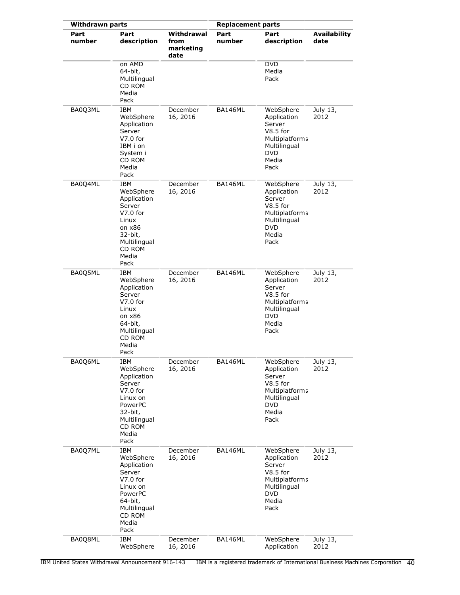| <b>Withdrawn parts</b> |                                                                                                                                             |                                         | <b>Replacement parts</b> |                                                                                                                   |                             |
|------------------------|---------------------------------------------------------------------------------------------------------------------------------------------|-----------------------------------------|--------------------------|-------------------------------------------------------------------------------------------------------------------|-----------------------------|
| Part<br>number         | Part<br>description                                                                                                                         | Withdrawal<br>from<br>marketing<br>date | Part<br>number           | Part<br>description                                                                                               | <b>Availability</b><br>date |
|                        | on AMD<br>64-bit,<br>Multilingual<br>CD ROM<br>Media<br>Pack                                                                                |                                         |                          | <b>DVD</b><br>Media<br>Pack                                                                                       |                             |
| BA0Q3ML                | IBM<br>WebSphere<br>Application<br>Server<br>$V7.0$ for<br>IBM i on<br>System i<br>CD ROM<br>Media<br>Pack                                  | December<br>16, 2016                    | BA146ML                  | WebSphere<br>Application<br>Server<br>$V8.5$ for<br>Multiplatforms<br>Multilingual<br><b>DVD</b><br>Media<br>Pack | July 13,<br>2012            |
| BA0Q4ML                | <b>IBM</b><br>WebSphere<br>Application<br>Server<br>$V7.0$ for<br>Linux<br>on x86<br>32-bit,<br>Multilingual<br>CD ROM<br>Media<br>Pack     | December<br>16, 2016                    | BA146ML                  | WebSphere<br>Application<br>Server<br>$V8.5$ for<br>Multiplatforms<br>Multilingual<br>DVD<br>Media<br>Pack        | July 13,<br>2012            |
| BA0Q5ML                | IBM<br>WebSphere<br>Application<br>Server<br>$V7.0$ for<br>Linux<br>on x86<br>64-bit,<br>Multilingual<br>CD ROM<br>Media<br>Pack            | December<br>16, 2016                    | BA146ML                  | WebSphere<br>Application<br>Server<br>$V8.5$ for<br>Multiplatforms<br>Multilingual<br><b>DVD</b><br>Media<br>Pack | July 13,<br>2012            |
| BA0Q6ML                | IBM<br>WebSphere<br>Application<br>Server<br>$V7.0$ for<br>Linux on<br>PowerPC<br>32-bit,<br>Multilingual<br>CD ROM<br>Media<br>Pack        | December<br>16, 2016                    | BA146ML                  | WebSphere<br>Application<br>Server<br>$V8.5$ for<br>Multiplatforms<br>Multilingual<br><b>DVD</b><br>Media<br>Pack | July 13,<br>2012            |
| BA0Q7ML                | <b>IBM</b><br>WebSphere<br>Application<br>Server<br>$V7.0$ for<br>Linux on<br>PowerPC<br>64-bit,<br>Multilingual<br>CD ROM<br>Media<br>Pack | December<br>16, 2016                    | BA146ML                  | WebSphere<br>Application<br>Server<br>$V8.5$ for<br>Multiplatforms<br>Multilingual<br><b>DVD</b><br>Media<br>Pack | July 13,<br>2012            |
| BA0Q8ML                | IBM<br>WebSphere                                                                                                                            | December<br>16, 2016                    | <b>BA146ML</b>           | WebSphere<br>Application                                                                                          | July 13,<br>2012            |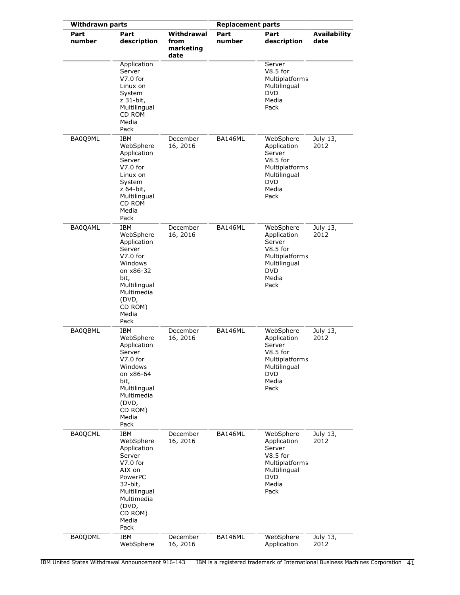| <b>Withdrawn parts</b> |                                                                                                                                                                   |                                         | <b>Replacement parts</b> |                                                                                                                          |                             |
|------------------------|-------------------------------------------------------------------------------------------------------------------------------------------------------------------|-----------------------------------------|--------------------------|--------------------------------------------------------------------------------------------------------------------------|-----------------------------|
| Part<br>number         | Part<br>description                                                                                                                                               | Withdrawal<br>from<br>marketing<br>date | Part<br>number           | Part<br>description                                                                                                      | <b>Availability</b><br>date |
|                        | Application<br>Server<br>$V7.0$ for<br>Linux on<br>System<br>z 31-bit,<br>Multilingual<br>CD ROM<br>Media<br>Pack                                                 |                                         |                          | Server<br>$V8.5$ for<br>Multiplatforms<br>Multilingual<br><b>DVD</b><br>Media<br>Pack                                    |                             |
| BA0Q9ML                | IBM<br>WebSphere<br>Application<br>Server<br>$V7.0$ for<br>Linux on<br>System<br>z 64-bit,<br>Multilingual<br>CD ROM<br>Media<br>Pack                             | December<br>16, 2016                    | BA146ML                  | WebSphere<br>Application<br>Server<br>$V8.5$ for<br>Multiplatforms<br>Multilingual<br><b>DVD</b><br>Media<br>Pack        | July 13,<br>2012            |
| BA0QAML                | <b>IBM</b><br>WebSphere<br>Application<br>Server<br>$V7.0$ for<br>Windows<br>on x86-32<br>bit,<br>Multilingual<br>Multimedia<br>(DVD,<br>CD ROM)<br>Media<br>Pack | December<br>16, 2016                    | BA146ML                  | WebSphere<br>Application<br>Server<br>$V8.5$ for<br>Multiplatforms<br>Multilingual<br><b>DVD</b><br>Media<br>Pack        | July 13,<br>2012            |
| BA0QBML                | IBM<br>WebSphere<br>Application<br>Server<br>V7.0 for<br>Windows<br>on x86-64<br>bit,<br>Multilingual<br>Multimedia<br>(DVD,<br>CD ROM)<br>Media<br>Pack          | December<br>16, 2016                    | BA146ML                  | WebSphere<br>Application<br>Server<br>$V8.5$ for<br><b>Multiplatforms</b><br>Multilingual<br><b>DVD</b><br>Media<br>Pack | July 13,<br>2012            |
| <b>BA0QCML</b>         | <b>IBM</b><br>WebSphere<br>Application<br>Server<br>$V7.0$ for<br>AIX on<br>PowerPC<br>32-bit,<br>Multilingual<br>Multimedia<br>(DVD,<br>CD ROM)<br>Media<br>Pack | December<br>16, 2016                    | BA146ML                  | WebSphere<br>Application<br>Server<br>$V8.5$ for<br>Multiplatforms<br>Multilingual<br><b>DVD</b><br>Media<br>Pack        | July 13,<br>2012            |
| BA0QDML                | IBM<br>WebSphere                                                                                                                                                  | December<br>16, 2016                    | BA146ML                  | WebSphere<br>Application                                                                                                 | July 13,<br>2012            |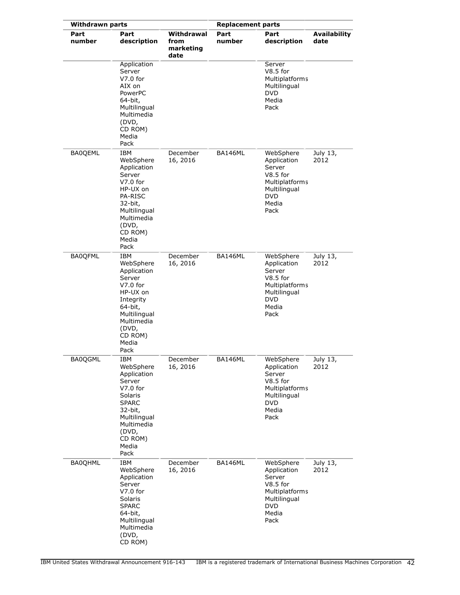| <b>Withdrawn parts</b> |                                                                                                                                                                  |                                         | <b>Replacement parts</b> |                                                                                                                   |                             |
|------------------------|------------------------------------------------------------------------------------------------------------------------------------------------------------------|-----------------------------------------|--------------------------|-------------------------------------------------------------------------------------------------------------------|-----------------------------|
| Part<br>number         | Part<br>description                                                                                                                                              | Withdrawal<br>from<br>marketing<br>date | Part<br>number           | Part<br>description                                                                                               | <b>Availability</b><br>date |
|                        | Application<br>Server<br>$V7.0$ for<br>AIX on<br>PowerPC<br>64-bit,<br>Multilingual<br>Multimedia<br>(DVD,<br>CD ROM)<br>Media<br>Pack                           |                                         |                          | Server<br>$V8.5$ for<br>Multiplatforms<br>Multilingual<br><b>DVD</b><br>Media<br>Pack                             |                             |
| <b>BA0QEML</b>         | IBM<br>WebSphere<br>Application<br>Server<br>$V7.0$ for<br>HP-UX on<br>PA-RISC<br>32-bit,<br>Multilingual<br>Multimedia<br>(DVD,<br>CD ROM)<br>Media<br>Pack     | December<br>16, 2016                    | BA146ML                  | WebSphere<br>Application<br>Server<br>$V8.5$ for<br>Multiplatforms<br>Multilingual<br><b>DVD</b><br>Media<br>Pack | July 13,<br>2012            |
| <b>BA0QFML</b>         | IBM<br>WebSphere<br>Application<br>Server<br>$V7.0$ for<br>HP-UX on<br>Integrity<br>64-bit,<br>Multilingual<br>Multimedia<br>(DVD,<br>CD ROM)<br>Media<br>Pack   | December<br>16, 2016                    | BA146ML                  | WebSphere<br>Application<br>Server<br>$V8.5$ for<br>Multiplatforms<br>Multilingual<br><b>DVD</b><br>Media<br>Pack | July 13,<br>2012            |
| BA0QGML                | IBM<br>WebSphere<br>Application<br>Server<br>$V7.0$ for<br>Solaris<br><b>SPARC</b><br>32-bit,<br>Multilingual<br>Multimedia<br>(DVD,<br>CD ROM)<br>Media<br>Pack | December<br>16, 2016                    | BA146ML                  | WebSphere<br>Application<br>Server<br>$V8.5$ for<br>Multiplatforms<br>Multilingual<br><b>DVD</b><br>Media<br>Pack | July 13,<br>2012            |
| <b>BA0QHML</b>         | <b>IBM</b><br>WebSphere<br>Application<br>Server<br>$V7.0$ for<br>Solaris<br><b>SPARC</b><br>64-bit,<br>Multilingual<br>Multimedia<br>(DVD,<br>CD ROM)           | December<br>16, 2016                    | BA146ML                  | WebSphere<br>Application<br>Server<br>$V8.5$ for<br>Multiplatforms<br>Multilingual<br><b>DVD</b><br>Media<br>Pack | July 13,<br>2012            |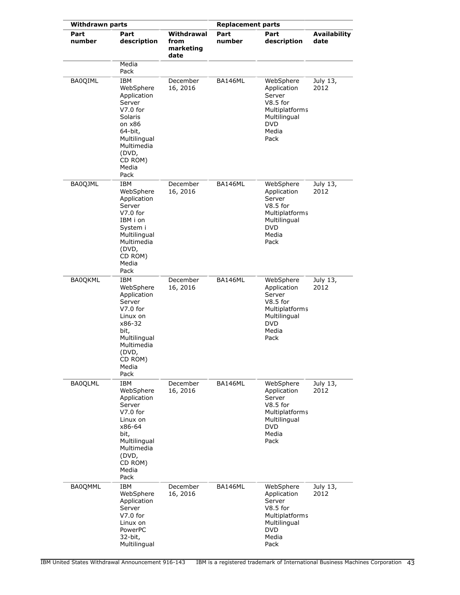| <b>Withdrawn parts</b> |                                                                                                                                                                    |                                         | <b>Replacement parts</b> |                                                                                                                          |                             |
|------------------------|--------------------------------------------------------------------------------------------------------------------------------------------------------------------|-----------------------------------------|--------------------------|--------------------------------------------------------------------------------------------------------------------------|-----------------------------|
| Part<br>number         | Part<br>description<br>Media                                                                                                                                       | Withdrawal<br>from<br>marketing<br>date | Part<br>number           | Part<br>description                                                                                                      | <b>Availability</b><br>date |
| <b>BA0QIML</b>         | Pack<br>IBM<br>WebSphere<br>Application<br>Server<br>$V7.0$ for<br>Solaris<br>on x86<br>64-bit,<br>Multilingual<br>Multimedia<br>(DVD,<br>CD ROM)<br>Media<br>Pack | December<br>16, 2016                    | BA146ML                  | WebSphere<br>Application<br>Server<br>$V8.5$ for<br>Multiplatforms<br>Multilingual<br><b>DVD</b><br>Media<br>Pack        | July 13,<br>2012            |
| BA0QJML                | IBM<br>WebSphere<br>Application<br>Server<br>$V7.0$ for<br>IBM i on<br>System i<br>Multilingual<br>Multimedia<br>(DVD,<br>CD ROM)<br>Media<br>Pack                 | December<br>16, 2016                    | BA146ML                  | WebSphere<br>Application<br>Server<br>$V8.5$ for<br>Multiplatforms<br>Multilingual<br>DVD<br>Media<br>Pack               | July 13,<br>2012            |
| <b>BA0QKML</b>         | IBM<br>WebSphere<br>Application<br>Server<br>$V7.0$ for<br>Linux on<br>x86-32<br>bit,<br>Multilingual<br>Multimedia<br>(DVD,<br>CD ROM)<br>Media<br>Pack           | December<br>16, 2016                    | BA146ML                  | WebSphere<br>Application<br>Server<br>$V8.5$ for<br><b>Multiplatforms</b><br>Multilingual<br><b>DVD</b><br>Media<br>Pack | July 13,<br>2012            |
| <b>BA0QLML</b>         | IBM<br>WebSphere<br>Application<br>Server<br>$V7.0$ for<br>Linux on<br>x86-64<br>bit,<br>Multilingual<br>Multimedia<br>(DVD,<br>CD ROM)<br>Media<br>Pack           | December<br>16, 2016                    | BA146ML                  | WebSphere<br>Application<br>Server<br>$V8.5$ for<br>Multiplatforms<br>Multilingual<br>DVD<br>Media<br>Pack               | July 13,<br>2012            |
| BA0QMML                | IBM<br>WebSphere<br>Application<br>Server<br>$V7.0$ for<br>Linux on<br>PowerPC<br>32-bit,<br>Multilingual                                                          | December<br>16, 2016                    | BA146ML                  | WebSphere<br>Application<br>Server<br>$V8.5$ for<br>Multiplatforms<br>Multilingual<br><b>DVD</b><br>Media<br>Pack        | July 13,<br>2012            |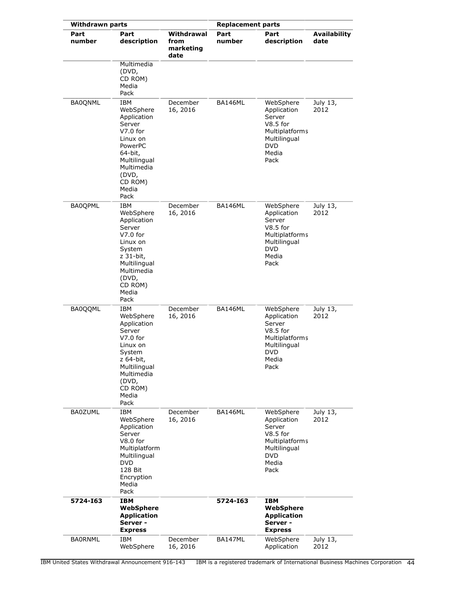|                | <b>Withdrawn parts</b><br><b>Replacement parts</b>                                                                                                            |                                         |                |                                                                                                                   |                             |
|----------------|---------------------------------------------------------------------------------------------------------------------------------------------------------------|-----------------------------------------|----------------|-------------------------------------------------------------------------------------------------------------------|-----------------------------|
| Part<br>number | Part<br>description                                                                                                                                           | Withdrawal<br>from<br>marketing<br>date | Part<br>number | Part<br>description                                                                                               | <b>Availability</b><br>date |
|                | Multimedia<br>(DVD,<br>CD ROM)<br>Media<br>Pack                                                                                                               |                                         |                |                                                                                                                   |                             |
| <b>BA0QNML</b> | IBM<br>WebSphere<br>Application<br>Server<br>$V7.0$ for<br>Linux on<br>PowerPC<br>64-bit,<br>Multilingual<br>Multimedia<br>(DVD,<br>CD ROM)<br>Media<br>Pack  | December<br>16, 2016                    | BA146ML        | WebSphere<br>Application<br>Server<br>$V8.5$ for<br>Multiplatforms<br>Multilingual<br><b>DVD</b><br>Media<br>Pack | July 13,<br>2012            |
| <b>BA0QPML</b> | IBM<br>WebSphere<br>Application<br>Server<br>$V7.0$ for<br>Linux on<br>System<br>z 31-bit,<br>Multilingual<br>Multimedia<br>(DVD,<br>CD ROM)<br>Media<br>Pack | December<br>16, 2016                    | <b>BA146ML</b> | WebSphere<br>Application<br>Server<br>$V8.5$ for<br>Multiplatforms<br>Multilingual<br><b>DVD</b><br>Media<br>Pack | July 13,<br>2012            |
| <b>BA0QQML</b> | IBM<br>WebSphere<br>Application<br>Server<br>$V7.0$ for<br>Linux on<br>System<br>z 64-bit,<br>Multilingual<br>Multimedia<br>(DVD,<br>CD ROM)<br>Media<br>Pack | December<br>16, 2016                    | BA146ML        | WebSphere<br>Application<br>Server<br>$V8.5$ for<br>Multiplatforms<br>Multilingual<br>DVD<br>Media<br>Pack        | July 13,<br>2012            |
| <b>BA0ZUML</b> | IBM<br>WebSphere<br>Application<br>Server<br>$V8.0$ for<br>Multiplatform<br>Multilingual<br><b>DVD</b><br>128 Bit<br>Encryption<br>Media<br>Pack              | December<br>16, 2016                    | BA146ML        | WebSphere<br>Application<br>Server<br>$V8.5$ for<br>Multiplatforms<br>Multilingual<br><b>DVD</b><br>Media<br>Pack | July 13,<br>2012            |
| 5724-163       | <b>IBM</b><br>WebSphere<br><b>Application</b><br>Server -<br><b>Express</b>                                                                                   |                                         | 5724-163       | <b>IBM</b><br>WebSphere<br><b>Application</b><br>Server -<br><b>Express</b>                                       |                             |
| <b>BAORNML</b> | IBM<br>WebSphere                                                                                                                                              | December<br>16, 2016                    | <b>BA147ML</b> | WebSphere<br>Application                                                                                          | July 13,<br>2012            |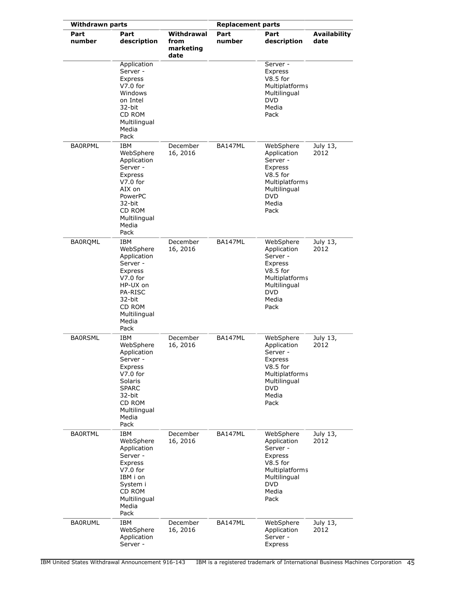| <b>Withdrawn parts</b> |                                                                                                                                                         |                                         | <b>Replacement parts</b> |                                                                                                                                |                             |
|------------------------|---------------------------------------------------------------------------------------------------------------------------------------------------------|-----------------------------------------|--------------------------|--------------------------------------------------------------------------------------------------------------------------------|-----------------------------|
| Part<br>number         | Part<br>description                                                                                                                                     | Withdrawal<br>from<br>marketing<br>date | Part<br>number           | Part<br>description                                                                                                            | <b>Availability</b><br>date |
|                        | Application<br>Server -<br>Express<br>$V7.0$ for<br>Windows<br>on Intel<br>32-bit<br>CD ROM<br>Multilingual<br>Media<br>Pack                            |                                         |                          | Server -<br>Express<br>$V8.5$ for<br>Multiplatforms<br>Multilingual<br><b>DVD</b><br>Media<br>Pack                             |                             |
| <b>BAORPML</b>         | IBM<br>WebSphere<br>Application<br>Server -<br>Express<br>$V7.0$ for<br>AIX on<br>PowerPC<br>32-bit<br>CD ROM<br>Multilingual<br>Media<br>Pack          | December<br>16, 2016                    | <b>BA147ML</b>           | WebSphere<br>Application<br>Server -<br>Express<br>$V8.5$ for<br>Multiplatforms<br>Multilingual<br><b>DVD</b><br>Media<br>Pack | July 13,<br>2012            |
| <b>BA0RQML</b>         | IBM<br>WebSphere<br>Application<br>Server -<br>Express<br>$V7.0$ for<br>HP-UX on<br><b>PA-RISC</b><br>32-bit<br>CD ROM<br>Multilingual<br>Media<br>Pack | December<br>16, 2016                    | BA147ML                  | WebSphere<br>Application<br>Server -<br>Express<br>$V8.5$ for<br>Multiplatforms<br>Multilingual<br><b>DVD</b><br>Media<br>Pack | July 13,<br>2012            |
| <b>BA0RSML</b>         | IBM<br>WebSphere<br>Application<br>Server -<br>Express<br>$V7.0$ for<br>Solaris<br><b>SPARC</b><br>32-bit<br>CD ROM<br>Multilingual<br>Media<br>Pack    | December<br>16, 2016                    | <b>BA147ML</b>           | WebSphere<br>Application<br>Server -<br>Express<br>V8.5 for<br>Multiplatforms<br>Multilingual<br><b>DVD</b><br>Media<br>Pack   | July 13,<br>2012            |
| <b>BAORTML</b>         | <b>IBM</b><br>WebSphere<br>Application<br>Server -<br>Express<br>$V7.0$ for<br>IBM i on<br>System i<br>CD ROM<br>Multilingual<br>Media<br>Pack          | December<br>16, 2016                    | BA147ML                  | WebSphere<br>Application<br>Server -<br>Express<br>$V8.5$ for<br>Multiplatforms<br>Multilingual<br><b>DVD</b><br>Media<br>Pack | July 13,<br>2012            |
| <b>BA0RUML</b>         | IBM<br>WebSphere<br>Application<br>Server -                                                                                                             | December<br>16, 2016                    | BA147ML                  | WebSphere<br>Application<br>Server -<br>Express                                                                                | July 13,<br>2012            |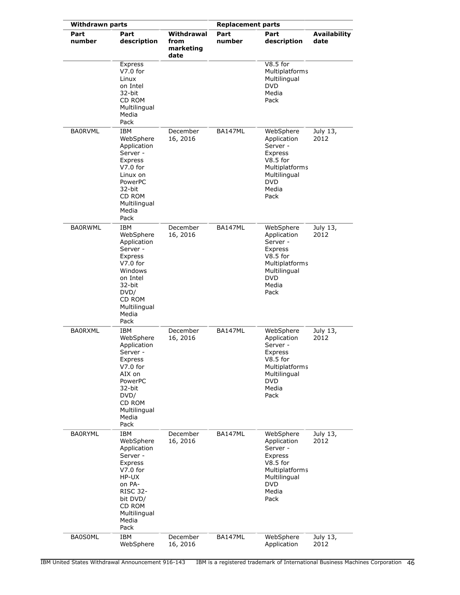| <b>Withdrawn parts</b> |                                                                                                                                                                          |                                         | <b>Replacement parts</b> |                                                                                                                                       |                             |
|------------------------|--------------------------------------------------------------------------------------------------------------------------------------------------------------------------|-----------------------------------------|--------------------------|---------------------------------------------------------------------------------------------------------------------------------------|-----------------------------|
| Part<br>number         | Part<br>description                                                                                                                                                      | Withdrawal<br>from<br>marketing<br>date | Part<br>number           | Part<br>description                                                                                                                   | <b>Availability</b><br>date |
|                        | Express<br>$V7.0$ for<br>Linux<br>on Intel<br>32-bit<br>CD ROM<br>Multilingual<br>Media<br>Pack                                                                          |                                         |                          | $V8.5$ for<br>Multiplatforms<br>Multilingual<br><b>DVD</b><br>Media<br>Pack                                                           |                             |
| <b>BA0RVML</b>         | IBM<br>WebSphere<br>Application<br>Server -<br>Express<br>$V7.0$ for<br>Linux on<br>PowerPC<br>32-bit<br>CD ROM<br>Multilingual<br>Media<br>Pack                         | December<br>16, 2016                    | <b>BA147ML</b>           | WebSphere<br>Application<br>Server -<br>Express<br>$V8.5$ for<br><b>Multiplatforms</b><br>Multilingual<br><b>DVD</b><br>Media<br>Pack | July 13,<br>2012            |
| <b>BA0RWML</b>         | <b>IBM</b><br>WebSphere<br>Application<br>Server -<br>Express<br>$V7.0$ for<br>Windows<br>on Intel<br>32-bit<br>DVD/<br>CD ROM<br>Multilingual<br>Media<br>Pack          | December<br>16, 2016                    | BA147ML                  | WebSphere<br>Application<br>Server -<br>Express<br>$V8.5$ for<br>Multiplatforms<br>Multilingual<br><b>DVD</b><br>Media<br>Pack        | July 13,<br>2012            |
| <b>BA0RXML</b>         | IBM<br>WebSphere<br>Application<br>Server -<br>Express<br>$V7.0$ for<br>AIX on<br>PowerPC<br>32-bit<br>DVD/<br>CD ROM<br>Multilingual<br>Media<br>Pack                   | December<br>16, 2016                    | <b>BA147ML</b>           | WebSphere<br>Application<br>Server -<br>Express<br>$V8.5$ for<br><b>Multiplatforms</b><br>Multilingual<br><b>DVD</b><br>Media<br>Pack | July 13,<br>2012            |
| <b>BA0RYML</b>         | <b>IBM</b><br>WebSphere<br>Application<br>Server -<br>Express<br>$V7.0$ for<br>HP-UX<br>on PA-<br><b>RISC 32-</b><br>bit DVD/<br>CD ROM<br>Multilingual<br>Media<br>Pack | December<br>16, 2016                    | BA147ML                  | WebSphere<br>Application<br>Server -<br>Express<br>$V8.5$ for<br>Multiplatforms<br>Multilingual<br><b>DVD</b><br>Media<br>Pack        | July 13,<br>2012            |
| <b>BA0S0ML</b>         | IBM<br>WebSphere                                                                                                                                                         | December<br>16, 2016                    | BA147ML                  | WebSphere<br>Application                                                                                                              | July 13,<br>2012            |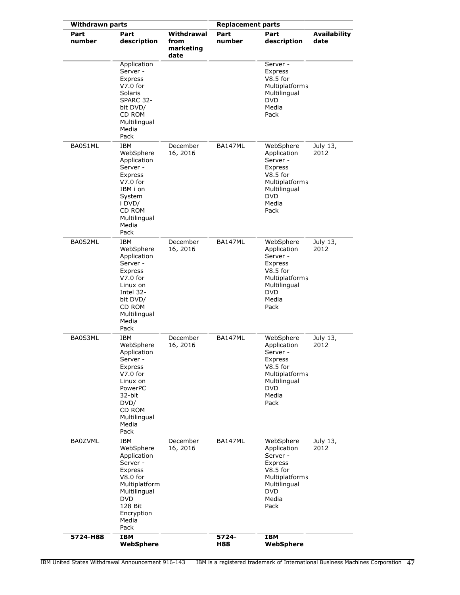| <b>Withdrawn parts</b> |                                                                                                                                                                    |                                         | <b>Replacement parts</b> |                                                                                                                                |                             |
|------------------------|--------------------------------------------------------------------------------------------------------------------------------------------------------------------|-----------------------------------------|--------------------------|--------------------------------------------------------------------------------------------------------------------------------|-----------------------------|
| Part<br>number         | Part<br>description                                                                                                                                                | Withdrawal<br>from<br>marketing<br>date | Part<br>number           | Part<br>description                                                                                                            | <b>Availability</b><br>date |
|                        | Application<br>Server -<br>Express<br>$V7.0$ for<br>Solaris<br>SPARC 32-<br>bit DVD/<br>CD ROM<br>Multilingual<br>Media<br>Pack                                    |                                         |                          | Server -<br>Express<br>$V8.5$ for<br>Multiplatforms<br>Multilingual<br><b>DVD</b><br>Media<br>Pack                             |                             |
| BA0S1ML                | IBM<br>WebSphere<br>Application<br>Server -<br>Express<br>$V7.0$ for<br>IBM i on<br>System<br>i DVD/<br>CD ROM<br>Multilingual<br>Media<br>Pack                    | December<br>16, 2016                    | BA147ML                  | WebSphere<br>Application<br>Server -<br>Express<br>$V8.5$ for<br>Multiplatforms<br>Multilingual<br><b>DVD</b><br>Media<br>Pack | July 13,<br>2012            |
| BA0S2ML                | <b>IBM</b><br>WebSphere<br>Application<br>Server -<br>Express<br>$V7.0$ for<br>Linux on<br>Intel 32-<br>bit DVD/<br>CD ROM<br>Multilingual<br>Media<br>Pack        | December<br>16, 2016                    | BA147ML                  | WebSphere<br>Application<br>Server -<br>Express<br>$V8.5$ for<br>Multiplatforms<br>Multilingual<br><b>DVD</b><br>Media<br>Pack | July 13,<br>2012            |
| BA0S3ML                | <b>IBM</b><br>WebSphere<br>Application<br>Server -<br>Express<br>$V7.0$ for<br>Linux on<br>PowerPC<br>32-bit<br>DVD/<br>CD ROM<br>Multilingual<br>Media<br>Pack    | December<br>16, 2016                    | BA147ML                  | WebSphere<br>Application<br>Server -<br>Express<br>$V8.5$ for<br>Multiplatforms<br>Multilingual<br><b>DVD</b><br>Media<br>Pack | July 13,<br>2012            |
| <b>BA0ZVML</b>         | <b>IBM</b><br>WebSphere<br>Application<br>Server -<br>Express<br>V8.0 for<br>Multiplatform<br>Multilingual<br><b>DVD</b><br>128 Bit<br>Encryption<br>Media<br>Pack | December<br>16, 2016                    | BA147ML                  | WebSphere<br>Application<br>Server -<br>Express<br>$V8.5$ for<br>Multiplatforms<br>Multilingual<br><b>DVD</b><br>Media<br>Pack | July 13,<br>2012            |
| 5724-H88               | <b>IBM</b><br>WebSphere                                                                                                                                            |                                         | 5724-<br>H88             | <b>IBM</b><br>WebSphere                                                                                                        |                             |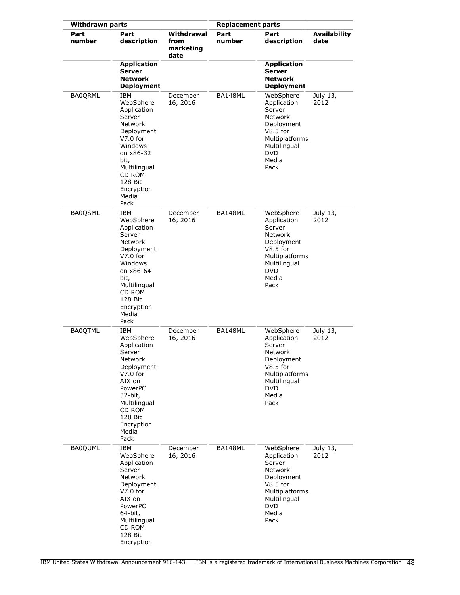| <b>Withdrawn parts</b> |                                                                                                                                                                                      |                                         | <b>Replacement parts</b> |                                                                                                                                                   |                             |
|------------------------|--------------------------------------------------------------------------------------------------------------------------------------------------------------------------------------|-----------------------------------------|--------------------------|---------------------------------------------------------------------------------------------------------------------------------------------------|-----------------------------|
| Part<br>number         | Part<br>description                                                                                                                                                                  | Withdrawal<br>from<br>marketing<br>date | Part<br>number           | Part<br>description                                                                                                                               | <b>Availability</b><br>date |
|                        | <b>Application</b><br><b>Server</b><br><b>Network</b><br><b>Deployment</b>                                                                                                           |                                         |                          | <b>Application</b><br><b>Server</b><br><b>Network</b><br><b>Deployment</b>                                                                        |                             |
| <b>BA0QRML</b>         | IBM<br>WebSphere<br>Application<br>Server<br>Network<br>Deployment<br>$V7.0$ for<br>Windows<br>on x86-32<br>bit,<br>Multilingual<br>CD ROM<br>128 Bit<br>Encryption<br>Media<br>Pack | December<br>16, 2016                    | BA148ML                  | WebSphere<br>Application<br>Server<br>Network<br>Deployment<br>$V8.5$ for<br>Multiplatforms<br>Multilingual<br><b>DVD</b><br>Media<br>Pack        | July 13,<br>2012            |
| <b>BA0QSML</b>         | IBM<br>WebSphere<br>Application<br>Server<br>Network<br>Deployment<br>$V7.0$ for<br>Windows<br>on x86-64<br>bit,<br>Multilingual<br>CD ROM<br>128 Bit<br>Encryption<br>Media<br>Pack | December<br>16, 2016                    | BA148ML                  | WebSphere<br>Application<br>Server<br><b>Network</b><br>Deployment<br>$V8.5$ for<br>Multiplatforms<br>Multilingual<br><b>DVD</b><br>Media<br>Pack | July 13,<br>2012            |
| <b>BA0QTML</b>         | IBM<br>WebSphere<br>Application<br>Server<br>Network<br>Deployment<br>$V7.0$ for<br>AIX on<br>PowerPC<br>32-bit,<br>Multilingual<br>CD ROM<br>128 Bit<br>Encryption<br>Media<br>Pack | December<br>16, 2016                    | BA148ML                  | WebSphere<br>Application<br>Server<br>Network<br>Deployment<br>$V8.5$ for<br>Multiplatforms<br>Multilingual<br>DVD<br>Media<br>Pack               | July 13,<br>2012            |
| <b>BA0QUML</b>         | IBM<br>WebSphere<br>Application<br>Server<br><b>Network</b><br>Deployment<br>$V7.0$ for<br>AIX on<br>PowerPC<br>64-bit,<br>Multilingual<br>CD ROM<br>128 Bit<br>Encryption           | December<br>16, 2016                    | BA148ML                  | WebSphere<br>Application<br>Server<br>Network<br>Deployment<br>$V8.5$ for<br><b>Multiplatforms</b><br>Multilingual<br><b>DVD</b><br>Media<br>Pack | July 13,<br>2012            |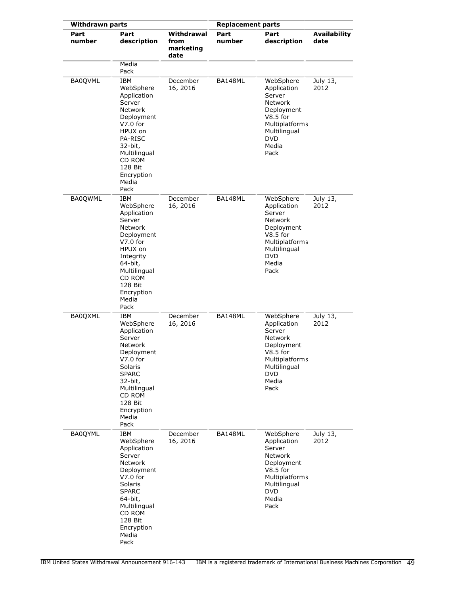| <b>Withdrawn parts</b> |                                                                                                                                                                                                      |                                         | <b>Replacement parts</b> |                                                                                                                                            |                             |
|------------------------|------------------------------------------------------------------------------------------------------------------------------------------------------------------------------------------------------|-----------------------------------------|--------------------------|--------------------------------------------------------------------------------------------------------------------------------------------|-----------------------------|
| Part<br>number         | Part<br>description<br>Media                                                                                                                                                                         | Withdrawal<br>from<br>marketing<br>date | Part<br>number           | Part<br>description                                                                                                                        | <b>Availability</b><br>date |
| <b>BA0QVML</b>         | Pack<br>IBM<br>WebSphere<br>Application<br>Server<br>Network<br>Deployment<br>$V7.0$ for<br>HPUX on<br><b>PA-RISC</b><br>32-bit,<br>Multilingual<br>CD ROM<br>128 Bit<br>Encryption<br>Media<br>Pack | December<br>16, 2016                    | BA148ML                  | WebSphere<br>Application<br>Server<br>Network<br>Deployment<br>$V8.5$ for<br>Multiplatforms<br>Multilingual<br><b>DVD</b><br>Media<br>Pack | July 13,<br>2012            |
| <b>BA0QWML</b>         | IBM<br>WebSphere<br>Application<br>Server<br><b>Network</b><br>Deployment<br>$V7.0$ for<br>HPUX on<br>Integrity<br>64-bit,<br>Multilingual<br>CD ROM<br>128 Bit<br>Encryption<br>Media<br>Pack       | December<br>16, 2016                    | BA148ML                  | WebSphere<br>Application<br>Server<br>Network<br>Deployment<br>$V8.5$ for<br>Multiplatforms<br>Multilingual<br><b>DVD</b><br>Media<br>Pack | July 13,<br>2012            |
| <b>BA0QXML</b>         | IBM<br>WebSphere<br>Application<br>Server<br>Network<br>Deployment<br>$V7.0$ for<br>Solaris<br><b>SPARC</b><br>32-bit,<br>Multilingual<br>CD ROM<br>128 Bit<br>Encryption<br>Media<br>Pack           | December<br>16, 2016                    | BA148ML                  | WebSphere<br>Application<br>Server<br>Network<br>Deployment<br>$V8.5$ for<br>Multiplatforms<br>Multilingual<br><b>DVD</b><br>Media<br>Pack | July 13,<br>2012            |
| <b>BA0QYML</b>         | <b>IBM</b><br>WebSphere<br>Application<br>Server<br>Network<br>Deployment<br>$V7.0$ for<br>Solaris<br><b>SPARC</b><br>64-bit,<br>Multilingual<br>CD ROM<br>128 Bit<br>Encryption<br>Media<br>Pack    | December<br>16, 2016                    | BA148ML                  | WebSphere<br>Application<br>Server<br>Network<br>Deployment<br>$V8.5$ for<br>Multiplatforms<br>Multilingual<br><b>DVD</b><br>Media<br>Pack | July 13,<br>2012            |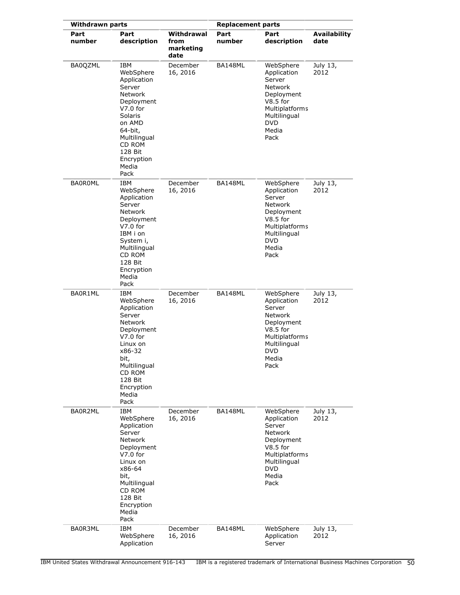| <b>Withdrawn parts</b> |                                                                                                                                                                                                  |                                         | <b>Replacement parts</b> |                                                                                                                                                   |                             |
|------------------------|--------------------------------------------------------------------------------------------------------------------------------------------------------------------------------------------------|-----------------------------------------|--------------------------|---------------------------------------------------------------------------------------------------------------------------------------------------|-----------------------------|
| Part<br>number         | Part<br>description                                                                                                                                                                              | Withdrawal<br>from<br>marketing<br>date | Part<br>number           | Part<br>description                                                                                                                               | <b>Availability</b><br>date |
| BA0QZML                | IBM<br>WebSphere<br>Application<br>Server<br><b>Network</b><br>Deployment<br>$V7.0$ for<br>Solaris<br>on AMD<br>64-bit,<br>Multilingual<br>CD ROM<br>128 Bit<br>Encryption<br>Media<br>Pack      | December<br>16, 2016                    | BA148ML                  | WebSphere<br>Application<br>Server<br><b>Network</b><br>Deployment<br>$V8.5$ for<br>Multiplatforms<br>Multilingual<br><b>DVD</b><br>Media<br>Pack | July 13,<br>2012            |
| <b>BAOROML</b>         | <b>IBM</b><br>WebSphere<br>Application<br>Server<br>Network<br>Deployment<br>$V7.0$ for<br>IBM i on<br>System i,<br>Multilingual<br>CD ROM<br>128 Bit<br>Encryption<br>Media<br>Pack             | December<br>16, 2016                    | BA148ML                  | WebSphere<br>Application<br>Server<br>Network<br>Deployment<br>$V8.5$ for<br>Multiplatforms<br>Multilingual<br><b>DVD</b><br>Media<br>Pack        | July 13,<br>2012            |
| BA0R1ML                | IBM<br>WebSphere<br>Application<br>Server<br>Network<br>Deployment<br>$V7.0$ for<br>Linux on<br>x86-32<br>bit,<br>Multilingual<br>CD ROM<br>128 Bit<br>Encryption<br>Media<br>Pack               | December<br>16, 2016                    | BA148ML                  | WebSphere<br>Application<br>Server<br><b>Network</b><br>Deployment<br>$V8.5$ for<br>Multiplatforms<br>Multilingual<br><b>DVD</b><br>Media<br>Pack | July 13,<br>2012            |
| BA0R2ML                | <b>IBM</b><br>WebSphere<br>Application<br>Server<br><b>Network</b><br>Deployment<br>$V7.0$ for<br>Linux on<br>x86-64<br>bit,<br>Multilingual<br>CD ROM<br>128 Bit<br>Encryption<br>Media<br>Pack | December<br>16, 2016                    | BA148ML                  | WebSphere<br>Application<br>Server<br>Network<br>Deployment<br>$V8.5$ for<br>Multiplatforms<br>Multilingual<br><b>DVD</b><br>Media<br>Pack        | July 13,<br>2012            |
| BA0R3ML                | IBM<br>WebSphere<br>Application                                                                                                                                                                  | December<br>16, 2016                    | BA148ML                  | WebSphere<br>Application<br>Server                                                                                                                | July 13,<br>2012            |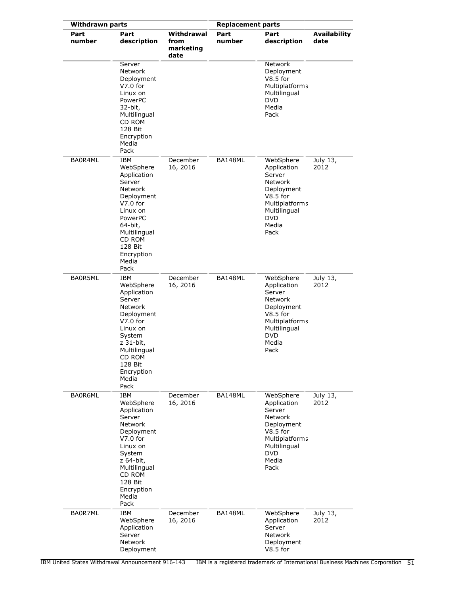| <b>Withdrawn parts</b> |                                                                                                                                                                                                |                                         | <b>Replacement parts</b> |                                                                                                                                                          |                             |
|------------------------|------------------------------------------------------------------------------------------------------------------------------------------------------------------------------------------------|-----------------------------------------|--------------------------|----------------------------------------------------------------------------------------------------------------------------------------------------------|-----------------------------|
| Part<br>number         | Part<br>description                                                                                                                                                                            | Withdrawal<br>from<br>marketing<br>date | Part<br>number           | Part<br>description                                                                                                                                      | <b>Availability</b><br>date |
|                        | Server<br><b>Network</b><br>Deployment<br>$V7.0$ for<br>Linux on<br>PowerPC<br>32-bit,<br>Multilingual<br>CD ROM<br>128 Bit<br>Encryption<br>Media<br>Pack                                     |                                         |                          | Network<br>Deployment<br>$V8.5$ for<br><b>Multiplatforms</b><br>Multilingual<br><b>DVD</b><br>Media<br>Pack                                              |                             |
| BA0R4ML                | IBM<br>WebSphere<br>Application<br>Server<br><b>Network</b><br>Deployment<br>$V7.0$ for<br>Linux on<br>PowerPC<br>64-bit,<br>Multilingual<br>CD ROM<br>128 Bit<br>Encryption<br>Media<br>Pack  | December<br>16, 2016                    | BA148ML                  | WebSphere<br>Application<br>Server<br><b>Network</b><br>Deployment<br>$V8.5$ for<br><b>Multiplatforms</b><br>Multilingual<br><b>DVD</b><br>Media<br>Pack | July 13,<br>2012            |
| BA0R5ML                | IBM<br>WebSphere<br>Application<br>Server<br><b>Network</b><br>Deployment<br>$V7.0$ for<br>Linux on<br>System<br>z 31-bit,<br>Multilingual<br>CD ROM<br>128 Bit<br>Encryption<br>Media<br>Pack | December<br>16, 2016                    | BA148ML                  | WebSphere<br>Application<br>Server<br><b>Network</b><br>Deployment<br>$V8.5$ for<br><b>Multiplatforms</b><br>Multilingual<br><b>DVD</b><br>Media<br>Pack | July 13,<br>2012            |
| BA0R6ML                | <b>IBM</b><br>WebSphere<br>Application<br>Server<br>Network<br>Deployment<br>$V7.0$ for<br>Linux on<br>System<br>z 64-bit,<br>Multilingual<br>CD ROM<br>128 Bit<br>Encryption<br>Media<br>Pack | December<br>16, 2016                    | BA148ML                  | WebSphere<br>Application<br>Server<br>Network<br>Deployment<br>$V8.5$ for<br>Multiplatforms<br>Multilingual<br><b>DVD</b><br>Media<br>Pack               | July 13,<br>2012            |
| BA0R7ML                | <b>IBM</b><br>WebSphere<br>Application<br>Server<br>Network<br>Deployment                                                                                                                      | December<br>16, 2016                    | BA148ML                  | WebSphere<br>Application<br>Server<br>Network<br>Deployment<br>V8.5 for                                                                                  | July 13,<br>2012            |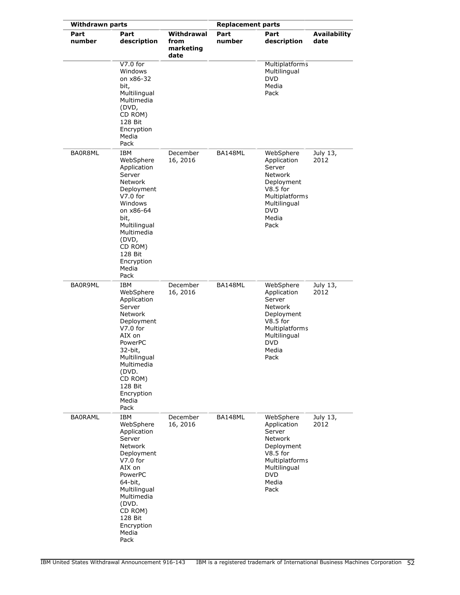| <b>Withdrawn parts</b> |                                                                                                                                                                                                                            |                                         | <b>Replacement parts</b> |                                                                                                                                                   |                             |
|------------------------|----------------------------------------------------------------------------------------------------------------------------------------------------------------------------------------------------------------------------|-----------------------------------------|--------------------------|---------------------------------------------------------------------------------------------------------------------------------------------------|-----------------------------|
| Part<br>number         | Part<br>description                                                                                                                                                                                                        | Withdrawal<br>from<br>marketing<br>date | Part<br>number           | Part<br>description                                                                                                                               | <b>Availability</b><br>date |
|                        | $V7.0$ for<br>Windows<br>on x86-32<br>bit,<br>Multilingual<br>Multimedia<br>(DVD,<br>CD ROM)<br>128 Bit<br>Encryption<br>Media<br>Pack                                                                                     |                                         |                          | <b>Multiplatforms</b><br>Multilingual<br>DVD<br>Media<br>Pack                                                                                     |                             |
| BA0R8ML                | IBM<br>WebSphere<br>Application<br>Server<br>Network<br>Deployment<br>$V7.0$ for<br>Windows<br>on x86-64<br>bit,<br>Multilingual<br>Multimedia<br>(DVD,<br>CD ROM)<br>128 Bit<br>Encryption<br>Media<br>Pack               | December<br>16, 2016                    | BA148ML                  | WebSphere<br>Application<br>Server<br><b>Network</b><br>Deployment<br>$V8.5$ for<br>Multiplatforms<br>Multilingual<br><b>DVD</b><br>Media<br>Pack | July 13,<br>2012            |
| BA0R9ML                | IBM<br>WebSphere<br>Application<br>Server<br>Network<br>Deployment<br>$V7.0$ for<br>AIX on<br>PowerPC<br>32-bit,<br>Multilingual<br>Multimedia<br>(DVD.<br>CD ROM)<br>128 Bit<br>Encryption<br>Media<br>Pack               | December<br>16, 2016                    | BA148ML                  | WebSphere<br>Application<br>Server<br><b>Network</b><br>Deployment<br>$V8.5$ for<br>Multiplatforms<br>Multilingual<br><b>DVD</b><br>Media<br>Pack | July 13,<br>2012            |
| <b>BAORAML</b>         | <b>IBM</b><br>WebSphere<br>Application<br>Server<br><b>Network</b><br>Deployment<br>$V7.0$ for<br>AIX on<br>PowerPC<br>64-bit,<br>Multilingual<br>Multimedia<br>(DVD.<br>CD ROM)<br>128 Bit<br>Encryption<br>Media<br>Pack | December<br>16, 2016                    | BA148ML                  | WebSphere<br>Application<br>Server<br>Network<br>Deployment<br>$V8.5$ for<br>Multiplatforms<br>Multilingual<br><b>DVD</b><br>Media<br>Pack        | July 13,<br>2012            |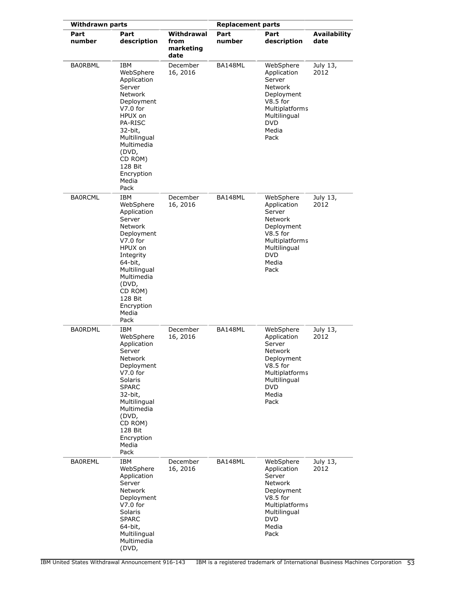| <b>Withdrawn parts</b> |                                                                                                                                                                                                                             |                                         | <b>Replacement parts</b> |                                                                                                                                                          |                             |
|------------------------|-----------------------------------------------------------------------------------------------------------------------------------------------------------------------------------------------------------------------------|-----------------------------------------|--------------------------|----------------------------------------------------------------------------------------------------------------------------------------------------------|-----------------------------|
| Part<br>number         | Part<br>description                                                                                                                                                                                                         | Withdrawal<br>from<br>marketing<br>date | Part<br>number           | Part<br>description                                                                                                                                      | <b>Availability</b><br>date |
| <b>BAORBML</b>         | IBM<br>WebSphere<br>Application<br>Server<br><b>Network</b><br>Deployment<br>$V7.0$ for<br>HPUX on<br><b>PA-RISC</b><br>32-bit,<br>Multilingual<br>Multimedia<br>(DVD,<br>CD ROM)<br>128 Bit<br>Encryption<br>Media<br>Pack | December<br>16, 2016                    | BA148ML                  | WebSphere<br>Application<br>Server<br><b>Network</b><br>Deployment<br>$V8.5$ for<br><b>Multiplatforms</b><br>Multilingual<br><b>DVD</b><br>Media<br>Pack | July 13,<br>2012            |
| <b>BAORCML</b>         | IBM<br>WebSphere<br>Application<br>Server<br><b>Network</b><br>Deployment<br>$V7.0$ for<br>HPUX on<br>Integrity<br>64-bit,<br>Multilingual<br>Multimedia<br>(DVD,<br>CD ROM)<br>128 Bit<br>Encryption<br>Media<br>Pack      | December<br>16, 2016                    | BA148ML                  | WebSphere<br>Application<br>Server<br><b>Network</b><br>Deployment<br>$V8.5$ for<br>Multiplatforms<br>Multilingual<br><b>DVD</b><br>Media<br>Pack        | July 13,<br>2012            |
| <b>BA0RDML</b>         | IBM<br>WebSphere<br>Application<br>Server<br>Network<br>Deployment<br>$V7.0$ for<br>Solaris<br><b>SPARC</b><br>32-bit,<br>Multilingual<br>Multimedia<br>(DVD,<br>CD ROM)<br>128 Bit<br>Encryption<br>Media<br>Pack          | December<br>16, 2016                    | BA148ML                  | WebSphere<br>Application<br>Server<br><b>Network</b><br>Deployment<br>$V8.5$ for<br>Multiplatforms<br>Multilingual<br><b>DVD</b><br>Media<br>Pack        | July 13,<br>2012            |
| <b>BAOREML</b>         | IBM<br>WebSphere<br>Application<br>Server<br>Network<br>Deployment<br>$V7.0$ for<br>Solaris<br><b>SPARC</b><br>64-bit,<br>Multilingual<br>Multimedia<br>(DVD,                                                               | December<br>16, 2016                    | BA148ML                  | WebSphere<br>Application<br>Server<br>Network<br>Deployment<br>$V8.5$ for<br>Multiplatforms<br>Multilingual<br><b>DVD</b><br>Media<br>Pack               | July 13,<br>2012            |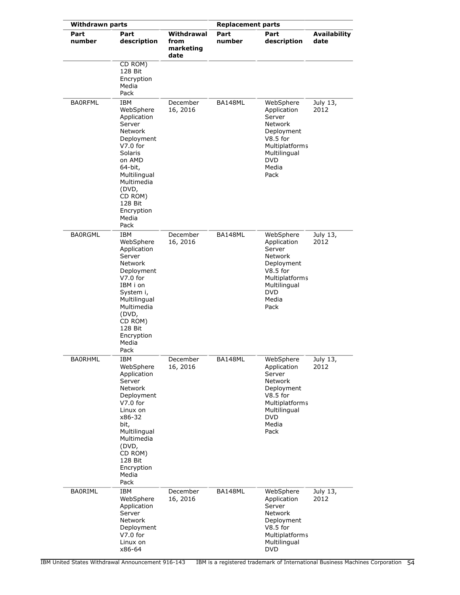| <b>Withdrawn parts</b> |                                                                                                                                                                                                                            | <b>Replacement parts</b>                |                |                                                                                                                                                   |                             |
|------------------------|----------------------------------------------------------------------------------------------------------------------------------------------------------------------------------------------------------------------------|-----------------------------------------|----------------|---------------------------------------------------------------------------------------------------------------------------------------------------|-----------------------------|
| Part<br>number         | Part<br>description                                                                                                                                                                                                        | Withdrawal<br>from<br>marketing<br>date | Part<br>number | Part<br>description                                                                                                                               | <b>Availability</b><br>date |
|                        | CD ROM)<br>128 Bit<br>Encryption<br>Media<br>Pack                                                                                                                                                                          |                                         |                |                                                                                                                                                   |                             |
| <b>BAORFML</b>         | <b>IBM</b><br>WebSphere<br>Application<br>Server<br><b>Network</b><br>Deployment<br>$V7.0$ for<br>Solaris<br>on AMD<br>64-bit,<br>Multilingual<br>Multimedia<br>(DVD,<br>CD ROM)<br>128 Bit<br>Encryption<br>Media<br>Pack | December<br>16, 2016                    | BA148ML        | WebSphere<br>Application<br>Server<br><b>Network</b><br>Deployment<br>$V8.5$ for<br>Multiplatforms<br>Multilingual<br><b>DVD</b><br>Media<br>Pack | July 13,<br>2012            |
| <b>BAORGML</b>         | IBM<br>WebSphere<br>Application<br>Server<br><b>Network</b><br>Deployment<br>$V7.0$ for<br>IBM i on<br>System i,<br>Multilingual<br>Multimedia<br>(DVD,<br>CD ROM)<br>128 Bit<br>Encryption<br>Media<br>Pack               | December<br>16, 2016                    | BA148ML        | WebSphere<br>Application<br>Server<br><b>Network</b><br>Deployment<br>$V8.5$ for<br>Multiplatforms<br>Multilingual<br><b>DVD</b><br>Media<br>Pack | July 13,<br>2012            |
| BA0RHML                | IBM<br>WebSphere<br>Application<br>Server<br><b>Network</b><br>Deployment<br>$V7.0$ for<br>Linux on<br>x86-32<br>bit,<br>Multilingual<br>Multimedia<br>(DVD,<br>CD ROM)<br>128 Bit<br>Encryption<br>Media<br>Pack          | December<br>16, 2016                    | BA148ML        | WebSphere<br>Application<br>Server<br><b>Network</b><br>Deployment<br>$V8.5$ for<br>Multiplatforms<br>Multilingual<br><b>DVD</b><br>Media<br>Pack | July 13,<br>2012            |
| <b>BAORIML</b>         | IBM<br>WebSphere<br>Application<br>Server<br>Network<br>Deployment<br>$V7.0$ for<br>Linux on<br>x86-64                                                                                                                     | December<br>16, 2016                    | BA148ML        | WebSphere<br>Application<br>Server<br><b>Network</b><br>Deployment<br>$V8.5$ for<br>Multiplatforms<br>Multilingual<br><b>DVD</b>                  | July 13,<br>2012            |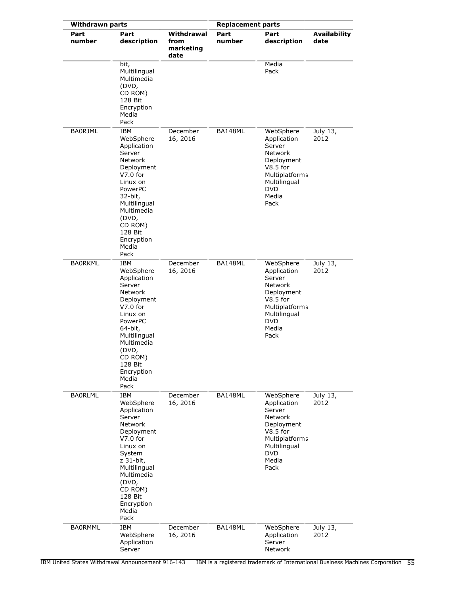| <b>Withdrawn parts</b> |                                                                                                                                                                                                                              |                                         | <b>Replacement parts</b> |                                                                                                                                                          |                             |
|------------------------|------------------------------------------------------------------------------------------------------------------------------------------------------------------------------------------------------------------------------|-----------------------------------------|--------------------------|----------------------------------------------------------------------------------------------------------------------------------------------------------|-----------------------------|
| Part<br>number         | Part<br>description                                                                                                                                                                                                          | Withdrawal<br>from<br>marketing<br>date | Part<br>number           | Part<br>description                                                                                                                                      | <b>Availability</b><br>date |
|                        | bit,<br>Multilingual<br>Multimedia<br>(DVD,<br>CD ROM)<br>128 Bit<br>Encryption<br>Media<br>Pack                                                                                                                             |                                         |                          | Media<br>Pack                                                                                                                                            |                             |
| <b>BA0RJML</b>         | IBM<br>WebSphere<br>Application<br>Server<br><b>Network</b><br>Deployment<br>$V7.0$ for<br>Linux on<br>PowerPC<br>32-bit,<br>Multilingual<br>Multimedia<br>(DVD,<br>CD ROM)<br>128 Bit<br>Encryption<br>Media<br>Pack        | December<br>16, 2016                    | BA148ML                  | WebSphere<br>Application<br>Server<br><b>Network</b><br>Deployment<br>$V8.5$ for<br>Multiplatforms<br>Multilingual<br><b>DVD</b><br>Media<br>Pack        | July 13,<br>2012            |
| <b>BAORKML</b>         | <b>IBM</b><br>WebSphere<br>Application<br>Server<br><b>Network</b><br>Deployment<br>$V7.0$ for<br>Linux on<br>PowerPC<br>64-bit,<br>Multilingual<br>Multimedia<br>(DVD,<br>CD ROM)<br>128 Bit<br>Encryption<br>Media<br>Pack | December<br>16, 2016                    | BA148ML                  | WebSphere<br>Application<br>Server<br>Network<br>Deployment<br>$V8.5$ for<br><b>Multiplatforms</b><br>Multilingual<br><b>DVD</b><br>Media<br>Pack        | July 13,<br>2012            |
| <b>BA0RLML</b>         | IBM<br>WebSphere<br>Application<br>Server<br>Network<br>Deployment<br>$V7.0$ for<br>Linux on<br>System<br>z 31-bit,<br>Multilingual<br>Multimedia<br>(DVD,<br>CD ROM)<br>128 Bit<br>Encryption<br>Media<br>Pack              | December<br>16, 2016                    | BA148ML                  | WebSphere<br>Application<br>Server<br><b>Network</b><br>Deployment<br>$V8.5$ for<br><b>Multiplatforms</b><br>Multilingual<br><b>DVD</b><br>Media<br>Pack | July 13,<br>2012            |
| <b>BA0RMML</b>         | IBM<br>WebSphere<br>Application<br>Server                                                                                                                                                                                    | December<br>16, 2016                    | BA148ML                  | WebSphere<br>Application<br>Server<br>Network                                                                                                            | July 13,<br>2012            |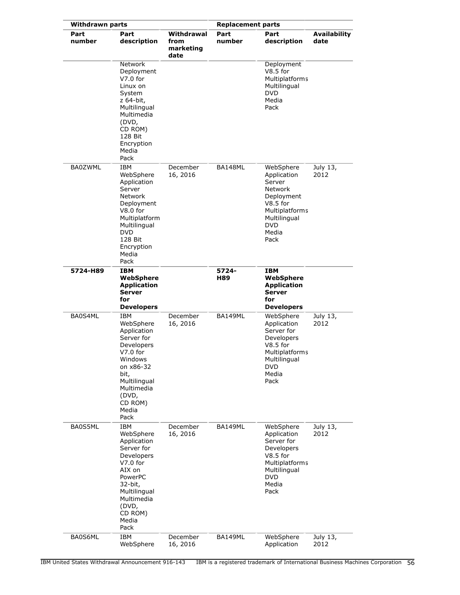| <b>Withdrawn parts</b> |                                                                                                                                                                            |                                         | <b>Replacement parts</b> |                                                                                                                                            |                             |
|------------------------|----------------------------------------------------------------------------------------------------------------------------------------------------------------------------|-----------------------------------------|--------------------------|--------------------------------------------------------------------------------------------------------------------------------------------|-----------------------------|
| Part<br>number         | Part<br>description                                                                                                                                                        | Withdrawal<br>from<br>marketing<br>date | Part<br>number           | Part<br>description                                                                                                                        | <b>Availability</b><br>date |
|                        | <b>Network</b><br>Deployment<br>$V7.0$ for<br>Linux on<br>System<br>z 64-bit,<br>Multilingual<br>Multimedia<br>(DVD,<br>CD ROM)<br>128 Bit<br>Encryption<br>Media<br>Pack  |                                         |                          | Deployment<br>$V8.5$ for<br>Multiplatforms<br>Multilingual<br><b>DVD</b><br>Media<br>Pack                                                  |                             |
| <b>BA0ZWML</b>         | IBM<br>WebSphere<br>Application<br>Server<br>Network<br>Deployment<br>$V8.0$ for<br>Multiplatform<br>Multilingual<br><b>DVD</b><br>128 Bit<br>Encryption<br>Media<br>Pack  | December<br>16, 2016                    | BA148ML                  | WebSphere<br>Application<br>Server<br>Network<br>Deployment<br>$V8.5$ for<br>Multiplatforms<br>Multilingual<br><b>DVD</b><br>Media<br>Pack | July 13,<br>2012            |
| 5724-H89               | IBM<br>WebSphere<br><b>Application</b><br>Server<br>for<br><b>Developers</b>                                                                                               |                                         | 5724-<br>H89             | <b>IBM</b><br>WebSphere<br><b>Application</b><br><b>Server</b><br>for<br><b>Developers</b>                                                 |                             |
| BA0S4ML                | IBM<br>WebSphere<br>Application<br>Server for<br>Developers<br>V7.0 for<br>Windows<br>on x86-32<br>bit,<br>Multilingual<br>Multimedia<br>(DVD,<br>CD ROM)<br>Media<br>Pack | December<br>16, 2016                    | BA149ML                  | WebSphere<br>Application<br>Server for<br>Developers<br>$V8.5$ for<br>Multiplatforms<br>Multilingual<br><b>DVD</b><br>Media<br>Pack        | July 13,<br>2012            |
| BA0S5ML                | IBM<br>WebSphere<br>Application<br>Server for<br>Developers<br>V7.0 for<br>AIX on<br>PowerPC<br>32-bit,<br>Multilingual<br>Multimedia<br>(DVD,<br>CD ROM)<br>Media<br>Pack | December<br>16, 2016                    | BA149ML                  | WebSphere<br>Application<br>Server for<br>Developers<br>$V8.5$ for<br>Multiplatforms<br>Multilingual<br><b>DVD</b><br>Media<br>Pack        | July 13,<br>2012            |
| BA0S6ML                | IBM<br>WebSphere                                                                                                                                                           | December<br>16, 2016                    | BA149ML                  | WebSphere<br>Application                                                                                                                   | July 13,<br>2012            |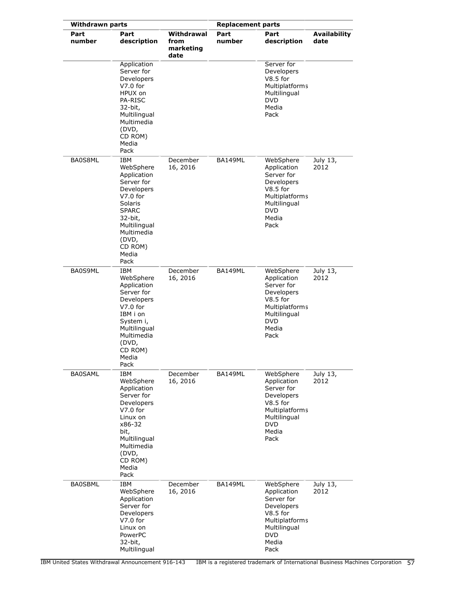| <b>Withdrawn parts</b> |                                                                                                                                                                                    |                                         | <b>Replacement parts</b> |                                                                                                                                     |                             |
|------------------------|------------------------------------------------------------------------------------------------------------------------------------------------------------------------------------|-----------------------------------------|--------------------------|-------------------------------------------------------------------------------------------------------------------------------------|-----------------------------|
| Part<br>number         | Part<br>description                                                                                                                                                                | Withdrawal<br>from<br>marketing<br>date | Part<br>number           | Part<br>description                                                                                                                 | <b>Availability</b><br>date |
|                        | Application<br>Server for<br>Developers<br>$V7.0$ for<br>HPUX on<br><b>PA-RISC</b><br>32-bit,<br>Multilingual<br>Multimedia<br>(DVD,<br>CD ROM)<br>Media<br>Pack                   |                                         |                          | Server for<br>Developers<br>$V8.5$ for<br>Multiplatforms<br>Multilingual<br><b>DVD</b><br>Media<br>Pack                             |                             |
| BA0S8ML                | IBM<br>WebSphere<br>Application<br>Server for<br>Developers<br>$V7.0$ for<br>Solaris<br><b>SPARC</b><br>32-bit,<br>Multilingual<br>Multimedia<br>(DVD,<br>CD ROM)<br>Media<br>Pack | December<br>16, 2016                    | BA149ML                  | WebSphere<br>Application<br>Server for<br>Developers<br>$V8.5$ for<br>Multiplatforms<br>Multilingual<br><b>DVD</b><br>Media<br>Pack | July 13,<br>2012            |
| BA0S9ML                | IBM<br>WebSphere<br>Application<br>Server for<br>Developers<br>$V7.0$ for<br>IBM i on<br>System i,<br>Multilingual<br>Multimedia<br>(DVD,<br>CD ROM)<br>Media<br>Pack              | December<br>16, 2016                    | <b>BA149ML</b>           | WebSphere<br>Application<br>Server for<br>Developers<br>$V8.5$ for<br>Multiplatforms<br>Multilingual<br><b>DVD</b><br>Media<br>Pack | July 13,<br>2012            |
| <b>BA0SAML</b>         | IBM<br>WebSphere<br>Application<br>Server for<br>Developers<br>$V7.0$ for<br>Linux on<br>x86-32<br>bit,<br>Multilingual<br>Multimedia<br>(DVD,<br>CD ROM)<br>Media<br>Pack         | December<br>16, 2016                    | BA149ML                  | WebSphere<br>Application<br>Server for<br>Developers<br>$V8.5$ for<br>Multiplatforms<br>Multilingual<br><b>DVD</b><br>Media<br>Pack | July 13,<br>2012            |
| <b>BA0SBML</b>         | IBM<br>WebSphere<br>Application<br>Server for<br>Developers<br>$V7.0$ for<br>Linux on<br>PowerPC<br>32-bit,<br>Multilingual                                                        | December<br>16, 2016                    | BA149ML                  | WebSphere<br>Application<br>Server for<br>Developers<br>$V8.5$ for<br>Multiplatforms<br>Multilingual<br><b>DVD</b><br>Media<br>Pack | July 13,<br>2012            |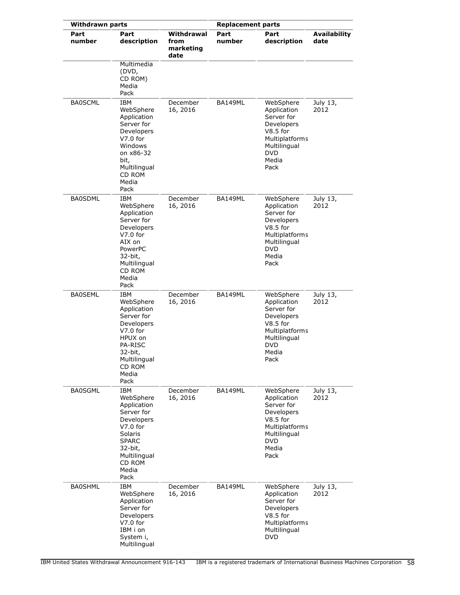| <b>Withdrawn parts</b> |                                                                                                                                                                          |                                         | <b>Replacement parts</b> |                                                                                                                                     |                             |
|------------------------|--------------------------------------------------------------------------------------------------------------------------------------------------------------------------|-----------------------------------------|--------------------------|-------------------------------------------------------------------------------------------------------------------------------------|-----------------------------|
| Part<br>number         | Part<br>description                                                                                                                                                      | Withdrawal<br>from<br>marketing<br>date | Part<br>number           | Part<br>description                                                                                                                 | <b>Availability</b><br>date |
|                        | Multimedia<br>(DVD,<br>CD ROM)<br>Media<br>Pack                                                                                                                          |                                         |                          |                                                                                                                                     |                             |
| <b>BA0SCML</b>         | IBM<br>WebSphere<br>Application<br>Server for<br>Developers<br>$V7.0$ for<br>Windows<br>on x86-32<br>bit,<br>Multilingual<br>CD ROM<br>Media<br>Pack                     | December<br>16, 2016                    | BA149ML                  | WebSphere<br>Application<br>Server for<br>Developers<br>$V8.5$ for<br>Multiplatforms<br>Multilingual<br><b>DVD</b><br>Media<br>Pack | July 13,<br>2012            |
| <b>BA0SDML</b>         | <b>IBM</b><br>WebSphere<br>Application<br>Server for<br>Developers<br>$V7.0$ for<br>AIX on<br>PowerPC<br>32-bit,<br>Multilingual<br>CD ROM<br>Media<br>Pack              | December<br>16, 2016                    | <b>BA149ML</b>           | WebSphere<br>Application<br>Server for<br>Developers<br>$V8.5$ for<br>Multiplatforms<br>Multilingual<br><b>DVD</b><br>Media<br>Pack | July 13,<br>2012            |
| <b>BA0SEML</b>         | IBM<br>WebSphere<br>Application<br>Server for<br>Developers<br>$V7.0$ for<br>HPUX on<br>PA-RISC<br>32-bit,<br>Multilingual<br>CD ROM<br>Media<br>Pack                    | December<br>16, 2016                    | BA149ML                  | WebSphere<br>Application<br>Server for<br>Developers<br>$V8.5$ for<br>Multiplatforms<br>Multilingual<br><b>DVD</b><br>Media<br>Pack | July 13,<br>2012            |
| <b>BA0SGML</b>         | <b>IBM</b><br>WebSphere<br>Application<br>Server for<br><b>Developers</b><br>$V7.0$ for<br>Solaris<br><b>SPARC</b><br>32-bit,<br>Multilingual<br>CD ROM<br>Media<br>Pack | December<br>16, 2016                    | BA149ML                  | WebSphere<br>Application<br>Server for<br>Developers<br>$V8.5$ for<br>Multiplatforms<br>Multilingual<br><b>DVD</b><br>Media<br>Pack | July 13,<br>2012            |
| <b>BA0SHML</b>         | IBM<br>WebSphere<br>Application<br>Server for<br>Developers<br>$V7.0$ for<br>IBM i on<br>System i,<br>Multilingual                                                       | December<br>16, 2016                    | BA149ML                  | WebSphere<br>Application<br>Server for<br>Developers<br>$V8.5$ for<br><b>Multiplatforms</b><br>Multilingual<br><b>DVD</b>           | July 13,<br>2012            |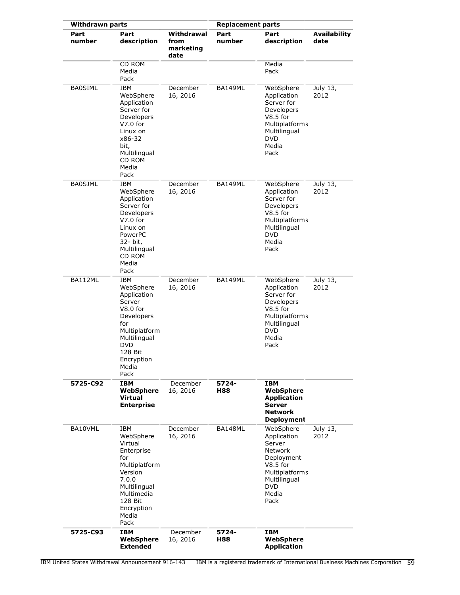| <b>Withdrawn parts</b> |                                                                                                                                                               |                                         | <b>Replacement parts</b> |                                                                                                                                                          |                             |  |
|------------------------|---------------------------------------------------------------------------------------------------------------------------------------------------------------|-----------------------------------------|--------------------------|----------------------------------------------------------------------------------------------------------------------------------------------------------|-----------------------------|--|
| Part<br>number         | Part<br>description                                                                                                                                           | Withdrawal<br>from<br>marketing<br>date | Part<br>number           | Part<br>description                                                                                                                                      | <b>Availability</b><br>date |  |
|                        | <b>CD ROM</b><br>Media<br>Pack                                                                                                                                |                                         |                          | Media<br>Pack                                                                                                                                            |                             |  |
| <b>BA0SIML</b>         | IBM<br>WebSphere<br>Application<br>Server for<br>Developers<br>V7.0 for<br>Linux on<br>x86-32<br>bit,<br>Multilingual<br>CD ROM<br>Media<br>Pack              | December<br>16, 2016                    | BA149ML                  | WebSphere<br>Application<br>Server for<br>Developers<br>$V8.5$ for<br>Multiplatforms<br>Multilingual<br><b>DVD</b><br>Media<br>Pack                      | July 13,<br>2012            |  |
| <b>BA0SJML</b>         | IBM<br>WebSphere<br>Application<br>Server for<br>Developers<br>$V7.0$ for<br>Linux on<br>PowerPC<br>32- bit,<br>Multilingual<br>CD ROM<br>Media<br>Pack       | December<br>16, 2016                    | BA149ML                  | WebSphere<br>Application<br>Server for<br>Developers<br>$V8.5$ for<br>Multiplatforms<br>Multilingual<br><b>DVD</b><br>Media<br>Pack                      | July 13,<br>2012            |  |
| BA112ML                | IBM<br>WebSphere<br>Application<br>Server<br>V8.0 for<br>Developers<br>for<br>Multiplatform<br>Multilingual<br>DVD<br>128 Bit<br>Encryption<br>Media<br>Pack  | December<br>16, 2016                    | BA149ML                  | WebSphere<br>Application<br>Server for<br>Developers<br>$V8.5$ for<br>Multiplatforms<br>Multilingual<br><b>DVD</b><br>Media<br>Pack                      | July 13,<br>2012            |  |
| 5725-C92               | IBM<br>WebSphere<br>Virtual<br><b>Enterprise</b>                                                                                                              | December<br>16, 2016                    | 5724-<br>H88             | IBM<br>WebSphere<br><b>Application</b><br><b>Server</b><br><b>Network</b><br><b>Deployment</b>                                                           |                             |  |
| BA10VML                | IBM<br>WebSphere<br>Virtual<br>Enterprise<br>for<br>Multiplatform<br>Version<br>7.0.0<br>Multilingual<br>Multimedia<br>128 Bit<br>Encryption<br>Media<br>Pack | December<br>16, 2016                    | BA148ML                  | WebSphere<br>Application<br>Server<br><b>Network</b><br>Deployment<br>$V8.5$ for<br><b>Multiplatforms</b><br>Multilingual<br><b>DVD</b><br>Media<br>Pack | July 13,<br>2012            |  |
| 5725-C93               | IBM<br>WebSphere<br><b>Extended</b>                                                                                                                           | December<br>16, 2016                    | 5724-<br>H88             | IBM<br>WebSphere<br><b>Application</b>                                                                                                                   |                             |  |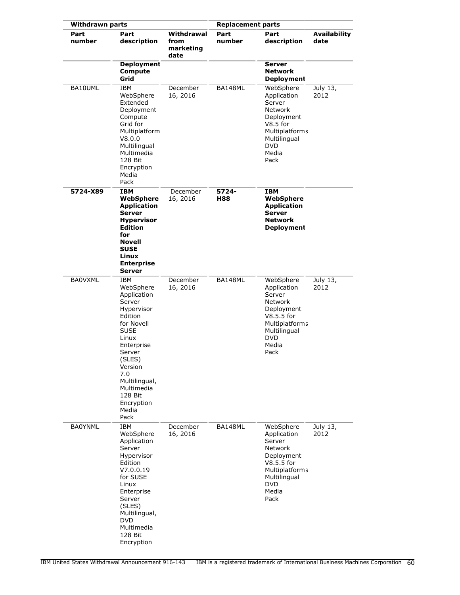| <b>Withdrawn parts</b> |                                                                                                                                                                                                                                       |                                         | <b>Replacement parts</b> |                                                                                                                                                   |                             |
|------------------------|---------------------------------------------------------------------------------------------------------------------------------------------------------------------------------------------------------------------------------------|-----------------------------------------|--------------------------|---------------------------------------------------------------------------------------------------------------------------------------------------|-----------------------------|
| Part<br>number         | Part<br>description                                                                                                                                                                                                                   | Withdrawal<br>from<br>marketing<br>date | Part<br>number           | Part<br>description                                                                                                                               | <b>Availability</b><br>date |
|                        | <b>Deployment</b><br><b>Compute</b><br>Grid                                                                                                                                                                                           |                                         |                          | <b>Server</b><br><b>Network</b><br><b>Deployment</b>                                                                                              |                             |
| BA10UML                | IBM<br>WebSphere<br>Extended<br>Deployment<br>Compute<br>Grid for<br>Multiplatform<br>V8.0.0<br>Multilingual<br>Multimedia<br>128 Bit<br>Encryption<br>Media<br>Pack                                                                  | December<br>16, 2016                    | BA148ML                  | WebSphere<br>Application<br>Server<br>Network<br>Deployment<br>$V8.5$ for<br>Multiplatforms<br>Multilingual<br><b>DVD</b><br>Media<br>Pack        | July 13,<br>2012            |
| 5724-X89               | <b>IBM</b><br>WebSphere<br><b>Application</b><br>Server<br><b>Hypervisor</b><br><b>Edition</b><br>for<br><b>Novell</b><br><b>SUSE</b><br>Linux<br><b>Enterprise</b><br>Server                                                         | December<br>16, 2016                    | 5724-<br>H88             | <b>IBM</b><br>WebSphere<br><b>Application</b><br><b>Server</b><br><b>Network</b><br><b>Deployment</b>                                             |                             |
| <b>BA0VXML</b>         | IBM<br>WebSphere<br>Application<br>Server<br>Hypervisor<br>Edition<br>for Novell<br><b>SUSE</b><br>Linux<br>Enterprise<br>Server<br>(SLES)<br>Version<br>7.0<br>Multilingual,<br>Multimedia<br>128 Bit<br>Encryption<br>Media<br>Pack | December<br>16, 2016                    | BA148ML                  | WebSphere<br>Application<br>Server<br>Network<br>Deployment<br>$V8.5.5$ for<br>Multiplatforms<br>Multilingual<br><b>DVD</b><br>Media<br>Pack      | July 13,<br>2012            |
| <b>BA0YNML</b>         | IBM<br>WebSphere<br>Application<br>Server<br>Hypervisor<br>Edition<br>V7.0.0.19<br>for SUSE<br>Linux<br>Enterprise<br>Server<br>(SLES)<br>Multilingual,<br>DVD<br>Multimedia<br>128 Bit<br>Encryption                                 | December<br>16, 2016                    | BA148ML                  | WebSphere<br>Application<br>Server<br>Network<br>Deployment<br>V8.5.5 for<br><b>Multiplatforms</b><br>Multilingual<br><b>DVD</b><br>Media<br>Pack | July 13,<br>2012            |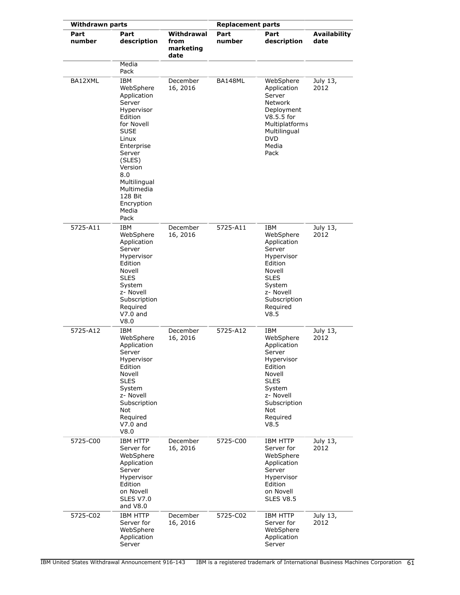| <b>Withdrawn parts</b> |                                                                                                                                                                                                                                             | <b>Replacement parts</b>                |                |                                                                                                                                                               |                             |
|------------------------|---------------------------------------------------------------------------------------------------------------------------------------------------------------------------------------------------------------------------------------------|-----------------------------------------|----------------|---------------------------------------------------------------------------------------------------------------------------------------------------------------|-----------------------------|
| Part<br>number         | Part<br>description<br>Media                                                                                                                                                                                                                | Withdrawal<br>from<br>marketing<br>date | Part<br>number | Part<br>description                                                                                                                                           | <b>Availability</b><br>date |
|                        | Pack                                                                                                                                                                                                                                        |                                         |                |                                                                                                                                                               |                             |
| BA12XML                | <b>IBM</b><br>WebSphere<br>Application<br>Server<br>Hypervisor<br>Edition<br>for Novell<br><b>SUSE</b><br>Linux<br>Enterprise<br>Server<br>(SLES)<br>Version<br>8.0<br>Multilingual<br>Multimedia<br>128 Bit<br>Encryption<br>Media<br>Pack | December<br>16, 2016                    | BA148ML        | WebSphere<br>Application<br>Server<br>Network<br>Deployment<br>$V8.5.5$ for<br>Multiplatforms<br>Multilingual<br>DVD<br>Media<br>Pack                         | July 13,<br>2012            |
| 5725-A11               | IBM<br>WebSphere<br>Application<br>Server<br>Hypervisor<br>Edition<br>Novell<br><b>SLES</b><br>System<br>z- Novell<br>Subscription<br>Required<br>$V7.0$ and<br>V8.0                                                                        | December<br>16, 2016                    | 5725-A11       | IBM<br>WebSphere<br>Application<br>Server<br>Hypervisor<br>Edition<br>Novell<br><b>SLES</b><br>System<br>z- Novell<br>Subscription<br>Required<br>V8.5        | July 13,<br>2012            |
| 5725-A12               | IBM<br>WebSphere<br>Application<br>Server<br>Hypervisor<br>Edition<br>Novell<br><b>SLES</b><br>System<br>z- Novell<br>Subscription<br>Not<br>Required<br>$V7.0$ and<br>V8.0                                                                 | December<br>16, 2016                    | 5725-A12       | IBM<br>WebSphere<br>Application<br>Server<br>Hypervisor<br>Edition<br>Novell<br><b>SLES</b><br>System<br>z- Novell<br>Subscription<br>Not<br>Required<br>V8.5 | July 13,<br>2012            |
| 5725-C00               | <b>IBM HTTP</b><br>Server for<br>WebSphere<br>Application<br>Server<br>Hypervisor<br>Edition<br>on Novell<br><b>SLES V7.0</b><br>and V8.0                                                                                                   | December<br>16, 2016                    | 5725-C00       | <b>IBM HTTP</b><br>Server for<br>WebSphere<br>Application<br>Server<br>Hypervisor<br>Edition<br>on Novell<br><b>SLES V8.5</b>                                 | July 13,<br>2012            |
| 5725-C02               | <b>IBM HTTP</b><br>Server for<br>WebSphere<br>Application<br>Server                                                                                                                                                                         | December<br>16, 2016                    | 5725-C02       | IBM HTTP<br>Server for<br>WebSphere<br>Application<br>Server                                                                                                  | July 13,<br>2012            |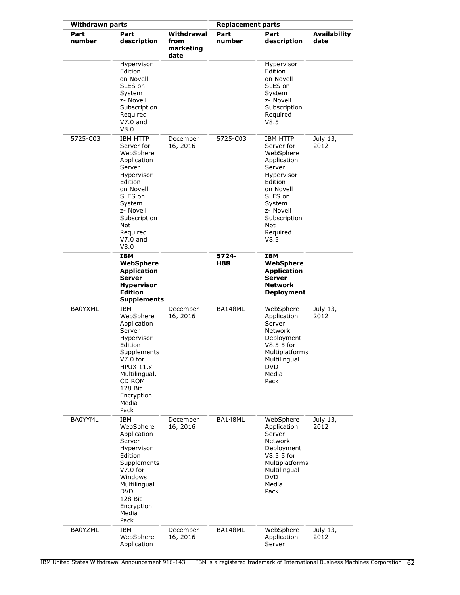| <b>Withdrawn parts</b> |                                                                                                                                                                                                      | <b>Replacement parts</b>                |                |                                                                                                                                                                                 |                             |
|------------------------|------------------------------------------------------------------------------------------------------------------------------------------------------------------------------------------------------|-----------------------------------------|----------------|---------------------------------------------------------------------------------------------------------------------------------------------------------------------------------|-----------------------------|
| Part<br>number         | Part<br>description                                                                                                                                                                                  | Withdrawal<br>from<br>marketing<br>date | Part<br>number | Part<br>description                                                                                                                                                             | <b>Availability</b><br>date |
|                        | Hypervisor<br>Edition<br>on Novell<br>SLES on<br>System<br>z- Novell<br>Subscription<br>Required<br>$V7.0$ and<br>V8.0                                                                               |                                         |                | Hypervisor<br>Edition<br>on Novell<br>SLES on<br>System<br>z- Novell<br>Subscription<br>Required<br>V8.5                                                                        |                             |
| 5725-C03               | <b>IBM HTTP</b><br>Server for<br>WebSphere<br>Application<br>Server<br>Hypervisor<br>Edition<br>on Novell<br>SLES on<br>System<br>z- Novell<br>Subscription<br>Not<br>Required<br>$V7.0$ and<br>V8.0 | December<br>16, 2016                    | 5725-C03       | IBM HTTP<br>Server for<br>WebSphere<br>Application<br>Server<br>Hypervisor<br>Edition<br>on Novell<br>SLES on<br>System<br>z- Novell<br>Subscription<br>Not<br>Required<br>V8.5 | July 13,<br>2012            |
|                        | <b>IBM</b><br>WebSphere<br><b>Application</b><br><b>Server</b><br><b>Hypervisor</b><br><b>Edition</b><br><b>Supplements</b>                                                                          |                                         | 5724-<br>H88   | <b>IBM</b><br>WebSphere<br><b>Application</b><br>Server<br><b>Network</b><br><b>Deployment</b>                                                                                  |                             |
| <b>BA0YXML</b>         | IBM<br>WebSphere<br>Application<br>Server<br>Hypervisor<br>Edition<br>Supplements<br>$V7.0$ for<br>HPUX 11.x<br>Multilingual,<br>CD ROM<br>128 Bit<br>Encryption<br>Media<br>Pack                    | December<br>16, 2016                    | BA148ML        | WebSphere<br>Application<br>Server<br>Network<br>Deployment<br>V8.5.5 for<br>Multiplatforms<br>Multilingual<br>DVD<br>Media<br>Pack                                             | July 13,<br>2012            |
| <b>BA0YYML</b>         | IBM<br>WebSphere<br>Application<br>Server<br>Hypervisor<br>Edition<br>Supplements<br>$V7.0$ for<br>Windows<br>Multilingual<br><b>DVD</b><br>128 Bit<br>Encryption<br>Media<br>Pack                   | December<br>16, 2016                    | BA148ML        | WebSphere<br>Application<br>Server<br><b>Network</b><br>Deployment<br>V8.5.5 for<br>Multiplatforms<br>Multilingual<br><b>DVD</b><br>Media<br>Pack                               | July 13,<br>2012            |
| <b>BA0YZML</b>         | IBM<br>WebSphere<br>Application                                                                                                                                                                      | December<br>16, 2016                    | BA148ML        | WebSphere<br>Application<br>Server                                                                                                                                              | July 13,<br>2012            |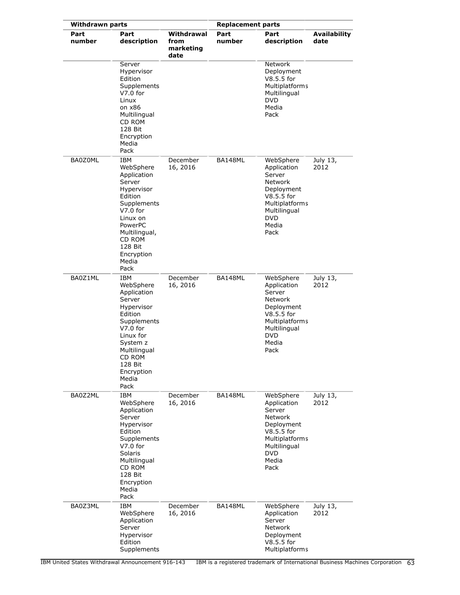| <b>Withdrawn parts</b> |                                                                                                                                                                                              |                                         | <b>Replacement parts</b> |                                                                                                                                                            |                             |
|------------------------|----------------------------------------------------------------------------------------------------------------------------------------------------------------------------------------------|-----------------------------------------|--------------------------|------------------------------------------------------------------------------------------------------------------------------------------------------------|-----------------------------|
| Part<br>number         | Part<br>description                                                                                                                                                                          | Withdrawal<br>from<br>marketing<br>date | Part<br>number           | Part<br>description                                                                                                                                        | <b>Availability</b><br>date |
|                        | Server<br>Hypervisor<br>Edition<br>Supplements<br>$V7.0$ for<br>Linux<br>on x86<br>Multilingual<br>CD ROM<br>128 Bit<br>Encryption<br>Media<br>Pack                                          |                                         |                          | <b>Network</b><br>Deployment<br>V8.5.5 for<br><b>Multiplatforms</b><br>Multilingual<br><b>DVD</b><br>Media<br>Pack                                         |                             |
| BA0Z0ML                | IBM<br>WebSphere<br>Application<br>Server<br>Hypervisor<br>Edition<br>Supplements<br>$V7.0$ for<br>Linux on<br>PowerPC<br>Multilingual,<br>CD ROM<br>128 Bit<br>Encryption<br>Media<br>Pack  | December<br>16, 2016                    | BA148ML                  | WebSphere<br>Application<br>Server<br>Network<br>Deployment<br>V8.5.5 for<br>Multiplatforms<br>Multilingual<br><b>DVD</b><br>Media<br>Pack                 | July 13,<br>2012            |
| BA0Z1ML                | IBM<br>WebSphere<br>Application<br>Server<br>Hypervisor<br>Edition<br>Supplements<br>$V7.0$ for<br>Linux for<br>System z<br>Multilingual<br>CD ROM<br>128 Bit<br>Encryption<br>Media<br>Pack | December<br>16, 2016                    | BA148ML                  | WebSphere<br>Application<br>Server<br><b>Network</b><br>Deployment<br>$V8.5.5$ for<br><b>Multiplatforms</b><br>Multilingual<br><b>DVD</b><br>Media<br>Pack | July 13,<br>2012            |
| BA0Z2ML                | <b>IBM</b><br>WebSphere<br>Application<br>Server<br>Hypervisor<br>Edition<br>Supplements<br>$V7.0$ for<br>Solaris<br>Multilingual<br>CD ROM<br>128 Bit<br>Encryption<br>Media<br>Pack        | December<br>16, 2016                    | BA148ML                  | WebSphere<br>Application<br>Server<br>Network<br>Deployment<br>V8.5.5 for<br>Multiplatforms<br>Multilingual<br><b>DVD</b><br>Media<br>Pack                 | July 13,<br>2012            |
| BA0Z3ML                | IBM<br>WebSphere<br>Application<br>Server<br>Hypervisor<br>Edition<br>Supplements                                                                                                            | December<br>16, 2016                    | BA148ML                  | WebSphere<br>Application<br>Server<br>Network<br>Deployment<br>V8.5.5 for<br>Multiplatforms                                                                | July 13,<br>2012            |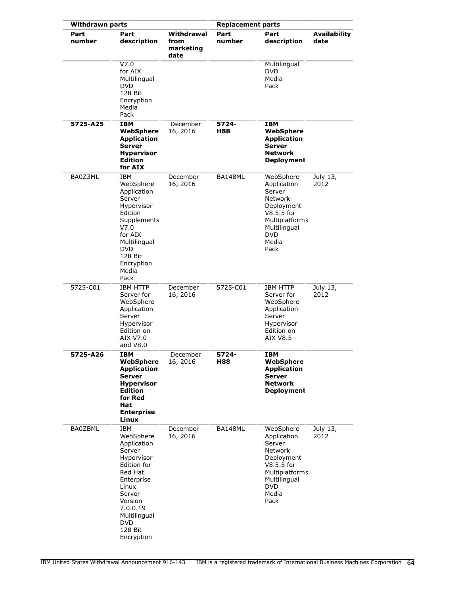| <b>Withdrawn parts</b> |                                                                                                                                                                                                         |                                         | <b>Replacement parts</b> |                                                                                                                                                   |                             |
|------------------------|---------------------------------------------------------------------------------------------------------------------------------------------------------------------------------------------------------|-----------------------------------------|--------------------------|---------------------------------------------------------------------------------------------------------------------------------------------------|-----------------------------|
| Part<br>number         | Part<br>description                                                                                                                                                                                     | Withdrawal<br>from<br>marketing<br>date | Part<br>number           | Part<br>description                                                                                                                               | <b>Availability</b><br>date |
|                        | V7.0<br>for AIX<br>Multilingual<br><b>DVD</b><br>128 Bit<br>Encryption<br>Media<br>Pack                                                                                                                 |                                         |                          | Multilingual<br><b>DVD</b><br>Media<br>Pack                                                                                                       |                             |
| 5725-A25               | IBM<br>WebSphere<br><b>Application</b><br><b>Server</b><br><b>Hypervisor</b><br><b>Edition</b><br>for AIX                                                                                               | December<br>16, 2016                    | 5724-<br>H88             | IBM<br>WebSphere<br><b>Application</b><br>Server<br><b>Network</b><br><b>Deployment</b>                                                           |                             |
| BA0Z3ML                | IBM<br>WebSphere<br>Application<br>Server<br>Hypervisor<br>Edition<br>Supplements<br>V7.0<br>for AIX<br>Multilingual<br><b>DVD</b><br>128 Bit<br>Encryption<br>Media<br>Pack                            | December<br>16, 2016                    | BA148ML                  | WebSphere<br>Application<br>Server<br><b>Network</b><br>Deployment<br>V8.5.5 for<br>Multiplatforms<br>Multilingual<br><b>DVD</b><br>Media<br>Pack | July 13,<br>2012            |
| 5725-C01               | <b>IBM HTTP</b><br>Server for<br>WebSphere<br>Application<br>Server<br>Hypervisor<br>Edition on<br>AIX V7.0<br>and V8.0                                                                                 | December<br>16, 2016                    | 5725-C01                 | <b>IBM HTTP</b><br>Server for<br>WebSphere<br>Application<br>Server<br>Hypervisor<br>Edition on<br>AIX V8.5                                       | July 13,<br>2012            |
| 5725-A26               | <b>IBM</b><br>WebSphere<br><b>Application</b><br><b>Server</b><br><b>Hypervisor</b><br><b>Edition</b><br>for Red<br>Hat<br><b>Enterprise</b><br>Linux                                                   | December<br>16, 2016                    | 5724-<br>H88             | IBM<br>WebSphere<br><b>Application</b><br><b>Server</b><br><b>Network</b><br><b>Deployment</b>                                                    |                             |
| <b>BA0ZBML</b>         | <b>IBM</b><br>WebSphere<br>Application<br>Server<br>Hypervisor<br>Edition for<br>Red Hat<br>Enterprise<br>Linux<br>Server<br>Version<br>7.0.0.19<br>Multilingual<br><b>DVD</b><br>128 Bit<br>Encryption | December<br>16, 2016                    | BA148ML                  | WebSphere<br>Application<br>Server<br>Network<br>Deployment<br>V8.5.5 for<br><b>Multiplatforms</b><br>Multilingual<br><b>DVD</b><br>Media<br>Pack | July 13,<br>2012            |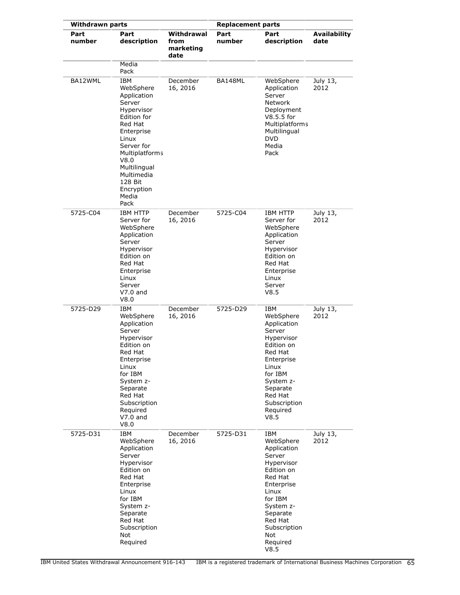| <b>Withdrawn parts</b> |                                                                                                                                                                                                                   | <b>Replacement parts</b>                |                |                                                                                                                                                                                                   |                             |
|------------------------|-------------------------------------------------------------------------------------------------------------------------------------------------------------------------------------------------------------------|-----------------------------------------|----------------|---------------------------------------------------------------------------------------------------------------------------------------------------------------------------------------------------|-----------------------------|
| Part<br>number         | Part<br>description<br>Media                                                                                                                                                                                      | Withdrawal<br>from<br>marketing<br>date | Part<br>number | Part<br>description                                                                                                                                                                               | <b>Availability</b><br>date |
| BA12WML                | Pack<br><b>IBM</b>                                                                                                                                                                                                | December                                | BA148ML        | WebSphere                                                                                                                                                                                         | July 13,                    |
|                        | WebSphere<br>Application<br>Server<br>Hypervisor<br>Edition for<br>Red Hat<br>Enterprise<br>Linux<br>Server for<br>Multiplatforms<br>V8.0<br>Multilingual<br>Multimedia<br>128 Bit<br>Encryption<br>Media<br>Pack | 16, 2016                                |                | Application<br>Server<br>Network<br>Deployment<br>$V8.5.5$ for<br>Multiplatforms<br>Multilingual<br><b>DVD</b><br>Media<br>Pack                                                                   | 2012                        |
| 5725-C04               | <b>IBM HTTP</b><br>Server for<br>WebSphere<br>Application<br>Server<br>Hypervisor<br>Edition on<br>Red Hat<br>Enterprise<br>Linux<br>Server<br>$V7.0$ and<br>V8.0                                                 | December<br>16, 2016                    | 5725-C04       | <b>IBM HTTP</b><br>Server for<br>WebSphere<br>Application<br>Server<br>Hypervisor<br>Edition on<br>Red Hat<br>Enterprise<br>Linux<br>Server<br>V8.5                                               | July 13,<br>2012            |
| 5725-D29               | IBM<br>WebSphere<br>Application<br>Server<br>Hypervisor<br>Edition on<br>Red Hat<br>Enterprise<br>Linux<br>for IBM<br>System z-<br>Separate<br>Red Hat<br>Subscription<br>Required<br>$V7.0$ and<br>V8.0          | December<br>16, 2016                    | 5725-D29       | IBM<br>WebSphere<br>Application<br>Server<br>Hypervisor<br>Edition on<br>Red Hat<br>Enterprise<br>Linux<br>for IBM<br>System z-<br>Separate<br>Red Hat<br>Subscription<br>Required<br>V8.5        | July 13,<br>2012            |
| 5725-D31               | <b>IBM</b><br>WebSphere<br>Application<br>Server<br>Hypervisor<br>Edition on<br>Red Hat<br>Enterprise<br>Linux<br>for IBM<br>System z-<br>Separate<br>Red Hat<br>Subscription<br>Not<br>Required                  | December<br>16, 2016                    | 5725-D31       | IBM<br>WebSphere<br>Application<br>Server<br>Hypervisor<br>Edition on<br>Red Hat<br>Enterprise<br>Linux<br>for IBM<br>System z-<br>Separate<br>Red Hat<br>Subscription<br>Not<br>Required<br>V8.5 | July 13,<br>2012            |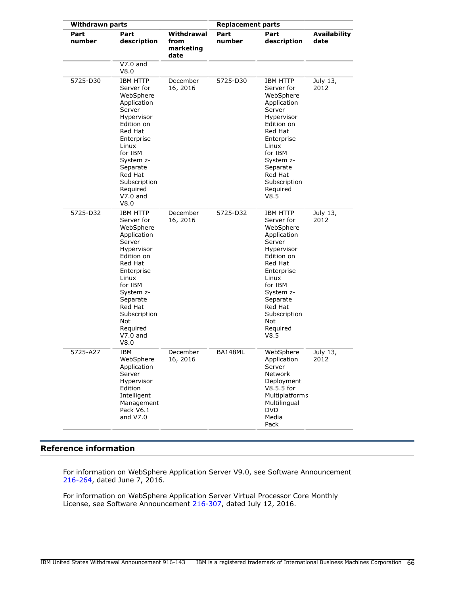| <b>Withdrawn parts</b> |                                                                                                                                                                                                                                           | <b>Replacement parts</b>                |                |                                                                                                                                                                                                                      |                             |
|------------------------|-------------------------------------------------------------------------------------------------------------------------------------------------------------------------------------------------------------------------------------------|-----------------------------------------|----------------|----------------------------------------------------------------------------------------------------------------------------------------------------------------------------------------------------------------------|-----------------------------|
| Part<br>number         | Part<br>description                                                                                                                                                                                                                       | Withdrawal<br>from<br>marketing<br>date | Part<br>number | Part<br>description                                                                                                                                                                                                  | <b>Availability</b><br>date |
|                        | $V7.0$ and<br>V8.0                                                                                                                                                                                                                        |                                         |                |                                                                                                                                                                                                                      |                             |
| 5725-D30               | <b>IBM HTTP</b><br>Server for<br>WebSphere<br>Application<br>Server<br>Hypervisor<br>Edition on<br>Red Hat<br>Enterprise<br>Linux<br>for IBM<br>System z-<br>Separate<br>Red Hat<br>Subscription<br>Required<br>$V7.0$ and<br>V8.0        | December<br>16, 2016                    | 5725-D30       | IBM HTTP<br>Server for<br>WebSphere<br>Application<br>Server<br>Hypervisor<br>Edition on<br>Red Hat<br>Enterprise<br>Linux<br>for IBM<br>System z-<br>Separate<br>Red Hat<br>Subscription<br>Required<br>V8.5        | July 13,<br>2012            |
| 5725-D32               | <b>IBM HTTP</b><br>Server for<br>WebSphere<br>Application<br>Server<br>Hypervisor<br>Edition on<br>Red Hat<br>Enterprise<br>Linux<br>for IBM<br>System z-<br>Separate<br>Red Hat<br>Subscription<br>Not<br>Required<br>$V7.0$ and<br>V8.0 | December<br>16, 2016                    | 5725-D32       | IBM HTTP<br>Server for<br>WebSphere<br>Application<br>Server<br>Hypervisor<br>Edition on<br>Red Hat<br>Enterprise<br>Linux<br>for IBM<br>System z-<br>Separate<br>Red Hat<br>Subscription<br>Not<br>Required<br>V8.5 | July 13,<br>2012            |
| 5725-A27               | IBM<br>WebSphere<br>Application<br>Server<br>Hypervisor<br>Edition<br>Intelligent<br>Management<br>Pack V6.1<br>and $V7.0$                                                                                                                | December<br>16, 2016                    | BA148ML        | WebSphere<br>Application<br>Server<br>Network<br>Deployment<br>V8.5.5 for<br>Multiplatforms<br>Multilingual<br><b>DVD</b><br>Media<br>Pack                                                                           | July 13,<br>2012            |

# **Reference information**

For information on WebSphere Application Server V9.0, see Software Announcement [216-264](http://www.ibm.com/common/ssi/cgi-bin/ssialias?infotype=an&subtype=ca&appname=gpateam&supplier=897&letternum=ENUS216-264), dated June 7, 2016.

For information on WebSphere Application Server Virtual Processor Core Monthly License, see Software Announcement [216-307,](http://www.ibm.com/common/ssi/cgi-bin/ssialias?infotype=an&subtype=ca&appname=gpateam&supplier=897&letternum=ENUS216-307) dated July 12, 2016.